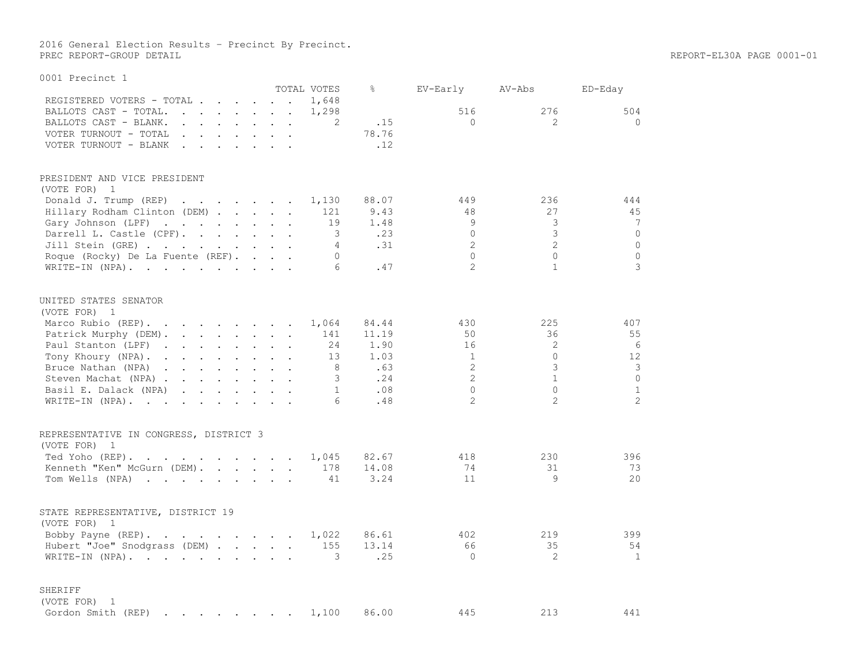# 2016 General Election Results – Precinct By Precinct.

| 0001 Precinct 1                                                                                    |  |  |                                                                                                                                                                                                                                   |                          |       |                |                |                |
|----------------------------------------------------------------------------------------------------|--|--|-----------------------------------------------------------------------------------------------------------------------------------------------------------------------------------------------------------------------------------|--------------------------|-------|----------------|----------------|----------------|
|                                                                                                    |  |  |                                                                                                                                                                                                                                   | TOTAL VOTES              | &     | EV-Early       | AV-Abs         | ED-Eday        |
| REGISTERED VOTERS - TOTAL                                                                          |  |  |                                                                                                                                                                                                                                   | 1,648                    |       |                |                |                |
| BALLOTS CAST - TOTAL.                                                                              |  |  | $\mathbf{r}$ . The contract of the contract of the contract of the contract of the contract of the contract of the contract of the contract of the contract of the contract of the contract of the contract of the contract of th | 1,298                    |       | 516            | 276            | 504            |
| BALLOTS CAST - BLANK.                                                                              |  |  |                                                                                                                                                                                                                                   | 2                        | .15   | $\Omega$       | 2              | $\mathbf 0$    |
| VOTER TURNOUT - TOTAL                                                                              |  |  |                                                                                                                                                                                                                                   |                          | 78.76 |                |                |                |
| VOTER TURNOUT - BLANK                                                                              |  |  |                                                                                                                                                                                                                                   |                          | .12   |                |                |                |
| PRESIDENT AND VICE PRESIDENT                                                                       |  |  |                                                                                                                                                                                                                                   |                          |       |                |                |                |
| (VOTE FOR) 1                                                                                       |  |  |                                                                                                                                                                                                                                   |                          |       |                |                |                |
| Donald J. Trump (REP) 1,130                                                                        |  |  |                                                                                                                                                                                                                                   |                          | 88.07 | 449            | 236            | 444            |
| Hillary Rodham Clinton (DEM)                                                                       |  |  |                                                                                                                                                                                                                                   | 121                      | 9.43  | 48             | 27             | 45             |
| Gary Johnson (LPF)                                                                                 |  |  |                                                                                                                                                                                                                                   | 19                       | 1.48  | 9              | 3              | $\overline{7}$ |
| Darrell L. Castle (CPF).                                                                           |  |  |                                                                                                                                                                                                                                   | $\overline{\mathbf{3}}$  | .23   | $\Omega$       | 3              | $\overline{0}$ |
| Jill Stein (GRE)                                                                                   |  |  |                                                                                                                                                                                                                                   | $\overline{4}$           | .31   | $\overline{2}$ | $\overline{2}$ | $\circ$        |
| Roque (Rocky) De La Fuente (REF).                                                                  |  |  |                                                                                                                                                                                                                                   | $\bigcap$                |       | $\Omega$       | $\Omega$       | $\circ$        |
| WRITE-IN (NPA).                                                                                    |  |  |                                                                                                                                                                                                                                   | - 6                      | .47   | $\overline{2}$ | $\mathbf{1}$   | 3              |
| UNITED STATES SENATOR                                                                              |  |  |                                                                                                                                                                                                                                   |                          |       |                |                |                |
| (VOTE FOR) 1                                                                                       |  |  |                                                                                                                                                                                                                                   |                          |       |                |                |                |
| Marco Rubio (REP).                                                                                 |  |  |                                                                                                                                                                                                                                   | 1,064                    | 84.44 | 430            | 225            | 407            |
| Patrick Murphy (DEM).                                                                              |  |  |                                                                                                                                                                                                                                   | 141                      | 11.19 | 50             | 36             | 55             |
| Paul Stanton (LPF)                                                                                 |  |  |                                                                                                                                                                                                                                   | 24                       | 1.90  | 16             | 2              | 6              |
| Tony Khoury (NPA).                                                                                 |  |  |                                                                                                                                                                                                                                   | 13                       | 1.03  | $\mathbf{1}$   | $\Omega$       | 12             |
| Bruce Nathan (NPA)                                                                                 |  |  |                                                                                                                                                                                                                                   | - 8                      | .63   | $\overline{2}$ | 3              | 3              |
| Steven Machat (NPA)                                                                                |  |  |                                                                                                                                                                                                                                   | $\overline{\mathbf{3}}$  | .24   | $\overline{2}$ | $\mathbf{1}$   | $\overline{0}$ |
| Basil E. Dalack (NPA)                                                                              |  |  |                                                                                                                                                                                                                                   | $\mathbf{1}$             | .08   | $\Omega$       | $\Omega$       | $\mathbf{1}$   |
| WRITE-IN (NPA).                                                                                    |  |  |                                                                                                                                                                                                                                   | 6                        | .48   | $\mathfrak{D}$ | $\overline{2}$ | $\overline{c}$ |
| REPRESENTATIVE IN CONGRESS, DISTRICT 3                                                             |  |  |                                                                                                                                                                                                                                   |                          |       |                |                |                |
| (VOTE FOR)<br>$\overline{1}$                                                                       |  |  |                                                                                                                                                                                                                                   |                          |       |                |                |                |
| $\cdot \cdot \cdot \cdot \cdot \cdot \cdot \cdot \cdot \cdot \cdot \cdot 1,045$<br>Ted Yoho (REP). |  |  |                                                                                                                                                                                                                                   |                          | 82.67 | 418            | 230            | 396            |
| Kenneth "Ken" McGurn (DEM).                                                                        |  |  |                                                                                                                                                                                                                                   | 178                      | 14.08 | 74             | 31             | 73             |
| Tom Wells (NPA)                                                                                    |  |  |                                                                                                                                                                                                                                   | 41                       | 3.24  | 11             | 9              | 20             |
| STATE REPRESENTATIVE, DISTRICT 19                                                                  |  |  |                                                                                                                                                                                                                                   |                          |       |                |                |                |
| (VOTE FOR) 1                                                                                       |  |  |                                                                                                                                                                                                                                   |                          |       |                |                |                |
| Bobby Payne (REP). 1,022                                                                           |  |  |                                                                                                                                                                                                                                   |                          | 86.61 | 402            | 219            | 399            |
| Hubert "Joe" Snodgrass (DEM)                                                                       |  |  |                                                                                                                                                                                                                                   | 155                      | 13.14 | 66             | 35             | 54             |
| WRITE-IN (NPA).                                                                                    |  |  |                                                                                                                                                                                                                                   | $\overline{\phantom{a}}$ | .25   | $\Omega$       | 2              | $\mathbf{1}$   |
| SHERIFF                                                                                            |  |  |                                                                                                                                                                                                                                   |                          |       |                |                |                |
| (VOTE FOR)<br>1                                                                                    |  |  |                                                                                                                                                                                                                                   |                          |       |                |                |                |
| Gordon Smith (REP)                                                                                 |  |  |                                                                                                                                                                                                                                   | 1,100                    | 86.00 | 445            | 213            | 441            |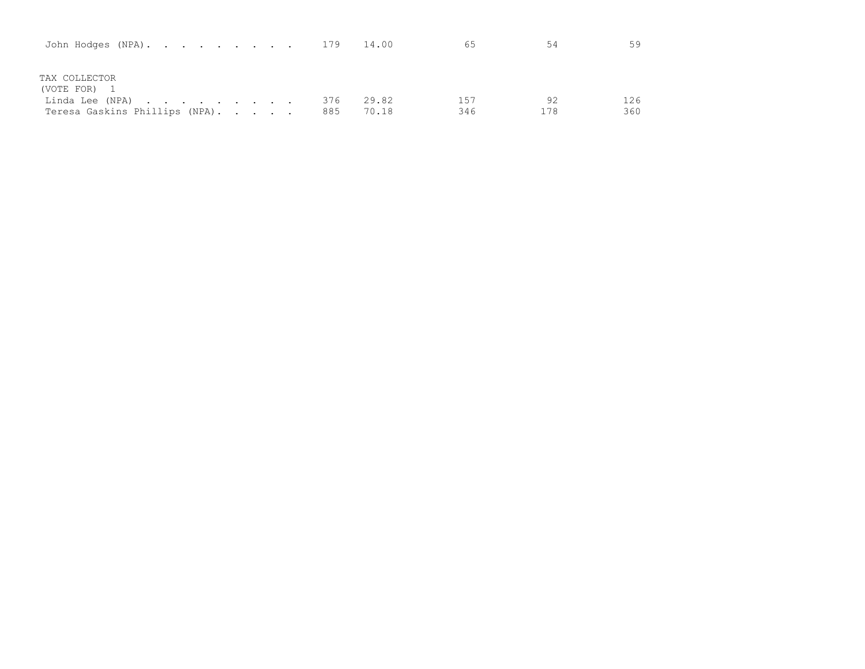| John Hodges (NPA). 179 14.00   |  |  |     |       | 65  | 54  | 59  |
|--------------------------------|--|--|-----|-------|-----|-----|-----|
| TAX COLLECTOR<br>(VOTE FOR) 1  |  |  |     |       |     |     |     |
| Linda Lee (NPA)                |  |  | 376 | 29.82 | 157 | 92  | 126 |
| Teresa Gaskins Phillips (NPA). |  |  | 885 | 70.18 | 346 | 178 | 360 |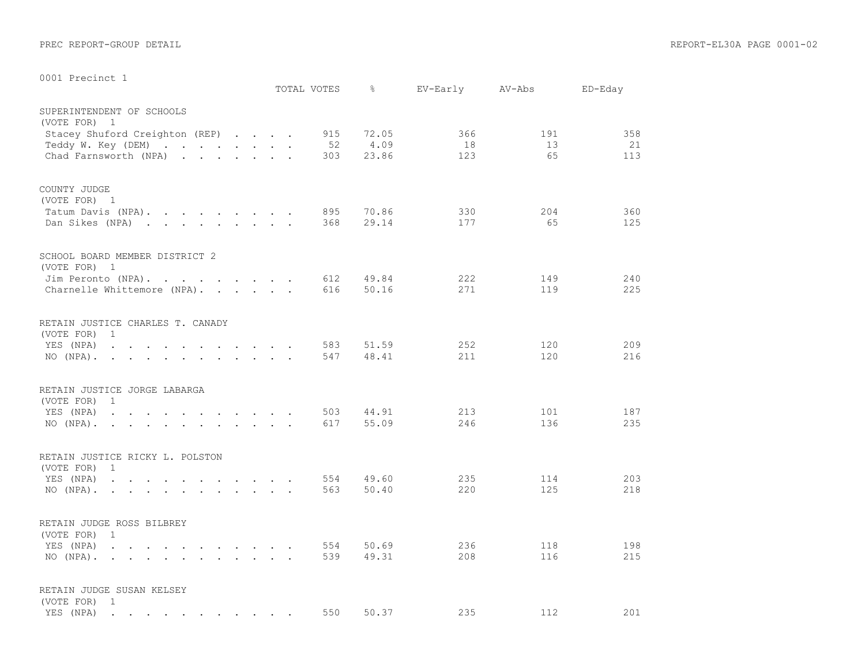| OODT RIECTHCL T                                                                                                                                                                                                                                                                                                 | TOTAL VOTES |                  | $\frac{6}{6}$          | EV-Early         | AV-Abs          | ED-Eday          |
|-----------------------------------------------------------------------------------------------------------------------------------------------------------------------------------------------------------------------------------------------------------------------------------------------------------------|-------------|------------------|------------------------|------------------|-----------------|------------------|
| SUPERINTENDENT OF SCHOOLS<br>(VOTE FOR) 1<br>Stacey Shuford Creighton (REP)<br>Teddy W. Key (DEM)<br>Chad Farnsworth (NPA)                                                                                                                                                                                      |             | 915<br>52<br>303 | 72.05<br>4.09<br>23.86 | 366<br>18<br>123 | 191<br>13<br>65 | 358<br>21<br>113 |
| COUNTY JUDGE<br>(VOTE FOR) 1<br>Tatum Davis (NPA).<br>Dan Sikes (NPA)                                                                                                                                                                                                                                           |             | 895<br>368       | 70.86<br>29.14         | 330<br>177       | 204<br>65       | 360<br>125       |
| SCHOOL BOARD MEMBER DISTRICT 2<br>(VOTE FOR) 1<br>Jim Peronto (NPA).<br>Charnelle Whittemore (NPA).                                                                                                                                                                                                             |             | 612<br>616       | 49.84<br>50.16         | 222<br>271       | 149<br>119      | 240<br>225       |
| RETAIN JUSTICE CHARLES T. CANADY<br>(VOTE FOR)<br>$\overline{1}$<br>YES (NPA)<br>the contract of the contract of the contract of the contract of the contract of the contract of the contract of<br>$NO (NPA)$ , , , , , , , , , , , ,                                                                          |             | 583<br>547       | 51.59<br>48.41         | 252<br>211       | 120<br>120      | 209<br>216       |
| RETAIN JUSTICE JORGE LABARGA<br>(VOTE FOR) 1<br>YES (NPA)<br>the contract of the contract of the contract of the contract of the contract of the contract of the contract of<br>NO (NPA) $\cdots$ $\cdots$ $\cdots$ $\cdots$ $\cdots$                                                                           |             | 503<br>617       | 44.91<br>55.09         | 213<br>246       | 101<br>136      | 187<br>235       |
| RETAIN JUSTICE RICKY L. POLSTON<br>(VOTE FOR)<br>1<br>YES (NPA)<br>and a series of the contract of the series of the series of the series of the series of the series of the series of the series of the series of the series of the series of the series of the series of the series of the seri<br>NO $(NPA)$ |             | 554<br>563       | 49.60<br>50.40         | 235<br>220       | 114<br>125      | 203<br>218       |
| RETAIN JUDGE ROSS BILBREY<br>(VOTE FOR)<br>$\mathbf{1}$<br>YES (NPA)<br>the contract of the contract of the contract of the contract of the contract of the contract of the contract of<br>$NO (NPA)$ .                                                                                                         |             | 554<br>539       | 50.69<br>49.31         | 236<br>208       | 118<br>116      | 198<br>215       |
| RETAIN JUDGE SUSAN KELSEY<br>(VOTE FOR) 1<br>YES (NPA)<br>and a series of the contract of the contract of the contract of the contract of the contract of the contract of                                                                                                                                       |             | 550              | 50.37                  | 235              | 112             | 201              |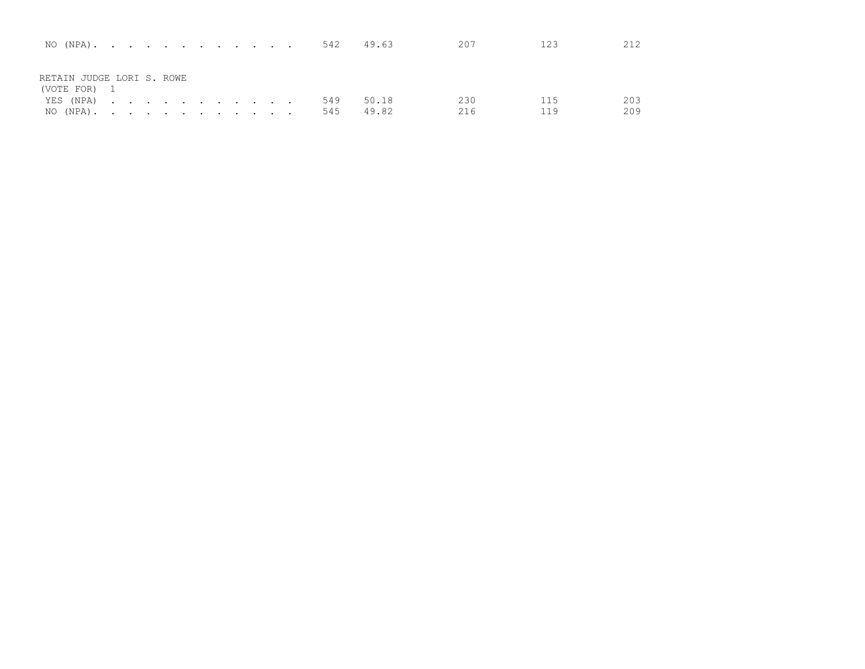| NO (NPA). 542             |  |  |  |  |  |  |     | 49.63 | 207 | 123 | 212 |
|---------------------------|--|--|--|--|--|--|-----|-------|-----|-----|-----|
|                           |  |  |  |  |  |  |     |       |     |     |     |
| RETAIN JUDGE LORI S. ROWE |  |  |  |  |  |  |     |       |     |     |     |
| (VOTE FOR) 1<br>YES (NPA) |  |  |  |  |  |  | 549 | 50.18 | 230 | 115 | 203 |
| $NO (NPA)$ .              |  |  |  |  |  |  | 545 | 49.82 | 216 | 119 | 209 |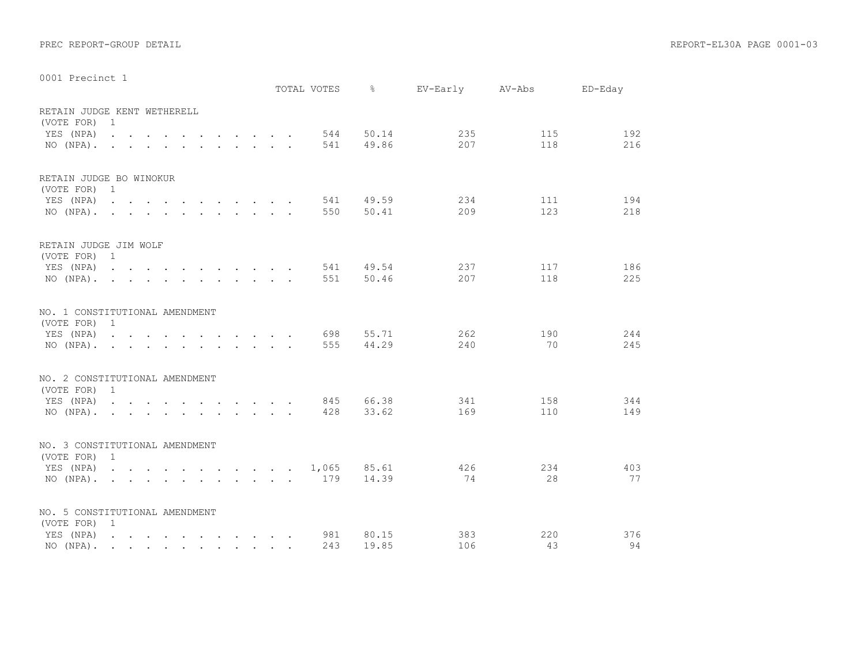|                                                |                                                                                          | TOTAL VOTES | $\approx$ |     | EV-Early AV-Abs ED-Eday |     |
|------------------------------------------------|------------------------------------------------------------------------------------------|-------------|-----------|-----|-------------------------|-----|
| RETAIN JUDGE KENT WETHERELL<br>(VOTE FOR) 1    |                                                                                          |             |           |     |                         |     |
|                                                | YES (NPA)                                                                                | 544         | 50.14     | 235 | 115                     | 192 |
|                                                | $NO (NPA)$ , , , , , , , , , , , ,                                                       | 541         | 49.86     | 207 | 118                     | 216 |
|                                                |                                                                                          |             |           |     |                         |     |
| RETAIN JUDGE BO WINOKUR<br>(VOTE FOR) 1        |                                                                                          |             |           |     |                         |     |
| YES (NPA)                                      | $\mathbf{r}$ , and $\mathbf{r}$ , and $\mathbf{r}$ , and $\mathbf{r}$ , and $\mathbf{r}$ | 541         | 49.59     | 234 | 111                     | 194 |
|                                                | $NO (NPA)$ , , , , , , , , , , , ,                                                       | 550         | 50.41     | 209 | 123                     | 218 |
|                                                |                                                                                          |             |           |     |                         |     |
| RETAIN JUDGE JIM WOLF<br>(VOTE FOR) 1          |                                                                                          |             |           |     |                         |     |
|                                                | YES (NPA)                                                                                |             | 541 49.54 | 237 | 117                     | 186 |
|                                                | NO $(NPA)$ .                                                                             | 551         | 50.46     | 207 | 118                     | 225 |
|                                                |                                                                                          |             |           |     |                         |     |
| NO. 1 CONSTITUTIONAL AMENDMENT<br>(VOTE FOR) 1 |                                                                                          |             |           |     |                         |     |
|                                                | YES (NPA)                                                                                | 698         | 55.71     | 262 | 190                     | 244 |
|                                                | NO (NPA).                                                                                | 555         | 44.29     | 240 | 70                      | 245 |
| NO. 2 CONSTITUTIONAL AMENDMENT                 |                                                                                          |             |           |     |                         |     |
| (VOTE FOR) 1                                   |                                                                                          |             |           |     |                         |     |
| YES (NPA)                                      | $\mathbf{r}$ , and $\mathbf{r}$ , and $\mathbf{r}$ , and $\mathbf{r}$ , and $\mathbf{r}$ | 845         | 66.38     | 341 | 158                     | 344 |
|                                                | $NO (NPA)$ , , , , , , , , , , , ,                                                       | 428         | 33.62     | 169 | 110                     | 149 |
| NO. 3 CONSTITUTIONAL AMENDMENT<br>(VOTE FOR) 1 |                                                                                          |             |           |     |                         |     |
|                                                | YES (NPA) 1,065                                                                          |             | 85.61     | 426 | 234                     | 403 |
|                                                | NO (NPA). 179                                                                            |             | 14.39     | 74  | 28                      | 77  |
|                                                |                                                                                          |             |           |     |                         |     |
| NO. 5 CONSTITUTIONAL AMENDMENT<br>(VOTE FOR) 1 |                                                                                          |             |           |     |                         |     |
|                                                | YES (NPA)                                                                                | 981         | 80.15     | 383 | 220                     | 376 |
|                                                | NO (NPA).                                                                                | 243         | 19.85     | 106 | 43                      | 94  |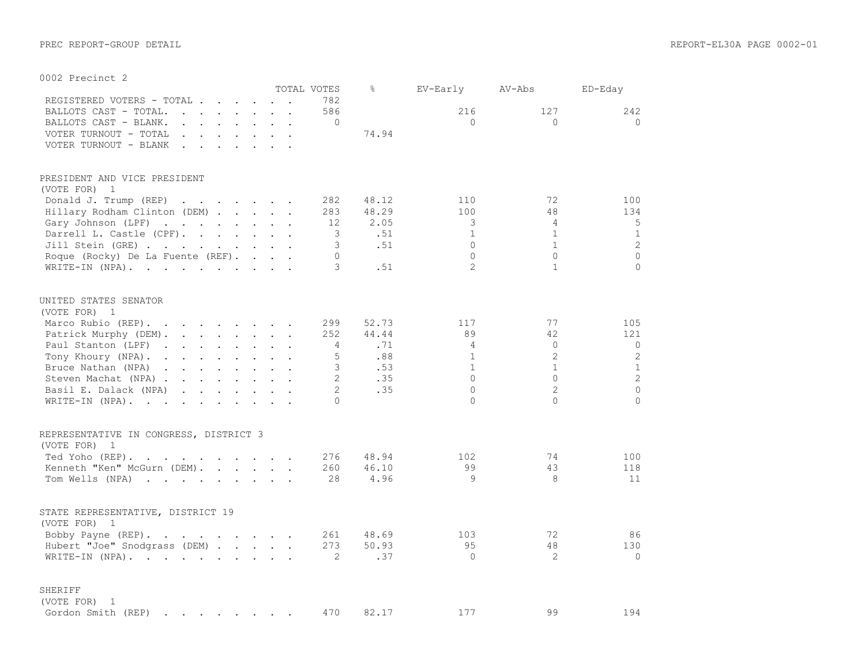|                                                                                                                                                                                                                                                                      |              | TOTAL VOTES    | $\approx$                   | EV-Early       | AV-Abs         | ED-Eday      |
|----------------------------------------------------------------------------------------------------------------------------------------------------------------------------------------------------------------------------------------------------------------------|--------------|----------------|-----------------------------|----------------|----------------|--------------|
| REGISTERED VOTERS - TOTAL                                                                                                                                                                                                                                            |              | 782            |                             |                |                |              |
| BALLOTS CAST - TOTAL.<br>the contract of the contract of the contract of                                                                                                                                                                                             | $\mathbf{r}$ | 586            |                             | 216            | 127            | 242          |
| BALLOTS CAST - BLANK.<br>$\mathbf{r}$ and $\mathbf{r}$ are the set of the set of the set of the set of the set of the set of the set of the set of the set of the set of the set of the set of the set of the set of the set of the set of the set of the set        |              | $\mathbf{0}$   |                             | $\Omega$       | $\Omega$       | $\Omega$     |
| VOTER TURNOUT - TOTAL<br>$\cdot$ $\cdot$ $\cdot$                                                                                                                                                                                                                     |              |                | 74.94                       |                |                |              |
| VOTER TURNOUT - BLANK<br>$\mathbf{r}$ . The set of the set of the set of the set of the set of the set of the set of the set of the set of the set of the set of the set of the set of the set of the set of the set of the set of the set of the set of t<br>$\sim$ |              |                |                             |                |                |              |
| PRESIDENT AND VICE PRESIDENT                                                                                                                                                                                                                                         |              |                |                             |                |                |              |
| (VOTE FOR)<br>$\mathbf{1}$<br>Donald J. Trump (REP)                                                                                                                                                                                                                  |              |                |                             | 110            | 72             | 100          |
| $\mathbf{r}$ , $\mathbf{r}$ , $\mathbf{r}$ , $\mathbf{r}$ , $\mathbf{r}$ , $\mathbf{r}$                                                                                                                                                                              |              | 282<br>283     | 48.12<br>48.29              | 100            | 48             | 134          |
| Hillary Rodham Clinton (DEM)                                                                                                                                                                                                                                         |              | 12             | 2.05                        | 3              | $\overline{4}$ | 5            |
| Gary Johnson (LPF)                                                                                                                                                                                                                                                   |              | 3              | .51                         | $\mathbf{1}$   | $\mathbf{1}$   | $\mathbf{1}$ |
| Darrell L. Castle (CPF).                                                                                                                                                                                                                                             |              |                |                             | $\Omega$       | $\mathbf{1}$   |              |
| Jill Stein (GRE)                                                                                                                                                                                                                                                     |              | 3              | .51                         |                |                | $\mathbf{2}$ |
| Roque (Rocky) De La Fuente (REF).                                                                                                                                                                                                                                    |              | $\circ$        |                             | $\Omega$       | $\Omega$       | $\circ$      |
| WRITE-IN (NPA).                                                                                                                                                                                                                                                      |              | 3              | .51                         | $\overline{2}$ | $\mathbf{1}$   | $\Omega$     |
| UNITED STATES SENATOR                                                                                                                                                                                                                                                |              |                |                             |                |                |              |
| (VOTE FOR) 1                                                                                                                                                                                                                                                         |              |                |                             |                |                |              |
| Marco Rubio (REP).<br>$\mathbf{r}$ , $\mathbf{r}$ , $\mathbf{r}$ , $\mathbf{r}$ , $\mathbf{r}$ , $\mathbf{r}$                                                                                                                                                        |              | 299            | 52.73                       | 117            | 77             | 105          |
| Patrick Murphy (DEM).                                                                                                                                                                                                                                                |              | 252            | 44.44                       | 89             | 42             | 121          |
| Paul Stanton (LPF)<br>$\mathbf{r}$ , and $\mathbf{r}$ , and $\mathbf{r}$ , and $\mathbf{r}$                                                                                                                                                                          |              | $\overline{4}$ | .71                         | $\overline{4}$ | $\Omega$       | $\mathbf{0}$ |
| Tony Khoury (NPA).                                                                                                                                                                                                                                                   |              | 5              | $\boldsymbol{\mathsf{.88}}$ | $\mathbf{1}$   | $\overline{2}$ | 2            |
| Bruce Nathan (NPA)<br>$\mathbf{r}$ . The set of the set of the set of the set of the set of the set of the set of the set of the set of the set of the set of the set of the set of the set of the set of the set of the set of the set of the set of t              |              | 3              | .53                         | $\mathbf{1}$   | $\mathbf{1}$   | $\mathbf{1}$ |
| Steven Machat (NPA)                                                                                                                                                                                                                                                  |              | $\overline{2}$ | .35                         | $\Omega$       | $\Omega$       | $\mathbf{2}$ |
| Basil E. Dalack (NPA)<br>$\mathbf{r}$ , $\mathbf{r}$ , $\mathbf{r}$ , $\mathbf{r}$ , $\mathbf{r}$ , $\mathbf{r}$                                                                                                                                                     |              | $\overline{2}$ | .35                         | $\Omega$       | $\overline{2}$ | $\Omega$     |
| WRITE-IN (NPA).                                                                                                                                                                                                                                                      |              | $\Omega$       |                             | $\Omega$       | $\Omega$       | $\Omega$     |
| REPRESENTATIVE IN CONGRESS, DISTRICT 3                                                                                                                                                                                                                               |              |                |                             |                |                |              |
| (VOTE FOR)<br>$\overline{1}$                                                                                                                                                                                                                                         |              |                |                             |                |                |              |
| $\mathcal{A}$ . The set of the set of the set of the set of the $\mathcal{A}$<br>Ted Yoho (REP).                                                                                                                                                                     |              | 276            | 48.94                       | 102            | 74             | 100          |
| Kenneth "Ken" McGurn (DEM).                                                                                                                                                                                                                                          |              | 260            | 46.10                       | 99             | 43             | 118          |
| Tom Wells (NPA)                                                                                                                                                                                                                                                      |              | 28             | 4.96                        | 9              | 8              | 11           |
|                                                                                                                                                                                                                                                                      |              |                |                             |                |                |              |
| STATE REPRESENTATIVE, DISTRICT 19                                                                                                                                                                                                                                    |              |                |                             |                |                |              |
| (VOTE FOR) 1                                                                                                                                                                                                                                                         |              |                |                             |                |                |              |
| Bobby Payne (REP).                                                                                                                                                                                                                                                   |              | 261            | 48.69                       | 103            | 72             | 86           |
| Hubert "Joe" Snodgrass (DEM)                                                                                                                                                                                                                                         |              | 273            | 50.93                       | 95             | 48             | 130          |
| WRITE-IN (NPA).                                                                                                                                                                                                                                                      |              | 2              | .37                         | $\Omega$       | $\overline{2}$ | $\Omega$     |
| SHERIFF                                                                                                                                                                                                                                                              |              |                |                             |                |                |              |
| (VOTE FOR)<br>1                                                                                                                                                                                                                                                      |              |                |                             |                |                |              |
| Gordon Smith (REP)<br>the contract of the contract of the contract of                                                                                                                                                                                                |              | 470            | 82.17                       | 177            | 99             | 194          |

## PREC REPORT-GROUP DETAIL REPORT-EL30A PAGE 0002-01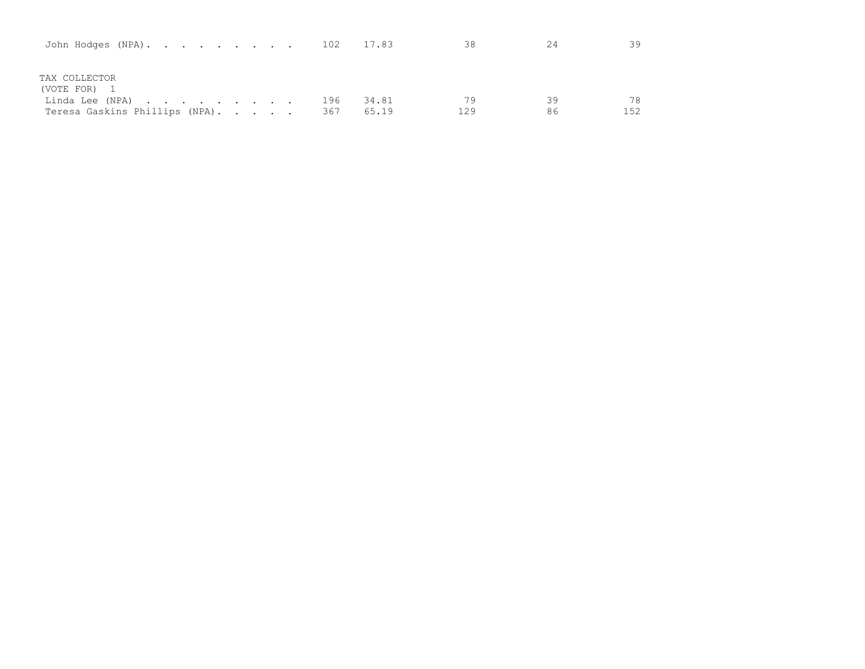| John Hodges (NPA). 102 $\,$                       |       | 17.83 | 38  | 24 | 39  |
|---------------------------------------------------|-------|-------|-----|----|-----|
| TAX COLLECTOR<br>(VOTE FOR)                       | - 196 | 34.81 | 79  | 39 | 78  |
| Linda Lee (NPA)<br>Teresa Gaskins Phillips (NPA). | 367   | 65.19 | 129 | 86 | 152 |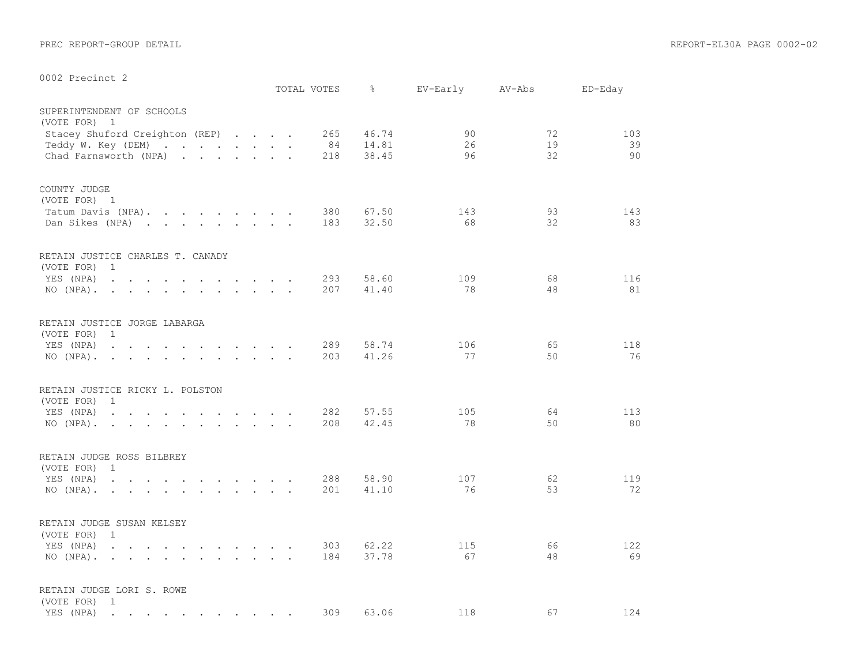|                                                                                                                            |                                                                                                                                                                                                                                   | TOTAL VOTES      | 옹                       | EV-Early       | AV-Abs         | ED-Eday         |
|----------------------------------------------------------------------------------------------------------------------------|-----------------------------------------------------------------------------------------------------------------------------------------------------------------------------------------------------------------------------------|------------------|-------------------------|----------------|----------------|-----------------|
| SUPERINTENDENT OF SCHOOLS<br>(VOTE FOR) 1<br>Stacey Shuford Creighton (REP)<br>Teddy W. Key (DEM)<br>Chad Farnsworth (NPA) |                                                                                                                                                                                                                                   | 265<br>84<br>218 | 46.74<br>14.81<br>38.45 | 90<br>26<br>96 | 72<br>19<br>32 | 103<br>39<br>90 |
| COUNTY JUDGE<br>(VOTE FOR) 1<br>Tatum Davis (NPA).<br>Dan Sikes (NPA)                                                      |                                                                                                                                                                                                                                   | 380<br>183       | 67.50<br>32.50          | 143<br>68      | 93<br>32       | 143<br>83       |
| RETAIN JUSTICE CHARLES T. CANADY<br>(VOTE FOR)<br>$\overline{1}$<br>YES (NPA)<br>$NO (NPA)$ , , , , , , , , , , , ,        | the contract of the contract of the contract of the contract of the contract of the contract of the contract of                                                                                                                   | 293<br>207       | 58.60<br>41.40          | 109<br>78      | 68<br>48       | 116<br>81       |
| RETAIN JUSTICE JORGE LABARGA<br>(VOTE FOR)<br>$\mathbf{1}$<br>YES (NPA)<br>NO (NPA).                                       | $\mathbf{r}$ . The set of the set of the set of the set of the set of the set of the set of the set of the set of the set of the set of the set of the set of the set of the set of the set of the set of the set of the set of t | 289<br>203       | 58.74<br>41.26          | 106<br>77      | 65<br>50       | 118<br>76       |
| RETAIN JUSTICE RICKY L. POLSTON<br>(VOTE FOR)<br>$\overline{1}$<br>YES (NPA)<br>$NO (NPA)$ .                               | the contract of the contract of the contract of the contract of the contract of the contract of the contract of                                                                                                                   | 282<br>208       | 57.55<br>42.45          | 105<br>78      | 64<br>50       | 113<br>80       |
| RETAIN JUDGE ROSS BILBREY<br>(VOTE FOR) 1<br>YES (NPA)<br>$NO (NPA)$ , , , , , , , , , , , ,                               | $\mathbf{r}$ , $\mathbf{r}$ , $\mathbf{r}$ , $\mathbf{r}$ , $\mathbf{r}$ , $\mathbf{r}$ , $\mathbf{r}$ , $\mathbf{r}$                                                                                                             | 288<br>201       | 58.90<br>41.10          | 107<br>76      | 62<br>53       | 119<br>72       |
| RETAIN JUDGE SUSAN KELSEY<br>(VOTE FOR)<br>1<br>YES (NPA)<br>$NO (NPA)$ .                                                  | . 303                                                                                                                                                                                                                             | 184              | 62.22<br>37.78          | 115<br>67      | 66<br>48       | 122<br>69       |
| RETAIN JUDGE LORI S. ROWE<br>(VOTE FOR) 1<br>YES (NPA)                                                                     | the contract of the contract of the contract of the contract of the contract of the contract of the contract of                                                                                                                   | 309              | 63.06                   | 118            | 67             | 124             |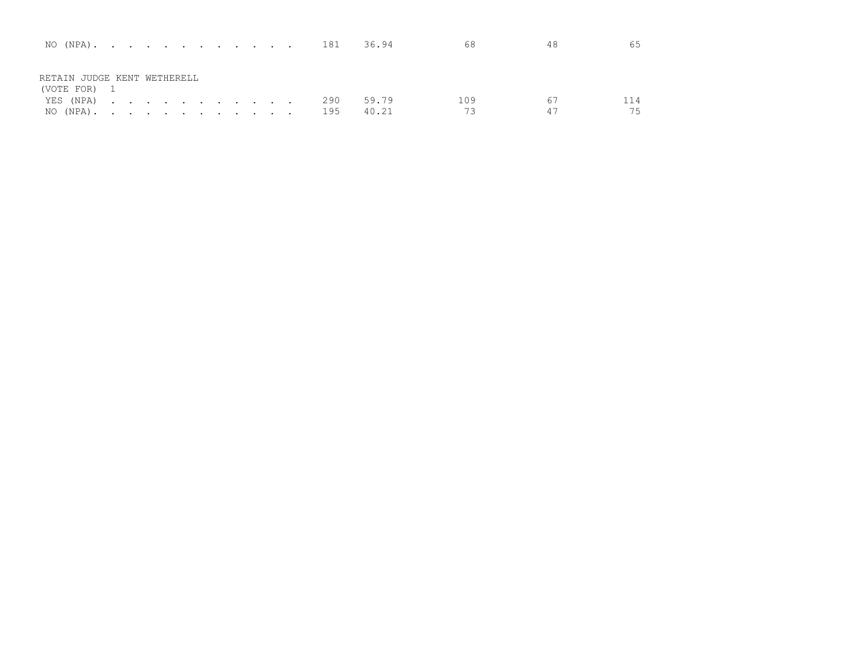| NO (NPA). 181 36.94         |  |  |  |  |  |     |       | 68  | 48 |    |
|-----------------------------|--|--|--|--|--|-----|-------|-----|----|----|
| RETAIN JUDGE KENT WETHERELL |  |  |  |  |  |     |       |     |    |    |
| (VOTE FOR) 1<br>YES (NPA)   |  |  |  |  |  | 290 | 59.79 | 109 | 67 |    |
| NO (NPA). 195               |  |  |  |  |  |     | 40.21 | 73  | 47 | 75 |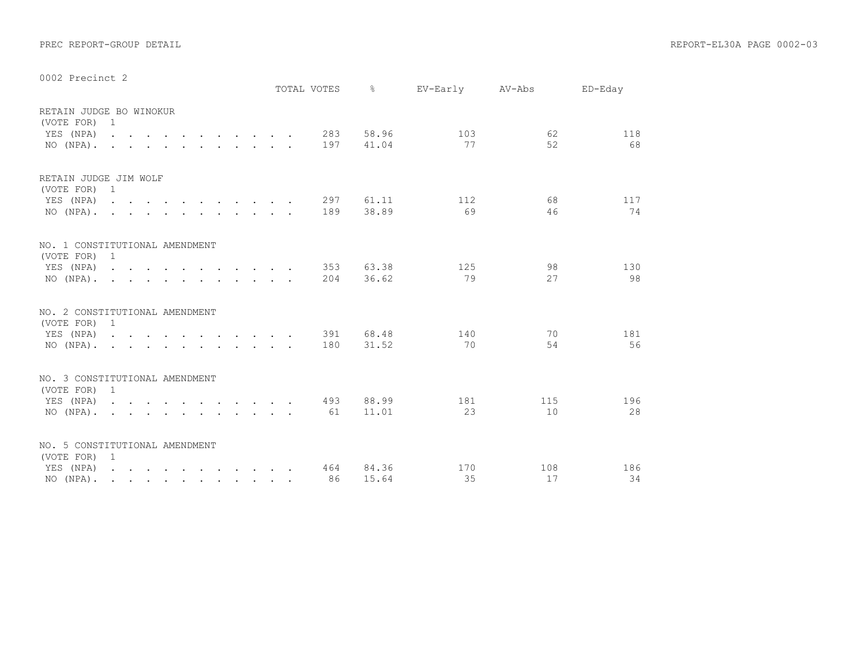|                                                |                |  |  |  |                                                                                                                          |  | TOTAL VOTES | &     | EV-Early | AV-Abs | ED-Eday |
|------------------------------------------------|----------------|--|--|--|--------------------------------------------------------------------------------------------------------------------------|--|-------------|-------|----------|--------|---------|
| RETAIN JUDGE BO WINOKUR<br>(VOTE FOR) 1        |                |  |  |  |                                                                                                                          |  |             |       |          |        |         |
| YES (NPA)                                      |                |  |  |  |                                                                                                                          |  | 283         | 58.96 | 103      | 62     | 118     |
| $NO (NPA)$ , , , , , , , , , , , ,             |                |  |  |  |                                                                                                                          |  | 197         | 41.04 | 77       | 52     | 68      |
| RETAIN JUDGE JIM WOLF<br>(VOTE FOR) 1          |                |  |  |  |                                                                                                                          |  |             |       |          |        |         |
| YES (NPA)                                      |                |  |  |  |                                                                                                                          |  | 297         | 61.11 | 112      | 68     | 117     |
| $NO (NPA)$ , , , , , , , , , , , ,             |                |  |  |  |                                                                                                                          |  | 189         | 38.89 | 69       | 46     | 74      |
| NO. 1 CONSTITUTIONAL AMENDMENT                 |                |  |  |  |                                                                                                                          |  |             |       |          |        |         |
| (VOTE FOR)<br>YES (NPA)                        | $\mathbf{1}$   |  |  |  |                                                                                                                          |  | 353         | 63.38 | 125      | 98     | 130     |
| $NO (NPA)$ , , , , , , , , , , , ,             |                |  |  |  |                                                                                                                          |  | 204         | 36.62 | 79       | 27     | 98      |
| NO. 2 CONSTITUTIONAL AMENDMENT<br>(VOTE FOR) 1 |                |  |  |  |                                                                                                                          |  |             |       |          |        |         |
| YES (NPA)                                      |                |  |  |  |                                                                                                                          |  | 391         | 68.48 | 140      | 70     | 181     |
| NO (NPA). .                                    |                |  |  |  | $\mathbf{r} = \mathbf{r} - \mathbf{r}$ , $\mathbf{r} = \mathbf{r} - \mathbf{r}$ , $\mathbf{r} = \mathbf{r} - \mathbf{r}$ |  | 180         | 31.52 | 70       | 54     | 56      |
| NO. 3 CONSTITUTIONAL AMENDMENT<br>(VOTE FOR) 1 |                |  |  |  |                                                                                                                          |  |             |       |          |        |         |
| YES (NPA)                                      |                |  |  |  |                                                                                                                          |  | 493         | 88.99 | 181      | 115    | 196     |
| $NO (NPA)$ , , , , , , , , , , , ,             |                |  |  |  |                                                                                                                          |  | 61          | 11.01 | 23       | 10     | 28      |
| NO. 5 CONSTITUTIONAL AMENDMENT                 |                |  |  |  |                                                                                                                          |  |             |       |          |        |         |
| (VOTE FOR)<br>YES (NPA)                        | $\overline{1}$ |  |  |  |                                                                                                                          |  | 464         | 84.36 | 170      | 108    | 186     |
| NO (NPA).                                      |                |  |  |  |                                                                                                                          |  | 86          | 15.64 | 35       | 17     | 34      |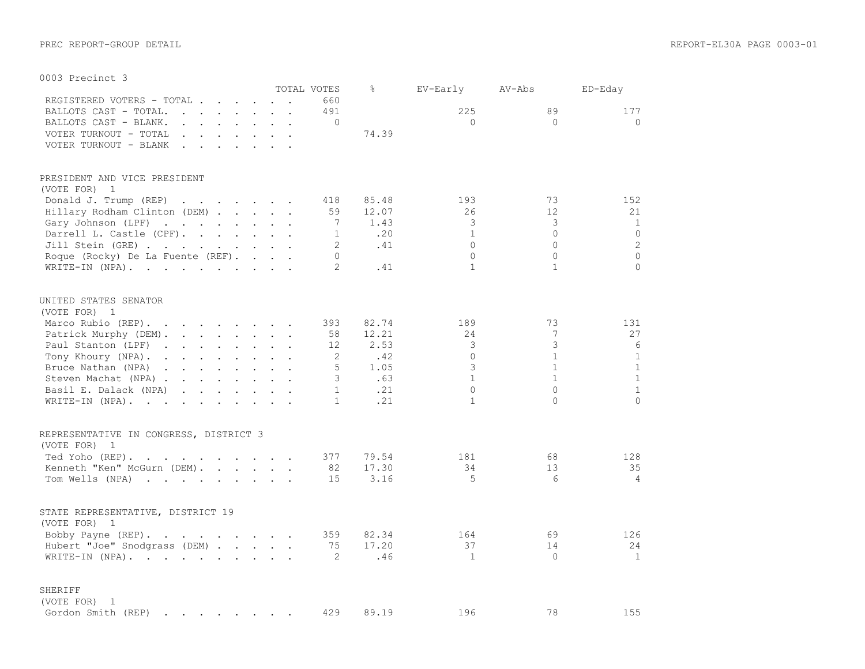|                                                                                                                                                                                                                                                            |                      | TOTAL VOTES    | ⊱     | EV-Early     | AV-Abs          | ED-Eday        |
|------------------------------------------------------------------------------------------------------------------------------------------------------------------------------------------------------------------------------------------------------------|----------------------|----------------|-------|--------------|-----------------|----------------|
| REGISTERED VOTERS - TOTAL                                                                                                                                                                                                                                  |                      | 660            |       |              |                 |                |
| BALLOTS CAST - TOTAL.<br>$\mathbf{r}$ . The set of the set of the set of the set of the set of the set of the set of the set of the set of the set of the set of the set of the set of the set of the set of the set of the set of the set of the set of t | $\ddot{\phantom{a}}$ | 491            |       | 225          | 89              | 177            |
| BALLOTS CAST - BLANK.<br>and the contract of the contract of the contract of the contract of the contract of the contract of the contract of the contract of the contract of the contract of the contract of the contract of the contract of the contra    |                      | $\bigcap$      |       | $\Omega$     | $\Omega$        | $\Omega$       |
| VOTER TURNOUT - TOTAL<br>the contract of the contract of the contract of the contract of the contract of the contract of the contract of                                                                                                                   |                      |                | 74.39 |              |                 |                |
| VOTER TURNOUT - BLANK<br>$\mathbf{r}$ . The set of the set of the set of $\mathbf{r}$<br>$\sim$                                                                                                                                                            |                      |                |       |              |                 |                |
|                                                                                                                                                                                                                                                            |                      |                |       |              |                 |                |
| PRESIDENT AND VICE PRESIDENT                                                                                                                                                                                                                               |                      |                |       |              |                 |                |
| (VOTE FOR)<br>1                                                                                                                                                                                                                                            |                      |                |       |              |                 |                |
| Donald J. Trump (REP)                                                                                                                                                                                                                                      |                      | 418            | 85.48 | 193          | 73              | 152            |
| Hillary Rodham Clinton (DEM)                                                                                                                                                                                                                               |                      | 59             | 12.07 | 26           | 12              | 21             |
| Gary Johnson (LPF)                                                                                                                                                                                                                                         |                      | 7              | 1.43  | 3            | 3               | $\mathbf{1}$   |
| Darrell L. Castle (CPF).                                                                                                                                                                                                                                   |                      | $\mathbf{1}$   | .20   | $\mathbf{1}$ | $\Omega$        | $\Omega$       |
| Jill Stein (GRE)                                                                                                                                                                                                                                           |                      | $\overline{2}$ | .41   | $\Omega$     | $\Omega$        | $\overline{2}$ |
| Roque (Rocky) De La Fuente (REF).                                                                                                                                                                                                                          |                      | $\Omega$       |       | $\Omega$     | $\Omega$        | $\Omega$       |
| WRITE-IN (NPA).                                                                                                                                                                                                                                            |                      | $\overline{2}$ | .41   | $\mathbf{1}$ | $\mathbf{1}$    | $\Omega$       |
| UNITED STATES SENATOR                                                                                                                                                                                                                                      |                      |                |       |              |                 |                |
| (VOTE FOR) 1                                                                                                                                                                                                                                               |                      |                |       |              |                 |                |
| Marco Rubio (REP).                                                                                                                                                                                                                                         |                      | 393            | 82.74 | 189          | 73              | 131            |
| Patrick Murphy (DEM).                                                                                                                                                                                                                                      |                      | 58             | 12.21 | 2.4          | 7               | 27             |
| Paul Stanton (LPF)<br>the contract of the contract of the contract of the contract of the contract of                                                                                                                                                      |                      | 12             | 2.53  | 3            | 3               | 6              |
| Tony Khoury (NPA).                                                                                                                                                                                                                                         |                      | 2              | .42   | $\Omega$     | $\mathbf{1}$    | $\mathbf{1}$   |
| Bruce Nathan (NPA)<br>$\mathbf{r}$ , and $\mathbf{r}$ , and $\mathbf{r}$ , and $\mathbf{r}$                                                                                                                                                                |                      | 5              | 1.05  | 3            | $\mathbf{1}$    | $\mathbf{1}$   |
|                                                                                                                                                                                                                                                            |                      | 3              |       | $\mathbf{1}$ | $\mathbf{1}$    | $\mathbf{1}$   |
| Steven Machat (NPA)                                                                                                                                                                                                                                        |                      |                | .63   |              |                 |                |
| Basil E. Dalack (NPA)<br>$\mathbf{r}$ , and $\mathbf{r}$ , and $\mathbf{r}$ , and $\mathbf{r}$                                                                                                                                                             |                      | $\mathbf{1}$   | .21   | $\Omega$     | $\Omega$        | $\mathbf{1}$   |
| WRITE-IN (NPA), , , , , , , , , ,                                                                                                                                                                                                                          |                      | $\mathbf{1}$   | .21   | $\mathbf{1}$ | $\Omega$        | $\cap$         |
| REPRESENTATIVE IN CONGRESS, DISTRICT 3                                                                                                                                                                                                                     |                      |                |       |              |                 |                |
| (VOTE FOR)<br>1                                                                                                                                                                                                                                            |                      |                |       |              |                 |                |
| Ted Yoho (REP).<br>$\mathcal{A}$ . The set of the set of the set of the set of $\mathcal{A}$                                                                                                                                                               |                      | 377            | 79.54 | 181          | 68              | 128            |
| Kenneth "Ken" McGurn (DEM).                                                                                                                                                                                                                                |                      | 82             | 17.30 | 34           | 13              | 35             |
| Tom Wells (NPA)                                                                                                                                                                                                                                            |                      | 15             | 3.16  | 5            | $6\overline{6}$ | $\overline{4}$ |
|                                                                                                                                                                                                                                                            |                      |                |       |              |                 |                |
| STATE REPRESENTATIVE, DISTRICT 19                                                                                                                                                                                                                          |                      |                |       |              |                 |                |
| (VOTE FOR) 1                                                                                                                                                                                                                                               |                      |                |       |              |                 |                |
| Bobby Payne (REP).                                                                                                                                                                                                                                         |                      | 359            | 82.34 | 164          | 69              | 126            |
| Hubert "Joe" Snodgrass (DEM)                                                                                                                                                                                                                               |                      | 75             | 17.20 | 37           | 14              | 24             |
| WRITE-IN (NPA).                                                                                                                                                                                                                                            |                      | 2              | .46   | $\mathbf{1}$ | $\Omega$        | $\mathbf{1}$   |
| <b>SHERIFF</b>                                                                                                                                                                                                                                             |                      |                |       |              |                 |                |
| (VOTE FOR)<br>1                                                                                                                                                                                                                                            |                      |                |       |              |                 |                |
| Gordon Smith (REP)<br>the contract of the contract of the contract of the contract of the contract of                                                                                                                                                      |                      | 429            | 89.19 | 196          | 78              | 155            |
|                                                                                                                                                                                                                                                            |                      |                |       |              |                 |                |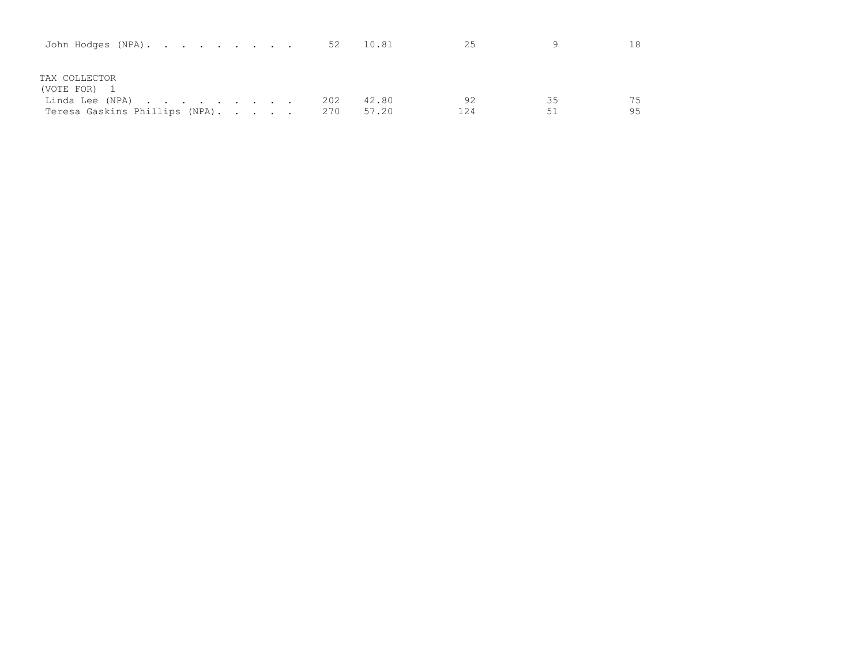| John Hodges (NPA). 52                                |  |  |     | 10.81          | 25        |           |          |
|------------------------------------------------------|--|--|-----|----------------|-----------|-----------|----------|
| TAX COLLECTOR<br>(VOTE FOR) 1                        |  |  |     |                |           |           |          |
| Linda Lee (NPA)<br>Teresa Gaskins Phillips (NPA) 270 |  |  | 202 | 42.80<br>57.20 | 92<br>124 | 35<br>.51 | 75<br>95 |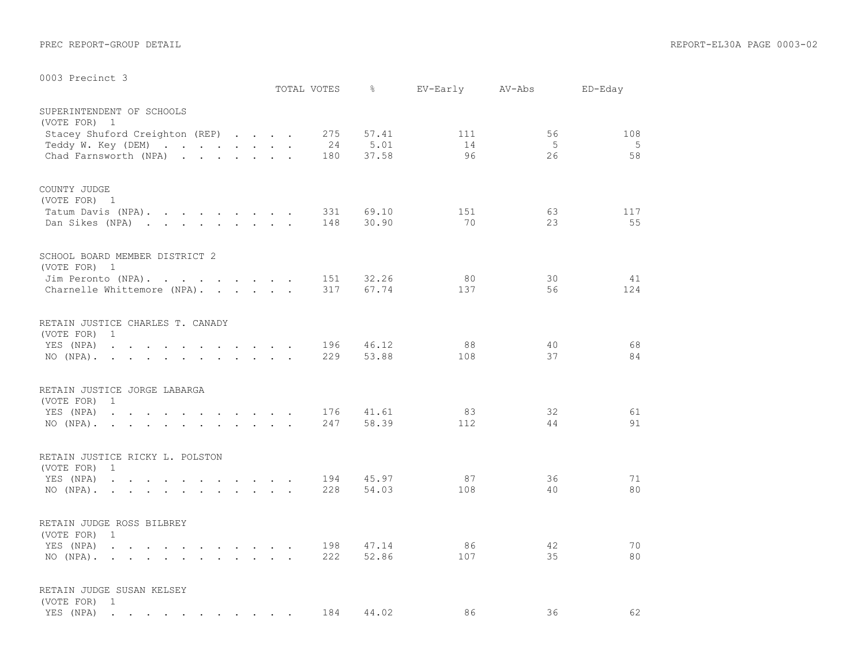|                                                                                                                                                                                                                                                                                                                            |  | TOTAL VOTES      | g.                     | EV-Early        | AV-Abs        | ED-Eday        |
|----------------------------------------------------------------------------------------------------------------------------------------------------------------------------------------------------------------------------------------------------------------------------------------------------------------------------|--|------------------|------------------------|-----------------|---------------|----------------|
| SUPERINTENDENT OF SCHOOLS<br>(VOTE FOR) 1<br>Stacey Shuford Creighton (REP)<br>Teddy W. Key (DEM)<br>Chad Farnsworth (NPA)                                                                                                                                                                                                 |  | 275<br>24<br>180 | 57.41<br>5.01<br>37.58 | 111<br>14<br>96 | 56<br>5<br>26 | 108<br>5<br>58 |
| COUNTY JUDGE<br>(VOTE FOR) 1<br>Tatum Davis (NPA).<br>Dan Sikes (NPA)                                                                                                                                                                                                                                                      |  | 331<br>148       | 69.10<br>30.90         | 151<br>70       | 63<br>23      | 117<br>55      |
| SCHOOL BOARD MEMBER DISTRICT 2<br>(VOTE FOR) 1<br>Jim Peronto (NPA).<br>Charnelle Whittemore (NPA).                                                                                                                                                                                                                        |  | 151<br>317       | 32.26<br>67.74         | 80<br>137       | 30<br>56      | 41<br>124      |
| RETAIN JUSTICE CHARLES T. CANADY<br>(VOTE FOR)<br>$\mathbf{1}$<br>and the contract of the contract of the contract of the contract of the contract of the contract of the contract of the contract of the contract of the contract of the contract of the contract of the contract of the contra<br>YES (NPA)<br>NO (NPA). |  | 196<br>229       | 46.12<br>53.88         | 88<br>108       | 40<br>37      | 68<br>84       |
| RETAIN JUSTICE JORGE LABARGA<br>(VOTE FOR)<br><sup>1</sup><br>YES (NPA)<br>$NO (NPA)$ .                                                                                                                                                                                                                                    |  | 176<br>247       | 41.61<br>58.39         | 83<br>112       | 32<br>44      | 61<br>91       |
| RETAIN JUSTICE RICKY L. POLSTON<br>(VOTE FOR)<br>$\overline{1}$<br>YES (NPA)<br>$\mathbf{r}$ , and $\mathbf{r}$ , and $\mathbf{r}$ , and $\mathbf{r}$ , and $\mathbf{r}$<br>$NO (NPA)$ , , , , , , , , , , , ,                                                                                                             |  | 194<br>228       | 45.97<br>54.03         | 87<br>108       | 36<br>40      | 71<br>80       |
| RETAIN JUDGE ROSS BILBREY<br>(VOTE FOR)<br>1<br>YES (NPA)<br>$\mathbf{r}$ , and $\mathbf{r}$ , and $\mathbf{r}$ , and $\mathbf{r}$ , and $\mathbf{r}$<br>NO $(NPA)$                                                                                                                                                        |  | 198<br>222       | 47.14<br>52.86         | 86<br>107       | 42<br>35      | 70<br>80       |
| RETAIN JUDGE SUSAN KELSEY<br>(VOTE FOR) 1<br>YES (NPA)<br>the contract of the contract of the contract of the contract of the contract of the contract of the contract of                                                                                                                                                  |  | 184              | 44.02                  | 86              | 36            | 62             |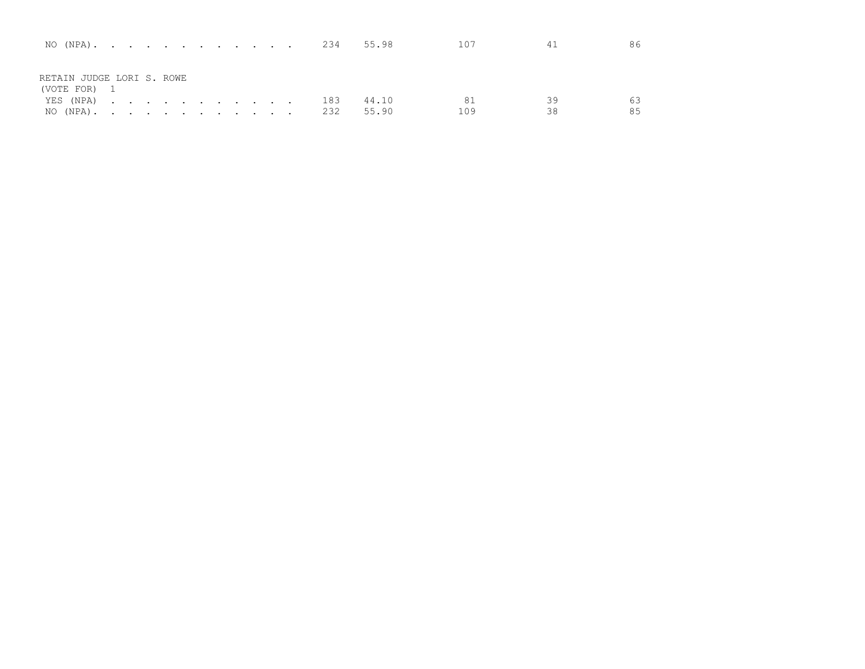|                           |  |  |  |  |  |     | NO (NPA). 234 55.98 | 107 | 41 |    |
|---------------------------|--|--|--|--|--|-----|---------------------|-----|----|----|
|                           |  |  |  |  |  |     |                     |     |    |    |
| RETAIN JUDGE LORI S. ROWE |  |  |  |  |  |     |                     |     |    |    |
| (VOTE FOR) 1              |  |  |  |  |  |     |                     |     |    |    |
| YES (NPA)                 |  |  |  |  |  | 183 | 44.10               | 81  | 39 |    |
| NO (NPA). 232             |  |  |  |  |  |     | 55.90               | 109 | 38 | 85 |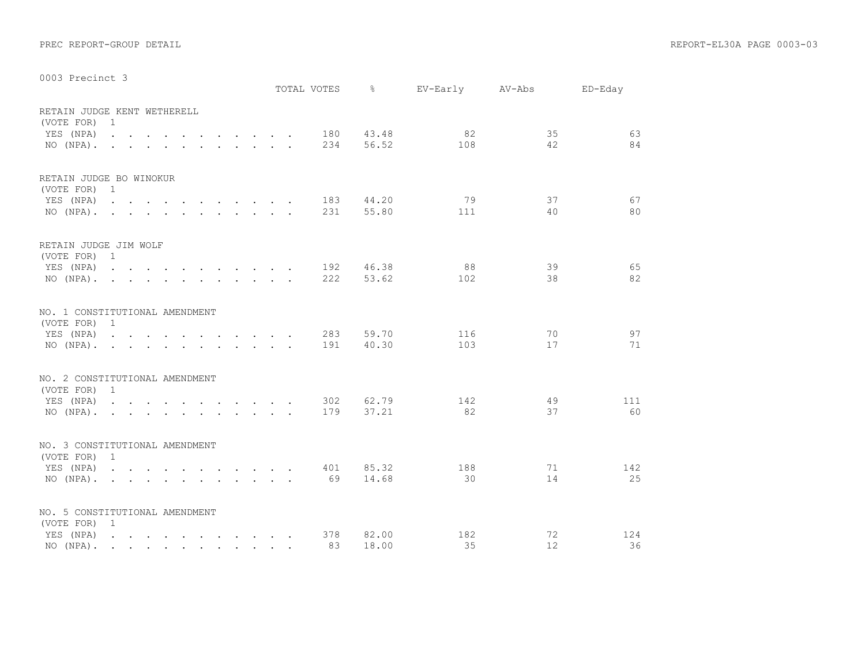|                                                |                                                                                                                 |  |  |  |  |  | TOTAL VOTES | $\approx$ | EV-Early | AV-Abs | ED-Eday |
|------------------------------------------------|-----------------------------------------------------------------------------------------------------------------|--|--|--|--|--|-------------|-----------|----------|--------|---------|
| RETAIN JUDGE KENT WETHERELL<br>(VOTE FOR)      | $\overline{1}$                                                                                                  |  |  |  |  |  |             |           |          |        |         |
| YES (NPA)                                      |                                                                                                                 |  |  |  |  |  | 180         | 43.48     | 82       | 35     | 63      |
| $NO (NPA)$ .                                   |                                                                                                                 |  |  |  |  |  | 234         | 56.52     | 108      | 42     | 84      |
| RETAIN JUDGE BO WINOKUR<br>(VOTE FOR) 1        |                                                                                                                 |  |  |  |  |  |             |           |          |        |         |
| YES (NPA)                                      | $\mathbf{r}$ , and $\mathbf{r}$ , and $\mathbf{r}$ , and $\mathbf{r}$ , and $\mathbf{r}$                        |  |  |  |  |  | 183         | 44.20     | 79       | 37     | 67      |
| $NO (NPA)$ , , , , , , , , , , , ,             |                                                                                                                 |  |  |  |  |  | 231         | 55.80     | 111      | 40     | 80      |
| RETAIN JUDGE JIM WOLF<br>(VOTE FOR) 1          |                                                                                                                 |  |  |  |  |  |             |           |          |        |         |
| YES (NPA)                                      |                                                                                                                 |  |  |  |  |  | 192         | 46.38     | 88       | 39     | 65      |
| NO $(NPA)$ .                                   |                                                                                                                 |  |  |  |  |  | 222         | 53.62     | 102      | 38     | 82      |
| NO. 1 CONSTITUTIONAL AMENDMENT<br>(VOTE FOR)   | $\overline{1}$                                                                                                  |  |  |  |  |  |             |           |          |        |         |
| YES (NPA)                                      |                                                                                                                 |  |  |  |  |  | 283         | 59.70     | 116      | 70     | 97      |
| $NO (NPA)$ , , , , , , , , , , , ,             |                                                                                                                 |  |  |  |  |  | 191         | 40.30     | 103      | 17     | 71      |
| NO. 2 CONSTITUTIONAL AMENDMENT<br>(VOTE FOR) 1 |                                                                                                                 |  |  |  |  |  |             |           |          |        |         |
| YES (NPA)                                      | $\mathbf{r}$ , and $\mathbf{r}$ , and $\mathbf{r}$ , and $\mathbf{r}$ , and $\mathbf{r}$                        |  |  |  |  |  | 302         | 62.79     | 142      | 49     | 111     |
| $NO (NPA)$ .                                   |                                                                                                                 |  |  |  |  |  | 179         | 37.21     | 82       | 37     | 60      |
| NO. 3 CONSTITUTIONAL AMENDMENT<br>(VOTE FOR) 1 |                                                                                                                 |  |  |  |  |  |             |           |          |        |         |
| YES (NPA)                                      |                                                                                                                 |  |  |  |  |  | 401         | 85.32     | 188      | 71     | 142     |
| $NO (NPA)$ , , , , , , , , , , , ,             |                                                                                                                 |  |  |  |  |  | 69          | 14.68     | 30       | 14     | 25      |
| NO. 5 CONSTITUTIONAL AMENDMENT<br>(VOTE FOR)   | 1                                                                                                               |  |  |  |  |  |             |           |          |        |         |
| YES (NPA)                                      | the contract of the contract of the contract of the contract of the contract of the contract of the contract of |  |  |  |  |  | 378         | 82.00     | 182      | 72     | 124     |
| NO $(NPA)$ .                                   |                                                                                                                 |  |  |  |  |  | 83          | 18.00     | 35       | 12     | 36      |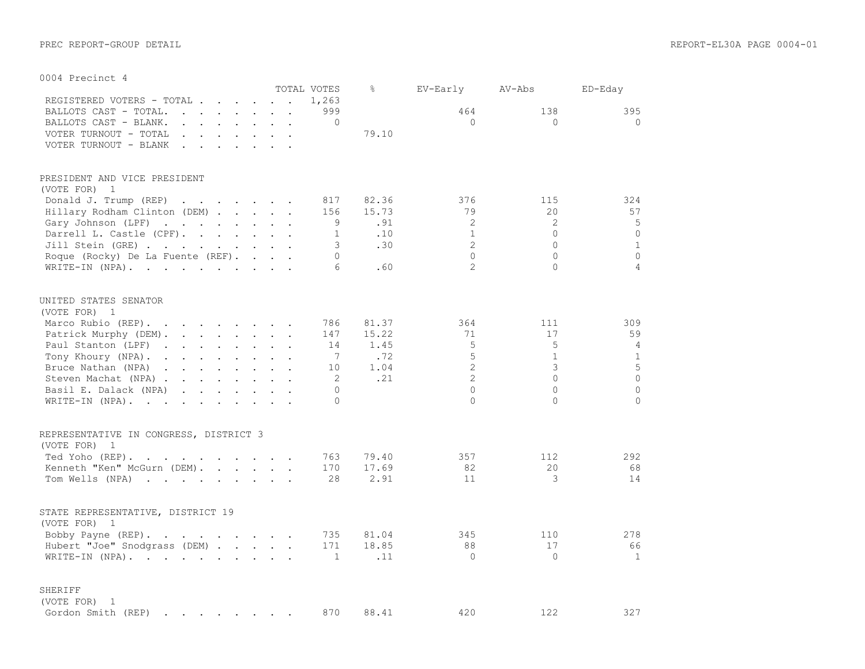|                                                                                                                                                                                                                                                            | TOTAL VOTES  | ⊱     | EV-Early       | AV-Abs         | ED-Eday        |
|------------------------------------------------------------------------------------------------------------------------------------------------------------------------------------------------------------------------------------------------------------|--------------|-------|----------------|----------------|----------------|
| REGISTERED VOTERS - TOTAL                                                                                                                                                                                                                                  | 1,263        |       |                |                |                |
| BALLOTS CAST - TOTAL.<br>$\mathbf{r}$ . The contract of the contract of the contract of the contract of the contract of the contract of the contract of the contract of the contract of the contract of the contract of the contract of the contract of th | 999          |       | 464            | 138            | 395            |
| BALLOTS CAST - BLANK.<br>$\begin{array}{cccccccccccccc} . & . & . & . & . & . & . & . & . & . \end{array}$                                                                                                                                                 | $\Omega$     |       | $\Omega$       | $\Omega$       | $\Omega$       |
| VOTER TURNOUT - TOTAL<br>$\sim$ $\sim$ $\sim$ $\sim$ $\sim$<br>$\mathbf{r} = \mathbf{r}$ and $\mathbf{r} = \mathbf{r}$                                                                                                                                     |              | 79.10 |                |                |                |
| VOTER TURNOUT - BLANK<br>$\sim$ $\sim$ $\sim$ $\sim$ $\sim$ $\sim$ $\sim$ $\sim$<br>$\ddot{\phantom{0}}$                                                                                                                                                   |              |       |                |                |                |
|                                                                                                                                                                                                                                                            |              |       |                |                |                |
| PRESIDENT AND VICE PRESIDENT<br>(VOTE FOR)<br>1                                                                                                                                                                                                            |              |       |                |                |                |
|                                                                                                                                                                                                                                                            | 817          | 82.36 | 376            | 115            | 324            |
| Donald J. Trump (REP)                                                                                                                                                                                                                                      |              | 15.73 | 79             | 20             | 57             |
| Hillary Rodham Clinton (DEM)                                                                                                                                                                                                                               | 156          |       |                |                |                |
| Gary Johnson (LPF)                                                                                                                                                                                                                                         | 9            | .91   | $\overline{c}$ | $\overline{c}$ | 5              |
| Darrell L. Castle (CPF).                                                                                                                                                                                                                                   | $\mathbf{1}$ | .10   | $\mathbf{1}$   | $\Omega$       | $\circ$        |
| Jill Stein (GRE)                                                                                                                                                                                                                                           | 3            | .30   | $\overline{2}$ | $\Omega$       | $\mathbf{1}$   |
| Roque (Rocky) De La Fuente (REF).                                                                                                                                                                                                                          | $\Omega$     |       | $\Omega$       | $\Omega$       | $\Omega$       |
| WRITE-IN (NPA).                                                                                                                                                                                                                                            | 6            | .60   | $\overline{2}$ | $\Omega$       | $\overline{4}$ |
| UNITED STATES SENATOR                                                                                                                                                                                                                                      |              |       |                |                |                |
| (VOTE FOR) 1                                                                                                                                                                                                                                               |              |       |                |                |                |
| Marco Rubio (REP).                                                                                                                                                                                                                                         | 786          | 81.37 | 364            | 111            | 309            |
| Patrick Murphy (DEM).                                                                                                                                                                                                                                      | 147          | 15.22 | 71             | 17             | 59             |
| Paul Stanton (LPF)<br>and the contract of the contract of the                                                                                                                                                                                              | 14           | 1.45  | 5              | 5              | $\overline{4}$ |
| Tony Khoury (NPA).                                                                                                                                                                                                                                         | 7            | .72   | 5              | $\mathbf{1}$   | $\mathbf{1}$   |
| Bruce Nathan (NPA)<br>$\mathbf{r}$ , and $\mathbf{r}$ , and $\mathbf{r}$ , and $\mathbf{r}$                                                                                                                                                                | 10           | 1.04  | $\overline{2}$ | 3              | 5              |
| Steven Machat (NPA)                                                                                                                                                                                                                                        | 2            | .21   | $\overline{2}$ | $\Omega$       | $\Omega$       |
| Basil E. Dalack (NPA)                                                                                                                                                                                                                                      | $\Omega$     |       | $\Omega$       | $\overline{0}$ | $\mathbf 0$    |
| WRITE-IN $(NPA)$ .                                                                                                                                                                                                                                         | $\Omega$     |       | $\Omega$       | $\Omega$       | $\Omega$       |
|                                                                                                                                                                                                                                                            |              |       |                |                |                |
| REPRESENTATIVE IN CONGRESS, DISTRICT 3                                                                                                                                                                                                                     |              |       |                |                |                |
| (VOTE FOR)<br>$\overline{1}$                                                                                                                                                                                                                               |              |       |                |                |                |
| Ted Yoho (REP).<br>$\mathcal{A}$ . The set of the set of the set of the set of $\mathcal{A}$                                                                                                                                                               | 763          | 79.40 | 357            | 112            | 292            |
| Kenneth "Ken" McGurn (DEM).                                                                                                                                                                                                                                | 170          | 17.69 | 82             | 20             | 68             |
| Tom Wells (NPA)                                                                                                                                                                                                                                            | 28           | 2.91  | 11             | 3              | 14             |
| STATE REPRESENTATIVE, DISTRICT 19                                                                                                                                                                                                                          |              |       |                |                |                |
| (VOTE FOR) 1                                                                                                                                                                                                                                               |              |       |                |                |                |
| Bobby Payne (REP).                                                                                                                                                                                                                                         | 735          | 81.04 | 345            | 110            | 278            |
| Hubert "Joe" Snodgrass (DEM)                                                                                                                                                                                                                               | 171          | 18.85 | 88             | 17             | 66             |
| WRITE-IN (NPA).                                                                                                                                                                                                                                            | $\mathbf{1}$ | .11   | $\Omega$       | $\Omega$       | $\mathbf{1}$   |
|                                                                                                                                                                                                                                                            |              |       |                |                |                |
| <b>SHERIFF</b>                                                                                                                                                                                                                                             |              |       |                |                |                |
| (VOTE FOR)<br>1                                                                                                                                                                                                                                            |              |       |                |                |                |
| Gordon Smith (REP)                                                                                                                                                                                                                                         | 870          | 88.41 | 420            | 122            | 327            |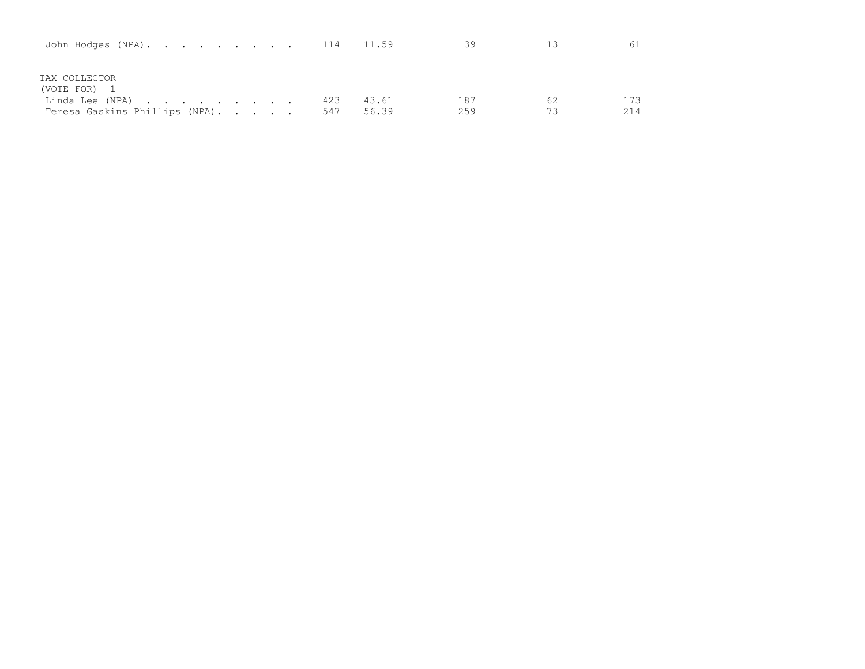| John Hodges (NPA). 114 11.59                                                       |  |  |            |                | 39         |          | 61         |
|------------------------------------------------------------------------------------|--|--|------------|----------------|------------|----------|------------|
| TAX COLLECTOR<br>(VOTE FOR) 1<br>Linda Lee (NPA)<br>Teresa Gaskins Phillips (NPA). |  |  | 423<br>547 | 43.61<br>56.39 | 187<br>259 | 62<br>73 | 173<br>214 |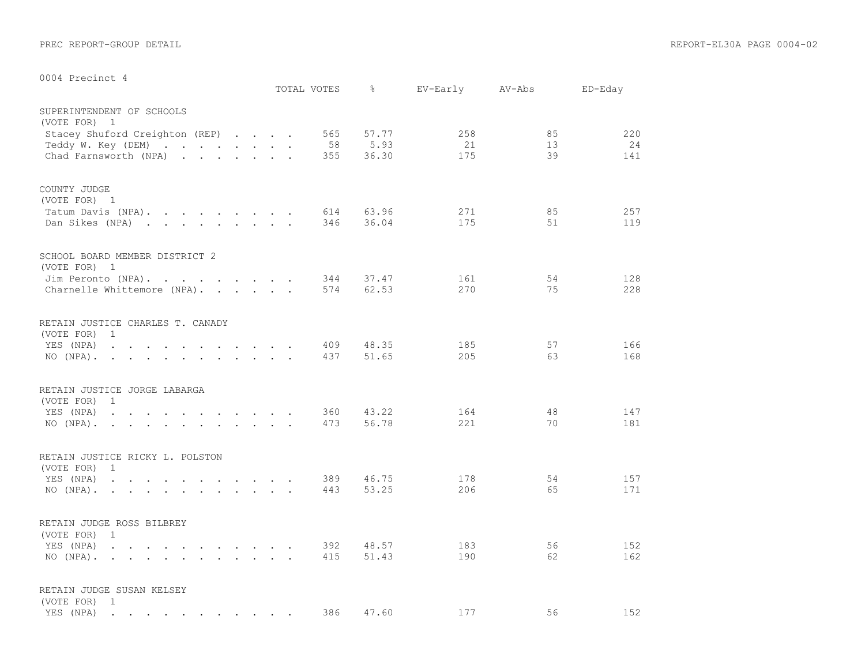|                                                                                                                                                                                                                                                                                          | TOTAL VOTES      | 옹                      | EV-Early         | AV-Abs         | ED-Eday          |
|------------------------------------------------------------------------------------------------------------------------------------------------------------------------------------------------------------------------------------------------------------------------------------------|------------------|------------------------|------------------|----------------|------------------|
| SUPERINTENDENT OF SCHOOLS<br>(VOTE FOR) 1<br>Stacey Shuford Creighton (REP)<br>Teddy W. Key (DEM)<br>Chad Farnsworth (NPA)                                                                                                                                                               | 565<br>58<br>355 | 57.77<br>5.93<br>36.30 | 258<br>21<br>175 | 85<br>13<br>39 | 220<br>24<br>141 |
| COUNTY JUDGE<br>(VOTE FOR) 1<br>Tatum Davis (NPA).<br>Dan Sikes (NPA)                                                                                                                                                                                                                    | 614<br>346       | 63.96<br>36.04         | 271<br>175       | 85<br>51       | 257<br>119       |
| SCHOOL BOARD MEMBER DISTRICT 2<br>(VOTE FOR) 1<br>Jim Peronto (NPA).<br>Charnelle Whittemore (NPA).                                                                                                                                                                                      | 344<br>574       | 37.47<br>62.53         | 161<br>270       | 54<br>75       | 128<br>228       |
| RETAIN JUSTICE CHARLES T. CANADY<br>(VOTE FOR)<br>$\mathbf{1}$<br>YES (NPA)<br>the contract of the contract of the contract of the contract of the contract of the contract of the contract of<br>NO (NPA).                                                                              | 409<br>437       | 48.35<br>51.65         | 185<br>205       | 57<br>63       | 166<br>168       |
| RETAIN JUSTICE JORGE LABARGA<br>(VOTE FOR)<br><sup>1</sup><br>YES (NPA)<br>the contract of the contract of the contract of the contract of the contract of the contract of the contract of<br>$NO (NPA)$ .                                                                               | 360<br>473       | 43.22<br>56.78         | 164<br>221       | 48<br>70       | 147<br>181       |
| RETAIN JUSTICE RICKY L. POLSTON<br>(VOTE FOR)<br>$\mathbf{1}$<br>YES (NPA)<br>$\mathbf{r}$ , and $\mathbf{r}$ , and $\mathbf{r}$ , and $\mathbf{r}$ , and $\mathbf{r}$ , and $\mathbf{r}$<br>$NO (NPA)$ , , , , , , , , , , , ,                                                          | 389<br>443       | 46.75<br>53.25         | 178<br>206       | 54<br>65       | 157<br>171       |
| RETAIN JUDGE ROSS BILBREY<br>(VOTE FOR)<br>$\mathbf{1}$<br>$\mathbf{r}$ , $\mathbf{r}$ , $\mathbf{r}$ , $\mathbf{r}$ , $\mathbf{r}$ , $\mathbf{r}$ , $\mathbf{r}$ , $\mathbf{r}$<br>YES (NPA)<br>$NO (NPA)$ .                                                                            | 392<br>415       | 48.57<br>51.43         | 183<br>190       | 56<br>62       | 152<br>162       |
| RETAIN JUDGE SUSAN KELSEY<br>(VOTE FOR) 1<br>YES (NPA)<br>the contract of the contract of the contract of the contract of the contract of the contract of the contract of the contract of the contract of the contract of the contract of the contract of the contract of the contract o | 386              | 47.60                  | 177              | 56             | 152              |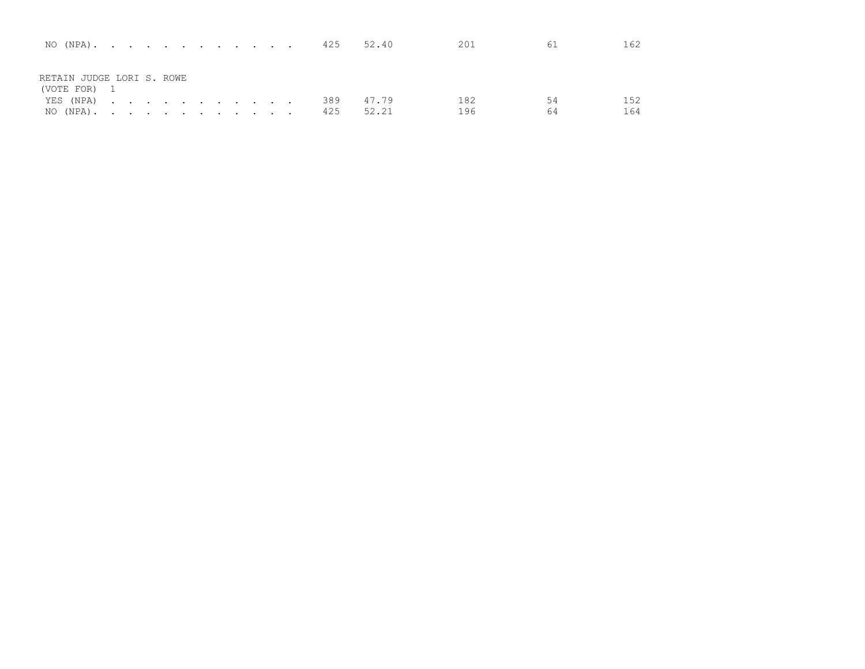|                           |  |  |  |  |  |               | NO (NPA). 425 52.40 | 201 | 61 | 162 |
|---------------------------|--|--|--|--|--|---------------|---------------------|-----|----|-----|
|                           |  |  |  |  |  |               |                     |     |    |     |
|                           |  |  |  |  |  |               |                     |     |    |     |
| RETAIN JUDGE LORI S. ROWE |  |  |  |  |  |               |                     |     |    |     |
| (VOTE FOR) 1              |  |  |  |  |  |               |                     |     |    |     |
| YES (NPA)                 |  |  |  |  |  | 389           | 47.79               | 182 | 54 | 152 |
|                           |  |  |  |  |  | NO (NPA). 425 | 52.21               | 196 | 64 | 164 |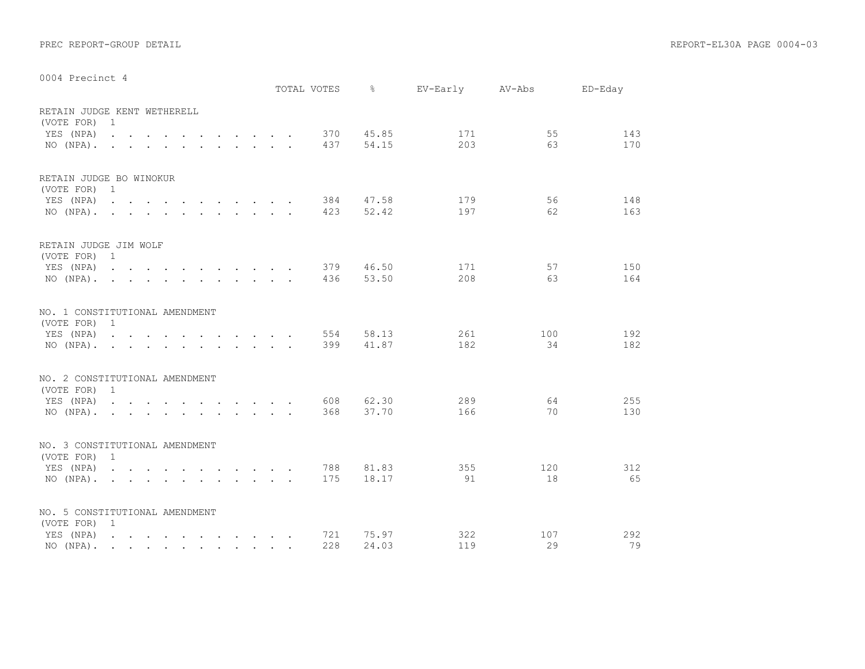|                                                |                                       |  |  |  |  |  | TOTAL VOTES | $\approx$ | EV-Early AV-Abs |     | ED-Eday |
|------------------------------------------------|---------------------------------------|--|--|--|--|--|-------------|-----------|-----------------|-----|---------|
| RETAIN JUDGE KENT WETHERELL<br>(VOTE FOR)      | $\mathbf{1}$                          |  |  |  |  |  |             |           |                 |     |         |
| YES (NPA)                                      |                                       |  |  |  |  |  | 370         | 45.85     | 171             | 55  | 143     |
| NO $(NPA)$ , , , , , , , , , , , ,             |                                       |  |  |  |  |  | 437         | 54.15     | 203             | 63  | 170     |
| RETAIN JUDGE BO WINOKUR<br>(VOTE FOR)          | $\overline{1}$                        |  |  |  |  |  |             |           |                 |     |         |
| YES (NPA)                                      |                                       |  |  |  |  |  | 384         | 47.58     | 179             | 56  | 148     |
| $NO (NPA)$ .                                   |                                       |  |  |  |  |  | 423         | 52.42     | 197             | 62  | 163     |
| RETAIN JUDGE JIM WOLF<br>(VOTE FOR) 1          |                                       |  |  |  |  |  |             |           |                 |     |         |
| YES (NPA)                                      |                                       |  |  |  |  |  | 379         | 46.50     | 171             | 57  | 150     |
| NO $(NPA)$ .                                   |                                       |  |  |  |  |  | 436         | 53.50     | 208             | 63  | 164     |
| NO. 1 CONSTITUTIONAL AMENDMENT<br>(VOTE FOR)   | 1                                     |  |  |  |  |  |             |           |                 |     |         |
| YES (NPA)                                      |                                       |  |  |  |  |  | 554         | 58.13     | 261             | 100 | 192     |
| NO (NPA)                                       |                                       |  |  |  |  |  | 399         | 41.87     | 182             | 34  | 182     |
| NO. 2 CONSTITUTIONAL AMENDMENT<br>(VOTE FOR) 1 |                                       |  |  |  |  |  |             |           |                 |     |         |
| YES (NPA)                                      | <u>na kama sa sana sa sa sa sa sa</u> |  |  |  |  |  | 608         | 62.30     | 289             | 64  | 255     |
| $NO (NPA)$ .                                   |                                       |  |  |  |  |  | 368         | 37.70     | 166             | 70  | 130     |
| NO. 3 CONSTITUTIONAL AMENDMENT<br>(VOTE FOR) 1 |                                       |  |  |  |  |  |             |           |                 |     |         |
| YES (NPA)                                      |                                       |  |  |  |  |  | 788         | 81.83     | 355             | 120 | 312     |
| $NO (NPA)$ , , , , , , , , , , , ,             |                                       |  |  |  |  |  | 175         | 18.17     | 91              | 18  | 65      |
| NO. 5 CONSTITUTIONAL AMENDMENT                 |                                       |  |  |  |  |  |             |           |                 |     |         |
| (VOTE FOR)<br>YES (NPA)                        | $\overline{1}$                        |  |  |  |  |  | 721         | 75.97     | 322             | 107 | 292     |
| $NO (NPA)$ .                                   |                                       |  |  |  |  |  | 228         | 24.03     | 119             | 29  | 79      |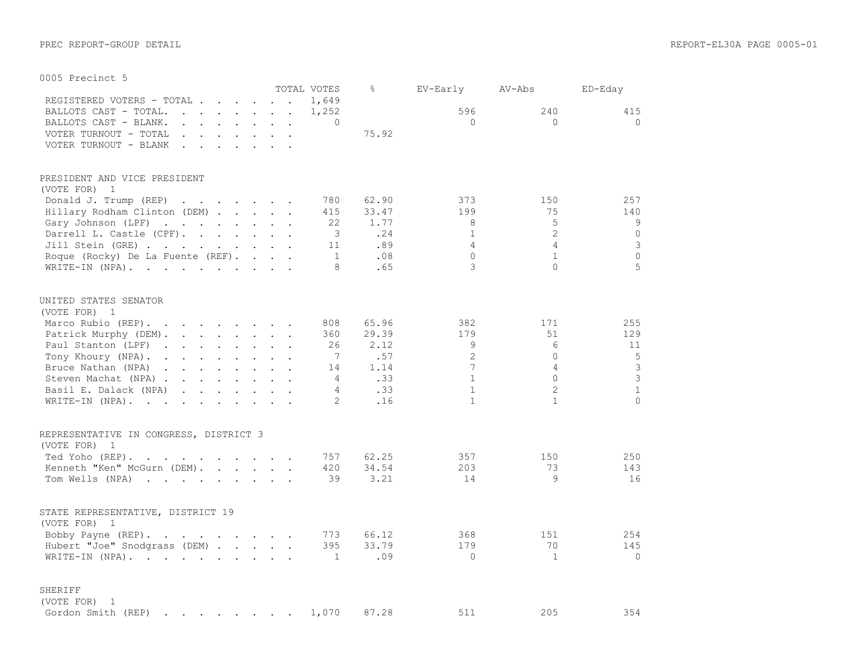|                                                                                                                                                                                                                                                                                 | TOTAL VOTES    | $\approx$ | EV-Early       | AV-Abs         | ED-Eday      |
|---------------------------------------------------------------------------------------------------------------------------------------------------------------------------------------------------------------------------------------------------------------------------------|----------------|-----------|----------------|----------------|--------------|
| REGISTERED VOTERS - TOTAL .<br>$\mathbf{r}$ . The set of the set of the set of the set of the set of the set of the set of the set of the set of the set of the set of the set of the set of the set of the set of the set of the set of the set of the set of t                | 1,649          |           |                |                |              |
| BALLOTS CAST - TOTAL.<br>$\mathbf{r}$ , $\mathbf{r}$ , $\mathbf{r}$ , $\mathbf{r}$ , $\mathbf{r}$ , $\mathbf{r}$                                                                                                                                                                | 1,252          |           | 596            | 240            | 415          |
| BALLOTS CAST - BLANK.<br>$\mathbf{r}$ , $\mathbf{r}$ , $\mathbf{r}$ , $\mathbf{r}$ , $\mathbf{r}$ , $\mathbf{r}$<br>$\sim$                                                                                                                                                      | $\Omega$       |           | $\Omega$       | $\bigcap$      | $\Omega$     |
| VOTER TURNOUT - TOTAL                                                                                                                                                                                                                                                           |                | 75.92     |                |                |              |
| VOTER TURNOUT - BLANK<br>$\mathbf{r}$ , $\mathbf{r}$ , $\mathbf{r}$ , $\mathbf{r}$ , $\mathbf{r}$<br>$\ddot{\phantom{a}}$                                                                                                                                                       |                |           |                |                |              |
|                                                                                                                                                                                                                                                                                 |                |           |                |                |              |
| PRESIDENT AND VICE PRESIDENT<br>(VOTE FOR)<br>1                                                                                                                                                                                                                                 |                |           |                |                |              |
| Donald J. Trump (REP)<br>the contract of the contract of the contract of the contract of the contract of the contract of the contract of                                                                                                                                        | 780            | 62.90     | 373            | 150            | 257          |
| Hillary Rodham Clinton (DEM)                                                                                                                                                                                                                                                    | 415            | 33.47     | 199            | 75             | 140          |
| Gary Johnson (LPF)<br>$\mathcal{L}(\mathcal{A})$ . The contribution of the contribution of $\mathcal{A}$                                                                                                                                                                        | 22             | 1.77      | 8              | 5              | 9            |
| Darrell L. Castle (CPF).                                                                                                                                                                                                                                                        | 3              | .24       | $\mathbf{1}$   | $\overline{2}$ | $\circ$      |
|                                                                                                                                                                                                                                                                                 | 11             | .89       | $\overline{4}$ | $\overline{4}$ | 3            |
| Jill Stein (GRE)                                                                                                                                                                                                                                                                |                |           | $\Omega$       | $\mathbf{1}$   | $\Omega$     |
| Roque (Rocky) De La Fuente (REF).                                                                                                                                                                                                                                               | $\mathbf{1}$   | .08       | 3              | $\cap$         | 5            |
| WRITE-IN (NPA).                                                                                                                                                                                                                                                                 | 8              | .65       |                |                |              |
| UNITED STATES SENATOR<br>(VOTE FOR) 1                                                                                                                                                                                                                                           |                |           |                |                |              |
| Marco Rubio (REP).<br>$\mathbf{r}$ . The contract of the contract of the contract of the contract of the contract of the contract of the contract of the contract of the contract of the contract of the contract of the contract of the contract of th                         | 808            | 65.96     | 382            | 171            | 255          |
| Patrick Murphy (DEM).<br>$\mathbf{r}$ , $\mathbf{r}$ , $\mathbf{r}$ , $\mathbf{r}$ , $\mathbf{r}$ , $\mathbf{r}$                                                                                                                                                                | 360            | 29.39     | 179            | 51             | 129          |
| Paul Stanton (LPF)<br>$\mathbf{r} = \mathbf{r} + \mathbf{r} + \mathbf{r} + \mathbf{r} + \mathbf{r} + \mathbf{r} + \mathbf{r}$<br>$\sim$                                                                                                                                         | 26             | 2.12      | 9              | 6              | 11           |
| Tony Khoury (NPA).<br>$\mathbf{r}$ , $\mathbf{r}$ , $\mathbf{r}$ , $\mathbf{r}$ , $\mathbf{r}$ , $\mathbf{r}$ , $\mathbf{r}$                                                                                                                                                    | 7              | .57       | $\overline{2}$ | $\Omega$       | 5            |
| Bruce Nathan (NPA)<br>$\mathbf{r}$ . The contract of the contract of the contract of the contract of the contract of the contract of the contract of the contract of the contract of the contract of the contract of the contract of the contract of th<br>$\ddot{\phantom{a}}$ | 14             | 1.14      | 7              | $\overline{4}$ | 3            |
| Steven Machat (NPA) .<br>$\mathbf{r}$ . The contract of the contract of the contract of the contract of the contract of the contract of the contract of the contract of the contract of the contract of the contract of the contract of the contract of th                      | $\overline{4}$ | .33       | $\mathbf{1}$   | $\Omega$       | 3            |
| Basil E. Dalack (NPA)<br>and the contract of the contract of the contract of the contract of the contract of the contract of the contract of the contract of the contract of the contract of the contract of the contract of the contract of the contra                         | $\overline{4}$ | .33       | $\mathbf{1}$   | $\overline{2}$ | $\mathbf{1}$ |
| WRITE-IN (NPA).                                                                                                                                                                                                                                                                 | $\overline{2}$ | .16       | $\mathbf{1}$   | $\mathbf{1}$   | $\Omega$     |
| REPRESENTATIVE IN CONGRESS, DISTRICT 3<br>(VOTE FOR)<br>$\mathbf{1}$                                                                                                                                                                                                            |                |           |                |                |              |
| Ted Yoho (REP).<br>the contract of the contract of the contract of                                                                                                                                                                                                              | 757            | 62.25     | 357            | 150            | 250          |
| Kenneth "Ken" McGurn (DEM).                                                                                                                                                                                                                                                     | 420            | 34.54     | 203            | 73             | 143          |
| Tom Wells (NPA)                                                                                                                                                                                                                                                                 | 39             | 3.21      | 14             | 9              | 16           |
|                                                                                                                                                                                                                                                                                 |                |           |                |                |              |
| STATE REPRESENTATIVE, DISTRICT 19<br>(VOTE FOR)<br>$\mathbf{1}$                                                                                                                                                                                                                 |                |           |                |                |              |
| Bobby Payne (REP).                                                                                                                                                                                                                                                              | 773            | 66.12     | 368            | 151            | 254          |
| Hubert "Joe" Snodgrass (DEM)                                                                                                                                                                                                                                                    | 395            | 33.79     | 179            | 70             | 145          |
| WRITE-IN (NPA).                                                                                                                                                                                                                                                                 | $\mathbf{1}$   | .09       | $\circ$        | $\mathbf{1}$   | $\Omega$     |
| SHERIFF                                                                                                                                                                                                                                                                         |                |           |                |                |              |
| (VOTE FOR)<br>1                                                                                                                                                                                                                                                                 |                |           |                |                |              |
| Gordon Smith (REP)                                                                                                                                                                                                                                                              | 1,070          | 87.28     | 511            | 205            | 354          |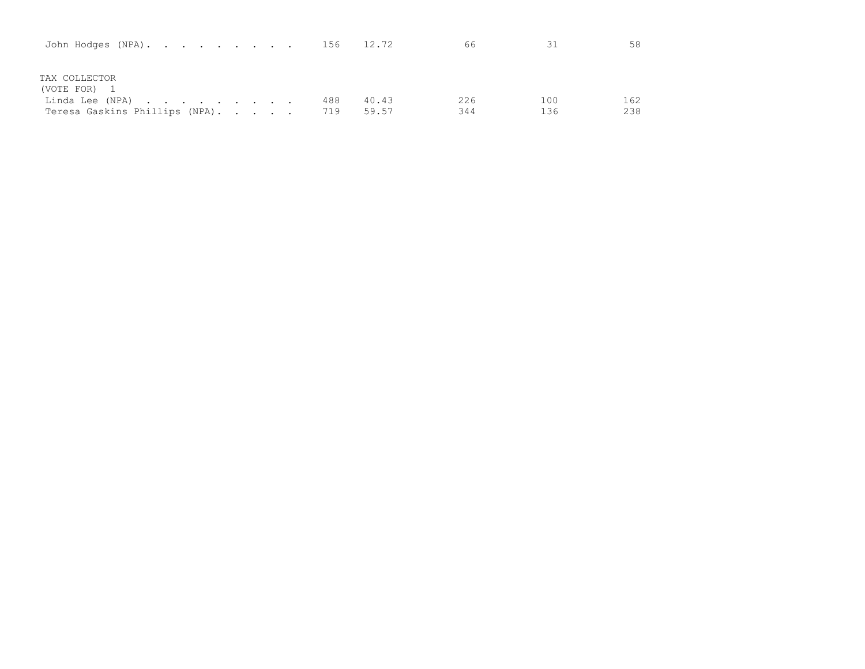| John Hodges (NPA). 156                               |  |  |     | 12.72 | 66  |     | 58  |
|------------------------------------------------------|--|--|-----|-------|-----|-----|-----|
| TAX COLLECTOR<br>(VOTE FOR) 1                        |  |  | 488 | 40.43 | 226 | 100 | 162 |
| Linda Lee (NPA)<br>Teresa Gaskins Phillips (NPA) 719 |  |  |     | 59.57 | 344 | 136 | 238 |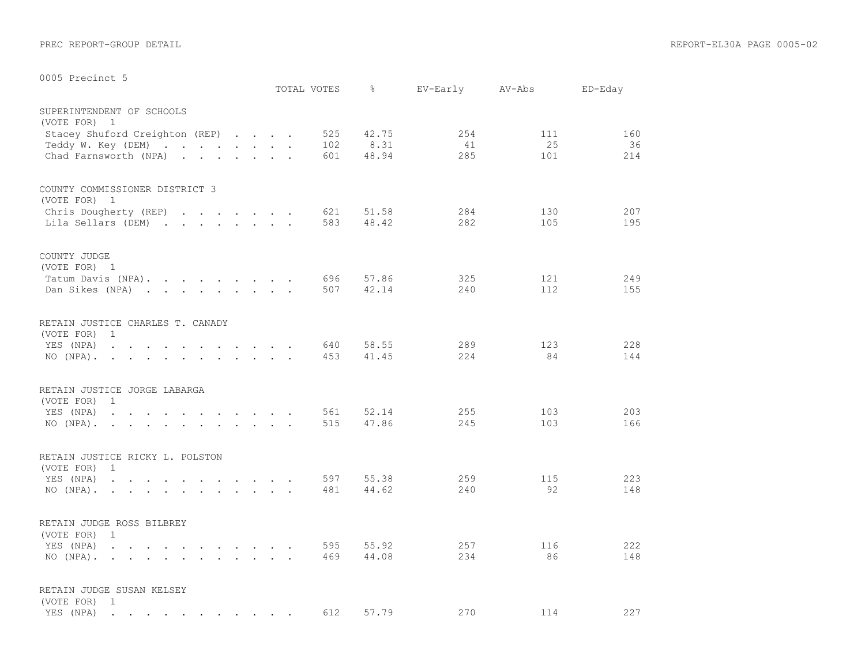| OODS RIECTHEL S                                                                                                                                                                                                                                                                                                                                                                                                                                                         | TOTAL VOTES |     | $\frac{6}{6}$ | EV-Early | AV-Abs | ED-Eday |
|-------------------------------------------------------------------------------------------------------------------------------------------------------------------------------------------------------------------------------------------------------------------------------------------------------------------------------------------------------------------------------------------------------------------------------------------------------------------------|-------------|-----|---------------|----------|--------|---------|
| SUPERINTENDENT OF SCHOOLS<br>(VOTE FOR) 1                                                                                                                                                                                                                                                                                                                                                                                                                               |             |     |               |          |        |         |
| Stacey Shuford Creighton (REP)                                                                                                                                                                                                                                                                                                                                                                                                                                          |             | 525 | 42.75         | 254      | 111    | 160     |
| Teddy W. Key (DEM)                                                                                                                                                                                                                                                                                                                                                                                                                                                      |             | 102 | 8.31          | 41       | 25     | 36      |
| Chad Farnsworth (NPA)                                                                                                                                                                                                                                                                                                                                                                                                                                                   |             | 601 | 48.94         | 285      | 101    | 214     |
| COUNTY COMMISSIONER DISTRICT 3<br>(VOTE FOR) 1                                                                                                                                                                                                                                                                                                                                                                                                                          |             |     |               |          |        |         |
| Chris Dougherty (REP)                                                                                                                                                                                                                                                                                                                                                                                                                                                   |             | 621 | 51.58         | 284      | 130    | 207     |
| Lila Sellars (DEM)                                                                                                                                                                                                                                                                                                                                                                                                                                                      |             | 583 | 48.42         | 282      | 105    | 195     |
| COUNTY JUDGE<br>(VOTE FOR) 1                                                                                                                                                                                                                                                                                                                                                                                                                                            |             |     |               |          |        |         |
| Tatum Davis (NPA).                                                                                                                                                                                                                                                                                                                                                                                                                                                      |             | 696 | 57.86         | 325      | 121    | 249     |
| Dan Sikes (NPA)                                                                                                                                                                                                                                                                                                                                                                                                                                                         |             | 507 | 42.14         | 240      | 112    | 155     |
| RETAIN JUSTICE CHARLES T. CANADY<br>(VOTE FOR)<br>$\overline{1}$                                                                                                                                                                                                                                                                                                                                                                                                        |             |     |               |          |        |         |
| YES (NPA)<br>the contract of the contract of the contract of the contract of the contract of the contract of the contract of                                                                                                                                                                                                                                                                                                                                            |             | 640 | 58.55         | 289      | 123    | 228     |
| $\mathbf{r}$ . The state of the state of the state $\mathbf{r}$<br>NO (NPA).                                                                                                                                                                                                                                                                                                                                                                                            |             | 453 | 41.45         | 224      | 84     | 144     |
| RETAIN JUSTICE JORGE LABARGA<br>(VOTE FOR)<br>$\overline{1}$                                                                                                                                                                                                                                                                                                                                                                                                            |             |     |               |          |        |         |
| YES (NPA)<br>$\mathbf{r}$ , $\mathbf{r}$ , $\mathbf{r}$ , $\mathbf{r}$<br>$\sim$<br>$\sim$                                                                                                                                                                                                                                                                                                                                                                              |             | 561 | 52.14         | 255      | 103    | 203     |
| $NO (NPA)$ .<br>$\mathcal{L}^{\text{max}}$ , and $\mathcal{L}^{\text{max}}$ , and $\mathcal{L}^{\text{max}}$<br>$\sim$<br>$\sim$ $\sim$ $\sim$                                                                                                                                                                                                                                                                                                                          |             | 515 | 47.86         | 245      | 103    | 166     |
| RETAIN JUSTICE RICKY L. POLSTON                                                                                                                                                                                                                                                                                                                                                                                                                                         |             |     |               |          |        |         |
| (VOTE FOR)<br>$\mathbf{1}$<br>YES (NPA)<br>and a series of the contract of the series of the series of the series of the series of the series of the series of the series of the series of the series of the series of the series of the series of the series of the seri                                                                                                                                                                                               |             | 597 | 55.38         | 259      | 115    | 223     |
| NO (NPA).<br>the contract of the contract of the contract of the contract of the contract of the contract of the contract of                                                                                                                                                                                                                                                                                                                                            |             | 481 | 44.62         | 240      | 92     | 148     |
| RETAIN JUDGE ROSS BILBREY<br>(VOTE FOR)<br>$\mathbf{1}$                                                                                                                                                                                                                                                                                                                                                                                                                 |             |     |               |          |        |         |
| YES (NPA)<br>$\mathbf{1} \qquad \mathbf{1} \qquad \mathbf{1} \qquad \mathbf{1} \qquad \mathbf{1} \qquad \mathbf{1} \qquad \mathbf{1} \qquad \mathbf{1} \qquad \mathbf{1} \qquad \mathbf{1} \qquad \mathbf{1} \qquad \mathbf{1} \qquad \mathbf{1} \qquad \mathbf{1} \qquad \mathbf{1} \qquad \mathbf{1} \qquad \mathbf{1} \qquad \mathbf{1} \qquad \mathbf{1} \qquad \mathbf{1} \qquad \mathbf{1} \qquad \mathbf{1} \qquad \mathbf{1} \qquad \mathbf{1} \qquad \mathbf{$ |             | 595 | 55.92         | 257      | 116    | 222     |
| and the contract of the contract of the contract of the contract of the contract of the contract of the contract of the contract of the contract of the contract of the contract of the contract of the contract of the contra<br>NO (NPA).                                                                                                                                                                                                                             |             | 469 | 44.08         | 234      | 86     | 148     |
| RETAIN JUDGE SUSAN KELSEY<br>(VOTE FOR)<br>$\overline{1}$                                                                                                                                                                                                                                                                                                                                                                                                               |             |     |               |          |        |         |
| YES (NPA)<br>and a series of the series of the series of the series of the series of the series of the series of the series of the series of the series of the series of the series of the series of the series of the series of the series                                                                                                                                                                                                                             |             | 612 | 57.79         | 270      | 114    | 227     |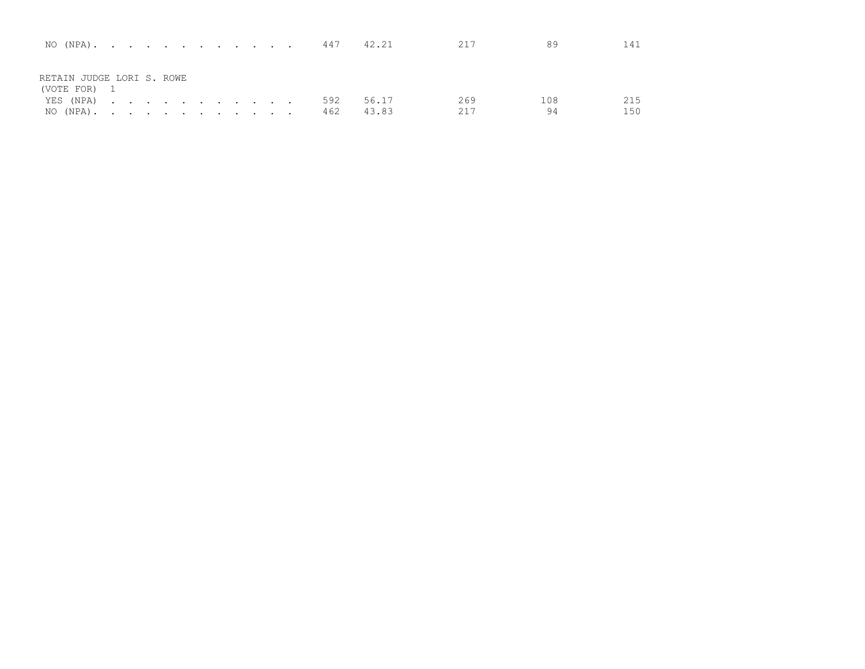| NO (NPA). 447             |  |  |  |  |  |     | 42.21 | 217 | 89  | 141 |
|---------------------------|--|--|--|--|--|-----|-------|-----|-----|-----|
|                           |  |  |  |  |  |     |       |     |     |     |
| RETAIN JUDGE LORI S. ROWE |  |  |  |  |  |     |       |     |     |     |
| (VOTE FOR) 1              |  |  |  |  |  |     |       |     |     |     |
| YES (NPA)                 |  |  |  |  |  | 592 | 56.17 | 269 | 108 | 215 |
| NO (NPA).                 |  |  |  |  |  | 462 | 43.83 | 217 | 94  | 150 |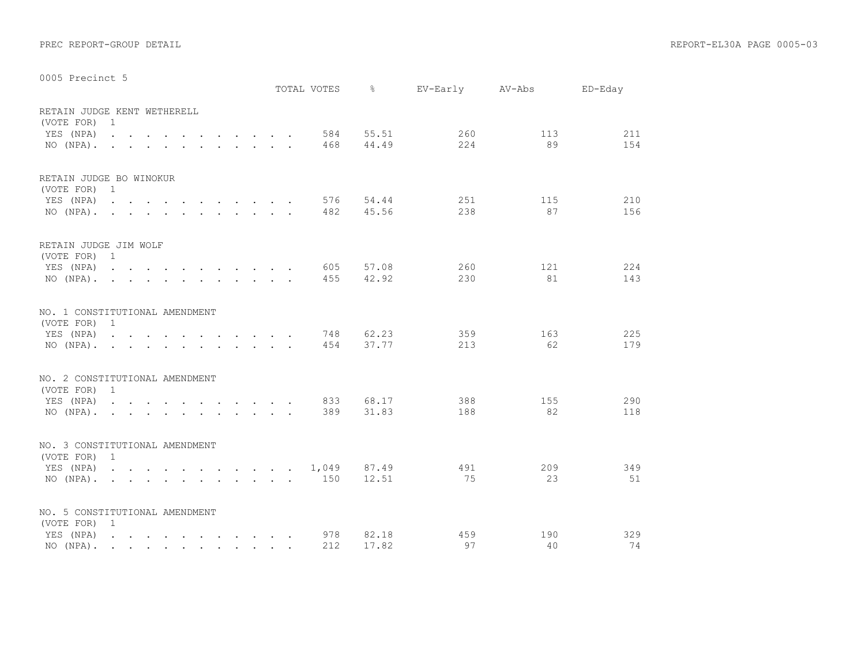|                                                |                                                                                          |  |  |  |  |  | TOTAL VOTES | $\approx$ |     | EV-Early AV-Abs | ED-Eday |
|------------------------------------------------|------------------------------------------------------------------------------------------|--|--|--|--|--|-------------|-----------|-----|-----------------|---------|
| RETAIN JUDGE KENT WETHERELL<br>(VOTE FOR)      | $\overline{1}$                                                                           |  |  |  |  |  |             |           |     |                 |         |
| YES (NPA)                                      |                                                                                          |  |  |  |  |  | 584         | 55.51     | 260 | 113             | 211     |
| NO (NPA), , , , , , , , , , , , ,              |                                                                                          |  |  |  |  |  | 468         | 44.49     | 224 | 89              | 154     |
| RETAIN JUDGE BO WINOKUR<br>(VOTE FOR) 1        |                                                                                          |  |  |  |  |  |             |           |     |                 |         |
| YES (NPA)                                      | $\mathbf{r}$ , and $\mathbf{r}$ , and $\mathbf{r}$ , and $\mathbf{r}$ , and $\mathbf{r}$ |  |  |  |  |  | 576         | 54.44     | 251 | 115             | 210     |
| $NO (NPA)$ , , , , , , , , , , , ,             |                                                                                          |  |  |  |  |  | 482         | 45.56     | 238 | 87              | 156     |
| RETAIN JUDGE JIM WOLF<br>(VOTE FOR) 1          |                                                                                          |  |  |  |  |  |             |           |     |                 |         |
| YES (NPA)                                      |                                                                                          |  |  |  |  |  | 605         | 57.08     | 260 | 121             | 224     |
| $NO (NPA)$ , , , , , , , , , , , ,             |                                                                                          |  |  |  |  |  | 455         | 42.92     | 230 | 81              | 143     |
| NO. 1 CONSTITUTIONAL AMENDMENT<br>(VOTE FOR)   | 1                                                                                        |  |  |  |  |  |             |           |     |                 |         |
| YES (NPA)                                      |                                                                                          |  |  |  |  |  | 748         | 62.23     | 359 | 163             | 225     |
| $NO (NPA)$ , , , , , , , , , , , ,             |                                                                                          |  |  |  |  |  | 454         | 37.77     | 213 | 62              | 179     |
| NO. 2 CONSTITUTIONAL AMENDMENT<br>(VOTE FOR) 1 |                                                                                          |  |  |  |  |  |             |           |     |                 |         |
| YES (NPA)                                      |                                                                                          |  |  |  |  |  | 833         | 68.17     | 388 | 155             | 290     |
| NO $(NPA)$ , , , , , , , , , , , ,             |                                                                                          |  |  |  |  |  | 389         | 31.83     | 188 | 82              | 118     |
| NO. 3 CONSTITUTIONAL AMENDMENT<br>(VOTE FOR) 1 |                                                                                          |  |  |  |  |  |             |           |     |                 |         |
| YES (NPA) 1,049                                |                                                                                          |  |  |  |  |  |             | 87.49     | 491 | 209             | 349     |
| NO (NPA). 150                                  |                                                                                          |  |  |  |  |  |             | 12.51     | 75  | 23              | 51      |
| NO. 5 CONSTITUTIONAL AMENDMENT                 |                                                                                          |  |  |  |  |  |             |           |     |                 |         |
| (VOTE FOR) 1<br>YES (NPA)                      |                                                                                          |  |  |  |  |  | 978         | 82.18     | 459 | 190             | 329     |
| $NO (NPA)$ .                                   |                                                                                          |  |  |  |  |  | 212         | 17.82     | 97  | 40              | 74      |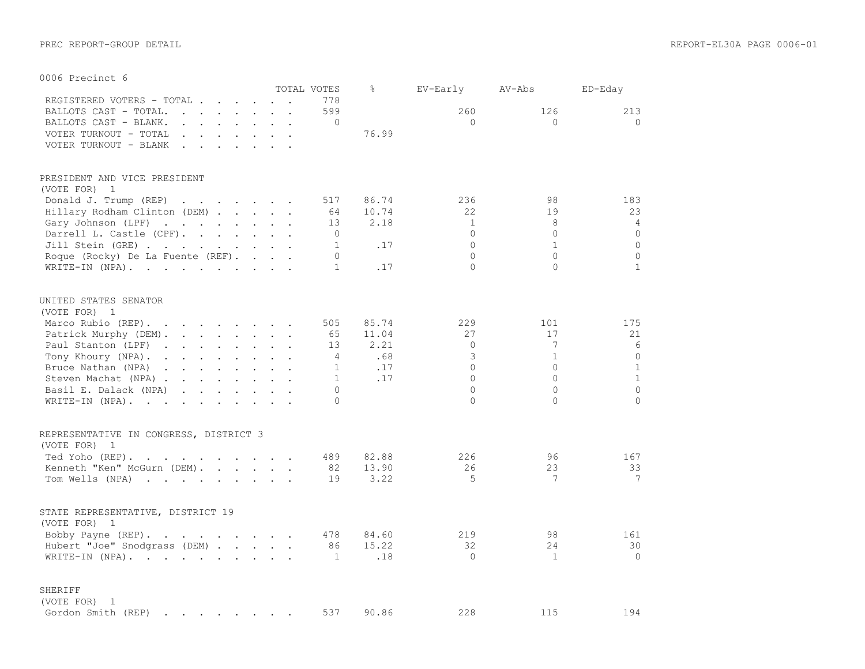|                                                                                                                                                                                                                                                         |  |                      | TOTAL VOTES    | 옹     | EV-Early     | AV-Abs       | ED-Eday        |
|---------------------------------------------------------------------------------------------------------------------------------------------------------------------------------------------------------------------------------------------------------|--|----------------------|----------------|-------|--------------|--------------|----------------|
| REGISTERED VOTERS - TOTAL                                                                                                                                                                                                                               |  |                      | 778            |       |              |              |                |
| BALLOTS CAST - TOTAL.<br>and the contract of the state of the state of                                                                                                                                                                                  |  | $\ddot{\phantom{a}}$ | 599            |       | 260          | 126          | 213            |
| BALLOTS CAST - BLANK.<br>and the contract of the contract of the contract of the contract of the contract of the contract of the contract of the contract of the contract of the contract of the contract of the contract of the contract of the contra |  |                      | $\Omega$       |       | $\Omega$     | $\Omega$     | $\Omega$       |
| VOTER TURNOUT - TOTAL                                                                                                                                                                                                                                   |  |                      |                | 76.99 |              |              |                |
| $\mathbf{r}$ . The contract of the contract of the contract of the contract of the contract of the contract of the contract of the contract of the contract of the contract of the contract of the contract of the contract of th                       |  |                      |                |       |              |              |                |
| VOTER TURNOUT - BLANK.                                                                                                                                                                                                                                  |  |                      |                |       |              |              |                |
| PRESIDENT AND VICE PRESIDENT<br>(VOTE FOR)<br>1                                                                                                                                                                                                         |  |                      |                |       |              |              |                |
| Donald J. Trump (REP)                                                                                                                                                                                                                                   |  |                      | 517            | 86.74 | 236          | 98           | 183            |
| Hillary Rodham Clinton (DEM)                                                                                                                                                                                                                            |  |                      | 64             | 10.74 | 22           | 19           | 23             |
|                                                                                                                                                                                                                                                         |  |                      |                | 2.18  | $\mathbf{1}$ | 8            | 4              |
| Gary Johnson (LPF)                                                                                                                                                                                                                                      |  |                      | 13             |       |              |              |                |
| Darrell L. Castle (CPF).                                                                                                                                                                                                                                |  |                      | 0              |       | $\Omega$     | $\Omega$     | $\circ$        |
| Jill Stein (GRE)                                                                                                                                                                                                                                        |  |                      | $\mathbf{1}$   | .17   | $\Omega$     | $\mathbf{1}$ | $\Omega$       |
| Roque (Rocky) De La Fuente (REF).                                                                                                                                                                                                                       |  |                      | $\Omega$       |       | $\Omega$     | $\Omega$     | $\circ$        |
| WRITE-IN (NPA).                                                                                                                                                                                                                                         |  |                      | $\mathbf{1}$   | .17   | $\Omega$     | $\Omega$     | $\mathbf{1}$   |
| UNITED STATES SENATOR                                                                                                                                                                                                                                   |  |                      |                |       |              |              |                |
| (VOTE FOR) 1                                                                                                                                                                                                                                            |  |                      |                |       |              |              |                |
| Marco Rubio (REP).                                                                                                                                                                                                                                      |  |                      | 505            | 85.74 | 229          | 101          | 175            |
| Patrick Murphy (DEM).                                                                                                                                                                                                                                   |  |                      | 65             | 11.04 | 27           | 17           | 21             |
| Paul Stanton (LPF)                                                                                                                                                                                                                                      |  |                      | 13             | 2.21  | $\Omega$     | 7            | 6              |
| Tony Khoury (NPA).                                                                                                                                                                                                                                      |  |                      | $\overline{4}$ | .68   | 3            | $\mathbf{1}$ | $\circ$        |
| Bruce Nathan (NPA)<br>$\mathbf{r}$ , $\mathbf{r}$ , $\mathbf{r}$ , $\mathbf{r}$ , $\mathbf{r}$ , $\mathbf{r}$                                                                                                                                           |  |                      | $\mathbf{1}$   | .17   | $\Omega$     | $\Omega$     | $\mathbf{1}$   |
| Steven Machat (NPA)                                                                                                                                                                                                                                     |  |                      | $\mathbf{1}$   | .17   | $\Omega$     | $\Omega$     | $\mathbf{1}$   |
|                                                                                                                                                                                                                                                         |  |                      | $\Omega$       |       | $\Omega$     | $\Omega$     | $\overline{0}$ |
| Basil E. Dalack (NPA)                                                                                                                                                                                                                                   |  |                      |                |       |              |              |                |
| WRITE-IN $(NPA)$ .                                                                                                                                                                                                                                      |  |                      | $\Omega$       |       | $\Omega$     | $\Omega$     | $\Omega$       |
| REPRESENTATIVE IN CONGRESS, DISTRICT 3                                                                                                                                                                                                                  |  |                      |                |       |              |              |                |
| (VOTE FOR) 1                                                                                                                                                                                                                                            |  |                      |                |       |              |              |                |
| Ted Yoho (REP).<br>the contract of the contract of the                                                                                                                                                                                                  |  |                      | 489            | 82.88 | 226          | 96           | 167            |
| Kenneth "Ken" McGurn (DEM).                                                                                                                                                                                                                             |  |                      | 82             | 13.90 | 26           | 23           | 33             |
| Tom Wells (NPA)                                                                                                                                                                                                                                         |  |                      | 19             | 3.22  | 5            | 7            | 7              |
|                                                                                                                                                                                                                                                         |  |                      |                |       |              |              |                |
| STATE REPRESENTATIVE, DISTRICT 19                                                                                                                                                                                                                       |  |                      |                |       |              |              |                |
| (VOTE FOR) 1                                                                                                                                                                                                                                            |  |                      |                |       |              |              |                |
| Bobby Payne (REP).                                                                                                                                                                                                                                      |  |                      | 478            | 84.60 | 219          | 98           | 161            |
| Hubert "Joe" Snodgrass (DEM)                                                                                                                                                                                                                            |  |                      | 86             | 15.22 | 32           | 24           | 30             |
| WRITE-IN (NPA).                                                                                                                                                                                                                                         |  |                      | 1              | .18   | $\Omega$     | $\mathbf{1}$ | $\Omega$       |
| <b>SHERIFF</b>                                                                                                                                                                                                                                          |  |                      |                |       |              |              |                |
| (VOTE FOR)<br>1                                                                                                                                                                                                                                         |  |                      |                |       |              |              |                |
| Gordon Smith (REP)<br>the contract of the contract of the contract of the contract of the contract of the contract of the contract of                                                                                                                   |  |                      | 537            | 90.86 | 228          | 115          | 194            |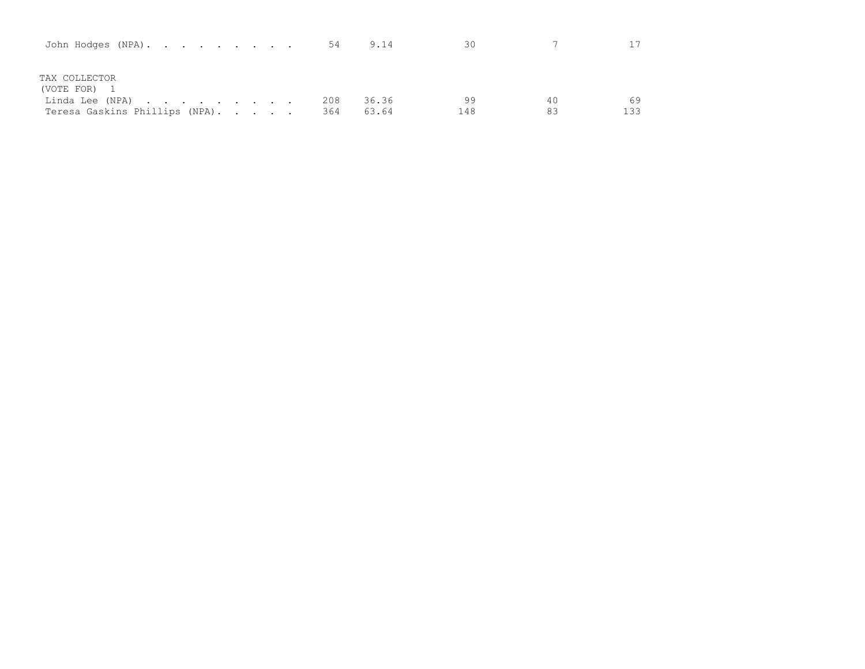| John Hodges (NPA).             |  |  | -54 | 9.14  | 30  | 7  |     |
|--------------------------------|--|--|-----|-------|-----|----|-----|
| TAX COLLECTOR                  |  |  |     |       |     |    |     |
| (VOTE FOR) 1                   |  |  |     |       |     |    |     |
| Linda Lee (NPA)                |  |  | 208 | 36.36 | 99  | 40 | 69  |
| Teresa Gaskins Phillips (NPA). |  |  | 364 | 63.64 | 148 | 83 | 133 |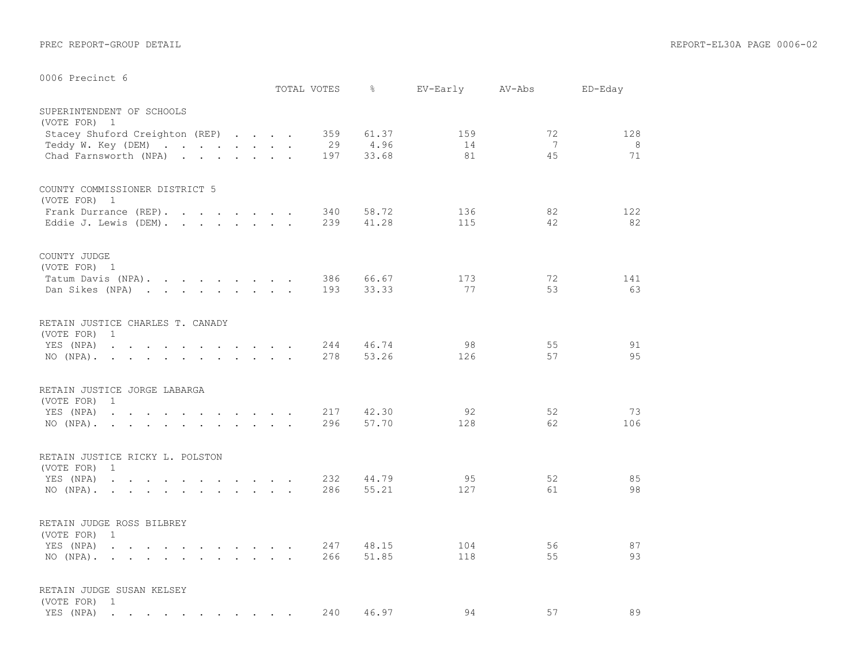| UUU6 Precinct 6                                                                                                                                                                                                                                                                                                                                                                                                                                              | TOTAL VOTES | $\frac{6}{6}$  | EV-Early   | AV-Abs   | ED-Eday   |
|--------------------------------------------------------------------------------------------------------------------------------------------------------------------------------------------------------------------------------------------------------------------------------------------------------------------------------------------------------------------------------------------------------------------------------------------------------------|-------------|----------------|------------|----------|-----------|
| SUPERINTENDENT OF SCHOOLS<br>(VOTE FOR) 1<br>Stacey Shuford Creighton (REP)<br>Teddy W. Key (DEM)                                                                                                                                                                                                                                                                                                                                                            | 359<br>29   | 61.37<br>4.96  | 159<br>14  | 72<br>7  | 128<br>8  |
| Chad Farnsworth (NPA)                                                                                                                                                                                                                                                                                                                                                                                                                                        | 197         | 33.68          | 81         | 45       | 71        |
| COUNTY COMMISSIONER DISTRICT 5<br>(VOTE FOR) 1                                                                                                                                                                                                                                                                                                                                                                                                               |             |                |            |          |           |
| Frank Durrance (REP).<br>$\mathbf{r}$ , $\mathbf{r}$ , $\mathbf{r}$ , $\mathbf{r}$ , $\mathbf{r}$ , $\mathbf{r}$<br>Eddie J. Lewis (DEM).                                                                                                                                                                                                                                                                                                                    | 340<br>239  | 58.72<br>41.28 | 136<br>115 | 82<br>42 | 122<br>82 |
| COUNTY JUDGE<br>(VOTE FOR) 1                                                                                                                                                                                                                                                                                                                                                                                                                                 |             |                |            |          |           |
| Tatum Davis (NPA).<br>Dan Sikes (NPA)                                                                                                                                                                                                                                                                                                                                                                                                                        | 386<br>193  | 66.67<br>33.33 | 173<br>77  | 72<br>53 | 141<br>63 |
| RETAIN JUSTICE CHARLES T. CANADY<br>(VOTE FOR)<br>1                                                                                                                                                                                                                                                                                                                                                                                                          |             |                |            |          |           |
| YES (NPA)<br>the contract of the contract of the contract of<br>NO (NPA).                                                                                                                                                                                                                                                                                                                                                                                    | 244<br>278  | 46.74<br>53.26 | 98<br>126  | 55<br>57 | 91<br>95  |
| RETAIN JUSTICE JORGE LABARGA<br>(VOTE FOR)<br>1                                                                                                                                                                                                                                                                                                                                                                                                              |             |                |            |          |           |
| YES (NPA)<br>$\mathbf{r} = \mathbf{r} \times \mathbf{r}$ . The set of $\mathbf{r}$<br>$\mathbf{r}$ . The contract of the contract of the contract of the contract of the contract of the contract of the contract of the contract of the contract of the contract of the contract of the contract of the contract of th<br>$\ddot{\phantom{a}}$<br>$NO (NPA)$ .<br>the contract of the contract of the contract of the contract of the contract of<br>$\sim$ | 217<br>296  | 42.30<br>57.70 | 92<br>128  | 52<br>62 | 73<br>106 |
| RETAIN JUSTICE RICKY L. POLSTON<br>(VOTE FOR)<br>1                                                                                                                                                                                                                                                                                                                                                                                                           |             |                |            |          |           |
| YES (NPA)<br>and a series of the contract of the series of the series of the series of the series of the series of the series of the series of the series of the series of the series of the series of the series of the series of the seri<br>$NO (NPA)$ .                                                                                                                                                                                                  | 232<br>286  | 44.79<br>55.21 | 95<br>127  | 52<br>61 | 85<br>98  |
| RETAIN JUDGE ROSS BILBREY<br>(VOTE FOR)<br>$\mathbf{1}$                                                                                                                                                                                                                                                                                                                                                                                                      |             |                |            |          |           |
| YES (NPA)<br>the contract of the contract of the contract of<br>NO (NPA).                                                                                                                                                                                                                                                                                                                                                                                    | 247<br>266  | 48.15<br>51.85 | 104<br>118 | 56<br>55 | 87<br>93  |
| RETAIN JUDGE SUSAN KELSEY<br>(VOTE FOR)<br>$\overline{1}$                                                                                                                                                                                                                                                                                                                                                                                                    |             |                |            |          |           |
| YES (NPA)<br>a construction of the construction of the construction of the construction of the construction of the construction of the construction of the construction of the construction of the construction of the construction of the                                                                                                                                                                                                                   | 240         | 46.97          | 94         | 57       | 89        |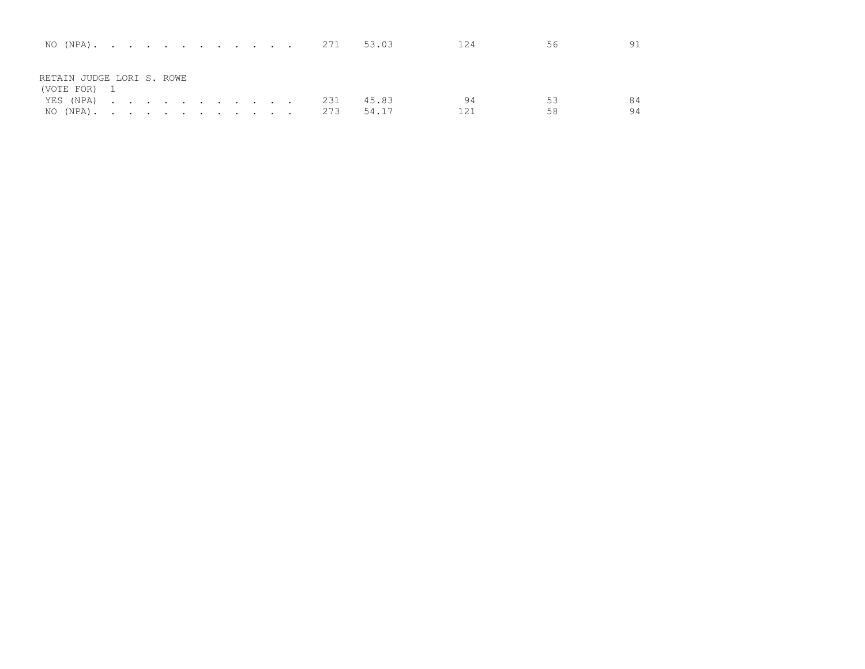|                               |  |  |  |  |  |  | NO (NPA). 271 53.03 | 124 |    |    |
|-------------------------------|--|--|--|--|--|--|---------------------|-----|----|----|
| RETAIN JUDGE LORI S. ROWE     |  |  |  |  |  |  |                     |     |    |    |
| (VOTE FOR) 1<br>YES (NPA) 231 |  |  |  |  |  |  | 45.83               | 94  |    |    |
| NO (NPA). 273                 |  |  |  |  |  |  | 54.17               | 121 | 58 | 94 |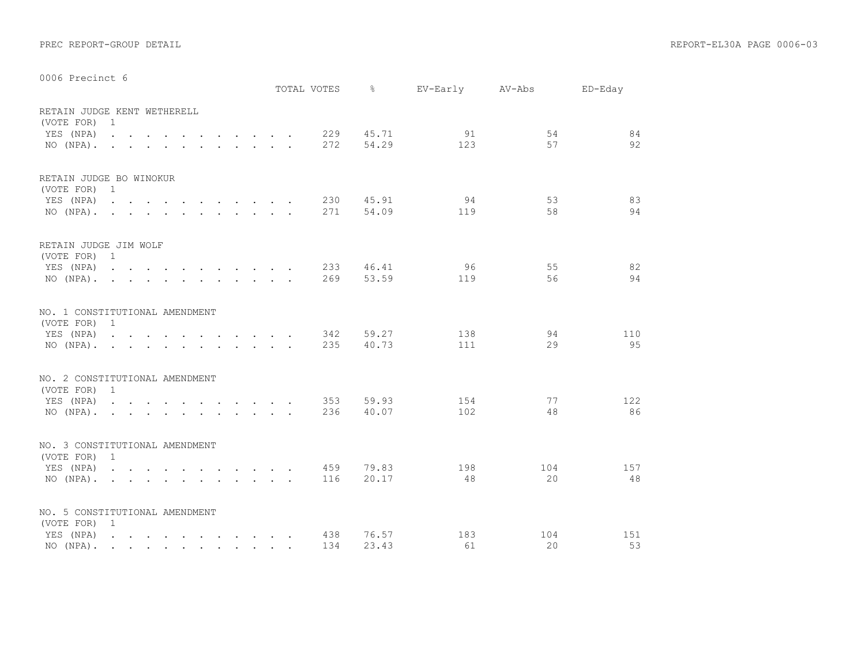|                                                             | TOTAL VOTES | $\approx$                    |            | EV-Early AV-Abs ED-Eday |
|-------------------------------------------------------------|-------------|------------------------------|------------|-------------------------|
| RETAIN JUDGE KENT WETHERELL<br>(VOTE FOR)<br>$\overline{1}$ |             |                              |            |                         |
| YES (NPA)<br>$NO (NPA)$ , , , , , , , , , , , ,             |             | 45.71<br>229<br>54.29<br>272 | 91<br>123  | 54<br>84<br>92<br>57    |
|                                                             |             |                              |            |                         |
| RETAIN JUDGE BO WINOKUR<br>(VOTE FOR) 1                     |             |                              |            |                         |
| YES (NPA)                                                   |             | 45.91<br>230<br>54.09<br>271 | 94<br>119  | 53<br>83<br>58<br>94    |
|                                                             |             |                              |            |                         |
| RETAIN JUDGE JIM WOLF<br>(VOTE FOR) 1                       |             |                              |            |                         |
| YES (NPA)                                                   |             | 233 46.41<br>53.59<br>269    | 96<br>119  | 55<br>82<br>56<br>94    |
|                                                             |             |                              |            |                         |
| NO. 1 CONSTITUTIONAL AMENDMENT<br>(VOTE FOR) 1              |             |                              |            |                         |
| YES (NPA)                                                   |             | 342<br>59.27<br>235<br>40.73 | 138<br>111 | 94<br>110<br>29<br>95   |
|                                                             |             |                              |            |                         |
| NO. 2 CONSTITUTIONAL AMENDMENT<br>(VOTE FOR) 1              |             |                              |            |                         |
| YES (NPA)<br>$NO (NPA)$ .                                   |             | 59.93<br>353<br>40.07<br>236 | 154<br>102 | 77<br>122<br>48<br>86   |
|                                                             |             |                              |            |                         |
| NO. 3 CONSTITUTIONAL AMENDMENT<br>(VOTE FOR) 1              |             |                              |            |                         |
| YES (NPA)                                                   | 459         | 79.83<br>20.17<br>116        | 198<br>48  | 104<br>157<br>20<br>48  |
|                                                             |             |                              |            |                         |
| NO. 5 CONSTITUTIONAL AMENDMENT<br>(VOTE FOR) 1              |             |                              |            |                         |
| YES (NPA) 438<br>NO (NPA).                                  |             | 76.57<br>134<br>23.43        | 183<br>61  | 104<br>151<br>20<br>53  |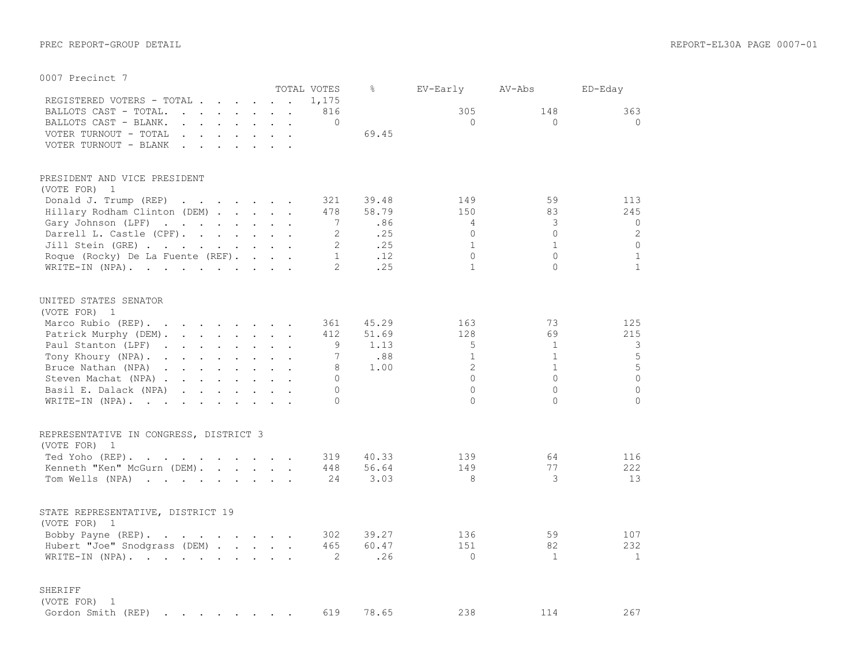|                                                                                                                                                                                                                                                       | TOTAL VOTES |                 | $\approx$ | EV-Early       | AV-Abs       | ED-Eday      |
|-------------------------------------------------------------------------------------------------------------------------------------------------------------------------------------------------------------------------------------------------------|-------------|-----------------|-----------|----------------|--------------|--------------|
| REGISTERED VOTERS - TOTAL .<br>$\mathbf{r}$ , $\mathbf{r}$ , $\mathbf{r}$ , $\mathbf{r}$ , $\mathbf{r}$                                                                                                                                               |             | 1,175           |           |                |              |              |
| BALLOTS CAST - TOTAL.<br>and the contract of the contract of the                                                                                                                                                                                      |             | 816             |           | 305            | 148          | 363          |
| BALLOTS CAST - BLANK.<br>$\mathbf{r}$ and $\mathbf{r}$ and $\mathbf{r}$ and $\mathbf{r}$ and $\mathbf{r}$                                                                                                                                             |             | $\circ$         |           | $\Omega$       | $\Omega$     | $\Omega$     |
| VOTER TURNOUT - TOTAL<br>$\mathbf{r}$ . The set of $\mathbf{r}$<br>$\ddot{\phantom{a}}$                                                                                                                                                               |             |                 | 69.45     |                |              |              |
| VOTER TURNOUT - BLANK<br>$\sim$ $\sim$ $\sim$ $\sim$ $\sim$ $\sim$<br>$\sim$<br>$\sim$                                                                                                                                                                |             |                 |           |                |              |              |
|                                                                                                                                                                                                                                                       |             |                 |           |                |              |              |
| PRESIDENT AND VICE PRESIDENT<br>(VOTE FOR)<br>1                                                                                                                                                                                                       |             |                 |           |                |              |              |
|                                                                                                                                                                                                                                                       |             | 321             | 39.48     | 149            | 59           | 113          |
| Donald J. Trump (REP)<br>Hillary Rodham Clinton (DEM)                                                                                                                                                                                                 |             | 478             | 58.79     | 150            | 83           | 245          |
|                                                                                                                                                                                                                                                       |             | 7               |           | 4              | 3            | $\circ$      |
| Gary Johnson (LPF)                                                                                                                                                                                                                                    |             |                 | .86       | $\Omega$       | $\Omega$     | 2            |
| Darrell L. Castle (CPF).                                                                                                                                                                                                                              |             | 2               | .25       |                |              | $\Omega$     |
| Jill Stein (GRE)                                                                                                                                                                                                                                      |             | 2               | .25       | $\mathbf{1}$   | $\mathbf{1}$ |              |
| Roque (Rocky) De La Fuente (REF).                                                                                                                                                                                                                     |             | 1               | .12       | $\bigcap$      | $\bigcap$    | $\mathbf{1}$ |
| WRITE-IN (NPA).                                                                                                                                                                                                                                       |             | $\mathcal{L}$   | .25       | $\mathbf{1}$   | $\Omega$     | $\mathbf{1}$ |
| UNITED STATES SENATOR                                                                                                                                                                                                                                 |             |                 |           |                |              |              |
| (VOTE FOR) 1                                                                                                                                                                                                                                          |             |                 |           |                |              |              |
| Marco Rubio (REP).                                                                                                                                                                                                                                    |             | 361             | 45.29     | 163            | 73           | 125          |
| Patrick Murphy (DEM).                                                                                                                                                                                                                                 |             | 412             | 51.69     | 128            | 69           | 215          |
| Paul Stanton (LPF)<br>the contract of the contract of the contract of                                                                                                                                                                                 |             | 9               | 1.13      | 5              | $\mathbf{1}$ | 3            |
| Tony Khoury (NPA).                                                                                                                                                                                                                                    |             | $7\phantom{.0}$ | .88       | $\mathbf{1}$   | $\mathbf{1}$ | 5            |
| Bruce Nathan (NPA)<br>$\mathbf{r}$ , and $\mathbf{r}$ , and $\mathbf{r}$ , and $\mathbf{r}$                                                                                                                                                           |             | 8               | 1.00      | $\overline{2}$ | $\mathbf{1}$ | 5            |
| Steven Machat (NPA)                                                                                                                                                                                                                                   |             | $\Omega$        |           | $\Omega$       | $\Omega$     | $\Omega$     |
| Basil E. Dalack (NPA)                                                                                                                                                                                                                                 |             | $\Omega$        |           | $\Omega$       | $\Omega$     | $\Omega$     |
| WRITE-IN (NPA).                                                                                                                                                                                                                                       |             | $\Omega$        |           | $\cap$         | $\Omega$     | $\cap$       |
|                                                                                                                                                                                                                                                       |             |                 |           |                |              |              |
| REPRESENTATIVE IN CONGRESS, DISTRICT 3                                                                                                                                                                                                                |             |                 |           |                |              |              |
| (VOTE FOR)<br>1                                                                                                                                                                                                                                       |             |                 |           |                |              |              |
| $\mathcal{A}$ . The set of the set of the set of the set of the set of the set of the set of the set of the set of the set of the set of the set of the set of the set of the set of the set of the set of the set of the set of t<br>Ted Yoho (REP). |             | 319             | 40.33     | 139            | 64           | 116          |
| Kenneth "Ken" McGurn (DEM).                                                                                                                                                                                                                           |             | 448             | 56.64     | 149            | 77           | 222          |
| Tom Wells (NPA)                                                                                                                                                                                                                                       |             | 24              | 3.03      | 8              | 3            | 13           |
|                                                                                                                                                                                                                                                       |             |                 |           |                |              |              |
| STATE REPRESENTATIVE, DISTRICT 19                                                                                                                                                                                                                     |             |                 |           |                |              |              |
| (VOTE FOR) 1                                                                                                                                                                                                                                          |             |                 |           |                |              |              |
| Bobby Payne (REP).                                                                                                                                                                                                                                    |             | 302             | 39.27     | 136            | 59           | 107          |
| Hubert "Joe" Snodgrass (DEM)                                                                                                                                                                                                                          |             | 465             | 60.47     | 151            | 82           | 232          |
| WRITE-IN (NPA).                                                                                                                                                                                                                                       |             | 2               | .26       | $\Omega$       | $\mathbf{1}$ | $\mathbf{1}$ |
| <b>SHERIFF</b>                                                                                                                                                                                                                                        |             |                 |           |                |              |              |
| (VOTE FOR)<br>1                                                                                                                                                                                                                                       |             |                 |           |                |              |              |
| Gordon Smith (REP)<br>the contract of the contract of the contract of the contract of the contract of the contract of the contract of                                                                                                                 |             | 619             | 78.65     | 238            | 114          | 267          |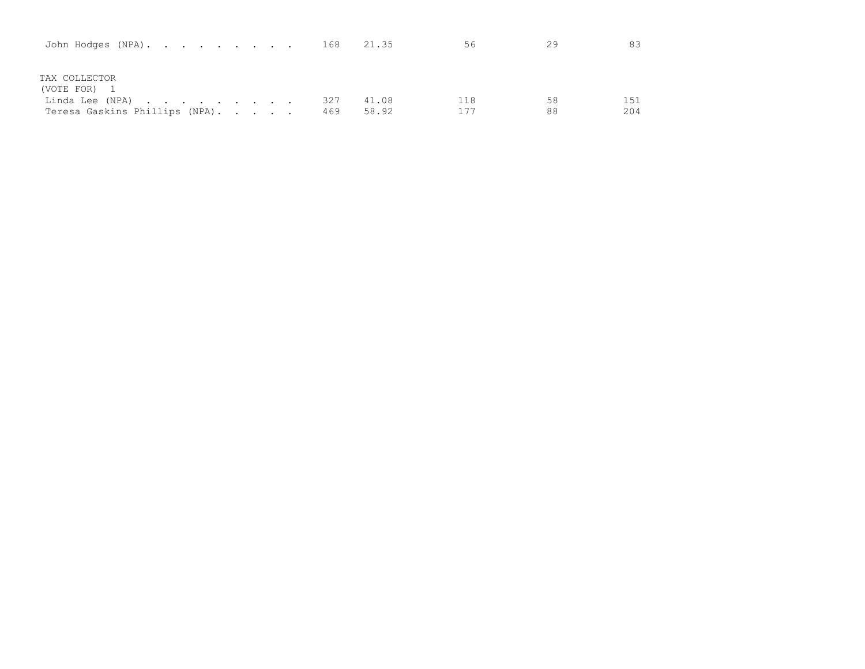| John Hodges (NPA). 168                           |  |  |     | 21.35 | 56  | 29 |     |
|--------------------------------------------------|--|--|-----|-------|-----|----|-----|
| TAX COLLECTOR<br>(VOTE FOR) 1<br>Linda Lee (NPA) |  |  | 327 | 41.08 | 118 | 58 | 151 |
| Teresa Gaskins Phillips (NPA).                   |  |  | 469 | 58.92 |     | 88 | 204 |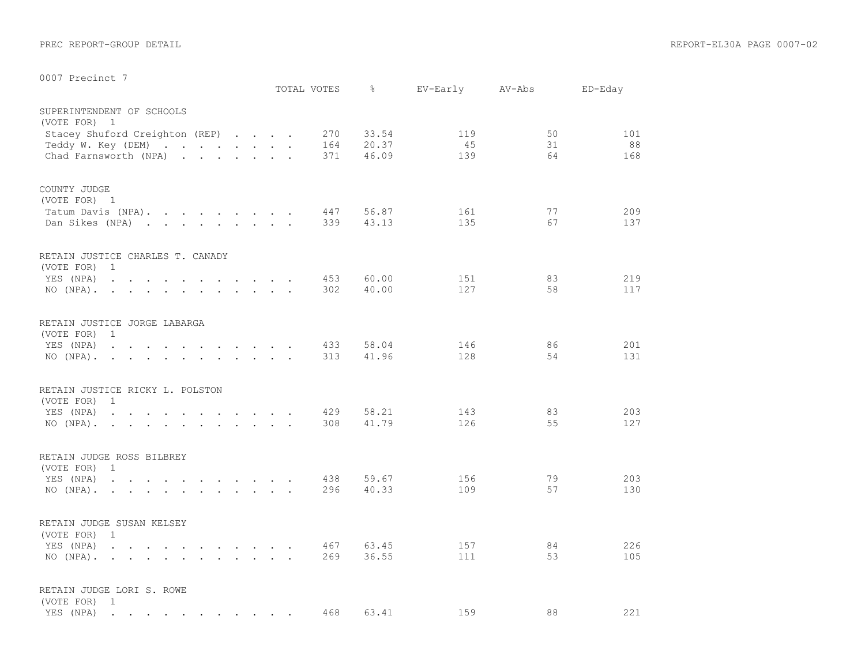| VVV/ PLECINCL /                                                                                                                                                                                                                                                                                                                                                                                                                                                                                                                                                                      | TOTAL VOTES | $\frac{6}{6}$                | EV-Early   | AV-Abs   | ED-Eday    |
|--------------------------------------------------------------------------------------------------------------------------------------------------------------------------------------------------------------------------------------------------------------------------------------------------------------------------------------------------------------------------------------------------------------------------------------------------------------------------------------------------------------------------------------------------------------------------------------|-------------|------------------------------|------------|----------|------------|
| SUPERINTENDENT OF SCHOOLS                                                                                                                                                                                                                                                                                                                                                                                                                                                                                                                                                            |             |                              |            |          |            |
| (VOTE FOR) 1<br>Stacey Shuford Creighton (REP)<br>Teddy W. Key (DEM)                                                                                                                                                                                                                                                                                                                                                                                                                                                                                                                 |             | 270<br>33.54<br>20.37<br>164 | 119<br>45  | 50<br>31 | 101<br>88  |
| Chad Farnsworth (NPA)                                                                                                                                                                                                                                                                                                                                                                                                                                                                                                                                                                |             | 46.09<br>371                 | 139        | 64       | 168        |
| COUNTY JUDGE<br>(VOTE FOR) 1                                                                                                                                                                                                                                                                                                                                                                                                                                                                                                                                                         |             |                              |            |          |            |
| Tatum Davis (NPA).<br>Dan Sikes (NPA)                                                                                                                                                                                                                                                                                                                                                                                                                                                                                                                                                |             | 447<br>56.87<br>339<br>43.13 | 161<br>135 | 77<br>67 | 209<br>137 |
| RETAIN JUSTICE CHARLES T. CANADY<br>(VOTE FOR)<br>$\mathbf{1}$                                                                                                                                                                                                                                                                                                                                                                                                                                                                                                                       |             |                              |            |          |            |
| YES (NPA)<br>$\mathbf{r} = \mathbf{r} - \mathbf{r}$ , and $\mathbf{r} = \mathbf{r} - \mathbf{r}$ , and $\mathbf{r} = \mathbf{r} - \mathbf{r}$<br>NO $(NPA)$ .                                                                                                                                                                                                                                                                                                                                                                                                                        |             | 453<br>60.00<br>40.00<br>302 | 151<br>127 | 83<br>58 | 219<br>117 |
| RETAIN JUSTICE JORGE LABARGA                                                                                                                                                                                                                                                                                                                                                                                                                                                                                                                                                         |             |                              |            |          |            |
| (VOTE FOR)<br>$\overline{1}$<br>YES (NPA)<br>. The contract of the contract of the contract of the contract of the contract of the contract of the contract of the contract of the contract of the contract of the contract of the contract of the contract of the contrac                                                                                                                                                                                                                                                                                                           |             | 58.04<br>433                 | 146        | 86       | 201        |
| the contract of the contract of the contract of<br>NO (NPA).                                                                                                                                                                                                                                                                                                                                                                                                                                                                                                                         |             | 41.96<br>313                 | 128        | 54       | 131        |
| RETAIN JUSTICE RICKY L. POLSTON<br>(VOTE FOR)<br>$\overline{1}$                                                                                                                                                                                                                                                                                                                                                                                                                                                                                                                      |             |                              |            |          |            |
| YES (NPA)<br>$\mathbf{r}$ , $\mathbf{r}$ , $\mathbf{r}$ , $\mathbf{r}$<br>$\mathbf{r}$ , and $\mathbf{r}$ , and $\mathbf{r}$ , and $\mathbf{r}$<br>$\sim$<br>NO (NPA).                                                                                                                                                                                                                                                                                                                                                                                                               |             | 58.21<br>429<br>41.79<br>308 | 143<br>126 | 83<br>55 | 203<br>127 |
| RETAIN JUDGE ROSS BILBREY                                                                                                                                                                                                                                                                                                                                                                                                                                                                                                                                                            |             |                              |            |          |            |
| (VOTE FOR)<br>1<br>YES (NPA)<br>$\begin{array}{cccccccccccccc} \bullet & \bullet & \bullet & \bullet & \bullet & \bullet & \bullet & \bullet & \bullet \end{array}$<br>$\mathbf{r}$ . The contract of the contract of the contract of the contract of the contract of the contract of the contract of the contract of the contract of the contract of the contract of the contract of the contract of th<br>NO (NPA).<br>the contract of the contract of the contract of the contract of the contract of the contract of the contract of                                             |             | 59.67<br>438<br>40.33<br>296 | 156<br>109 | 79<br>57 | 203<br>130 |
|                                                                                                                                                                                                                                                                                                                                                                                                                                                                                                                                                                                      |             |                              |            |          |            |
| RETAIN JUDGE SUSAN KELSEY<br>(VOTE FOR)<br>$\mathbf{1}$<br>YES (NPA)<br>$\mathbf{r} = \mathbf{r} \times \mathbf{r} \times \mathbf{r} \times \mathbf{r} \times \mathbf{r} \times \mathbf{r} \times \mathbf{r} \times \mathbf{r} \times \mathbf{r} \times \mathbf{r} \times \mathbf{r} \times \mathbf{r} \times \mathbf{r} \times \mathbf{r} \times \mathbf{r} \times \mathbf{r} \times \mathbf{r} \times \mathbf{r} \times \mathbf{r} \times \mathbf{r} \times \mathbf{r} \times \mathbf{r} \times \mathbf{r} \times \mathbf{r} \times \mathbf{r} \times \mathbf{r} \times \mathbf{r$ |             | 63.45<br>467                 | 157        | 84       | 226        |
| and the contract of the contract of the contract of the contract of the contract of the contract of the contract of the contract of the contract of the contract of the contract of the contract of the contract of the contra<br>NO (NPA).                                                                                                                                                                                                                                                                                                                                          |             | 36.55<br>269                 | 111        | 53       | 105        |
| RETAIN JUDGE LORI S. ROWE<br>(VOTE FOR)<br>$\mathbf{1}$                                                                                                                                                                                                                                                                                                                                                                                                                                                                                                                              |             |                              |            |          |            |
| YES (NPA)<br>and a series of the series of the series of the series of the series of the series of the series of the series                                                                                                                                                                                                                                                                                                                                                                                                                                                          |             | 468<br>63.41                 | 159        | 88       | 221        |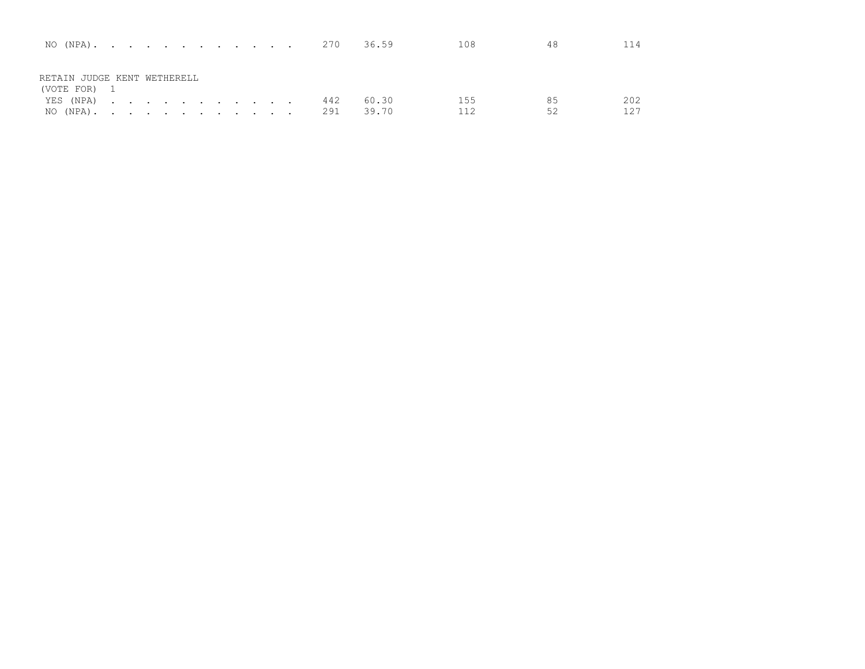| NO (NPA) 270 36.59               |  |  |  |  |  |     |       | 108 | 48 | 114 |
|----------------------------------|--|--|--|--|--|-----|-------|-----|----|-----|
| RETAIN JUDGE KENT WETHERELL      |  |  |  |  |  |     |       |     |    |     |
| (VOTE FOR) 1                     |  |  |  |  |  | 442 | 60.30 | 155 | 85 | 202 |
| YES (NPA)<br>NO (NPA). 291 39.70 |  |  |  |  |  |     |       | 112 | 52 | 127 |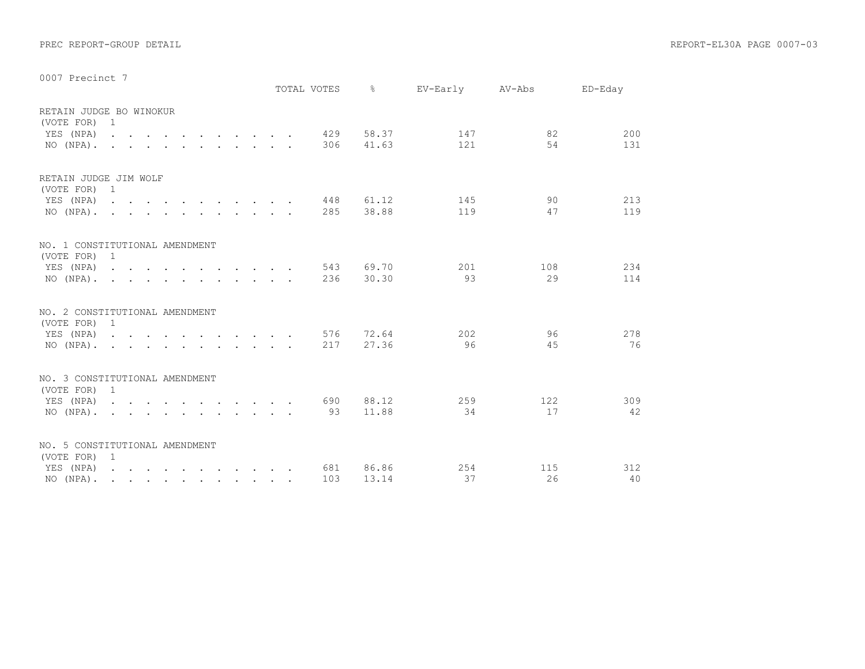|                                                 |  |                                                                                          |  |  |  | TOTAL VOTES | $\frac{6}{6}$  | EV-Early AV-Abs |           | $ED$ –Eday |
|-------------------------------------------------|--|------------------------------------------------------------------------------------------|--|--|--|-------------|----------------|-----------------|-----------|------------|
| RETAIN JUDGE BO WINOKUR<br>(VOTE FOR) 1         |  |                                                                                          |  |  |  |             |                |                 |           |            |
| YES (NPA)                                       |  |                                                                                          |  |  |  | 429         | 58.37          | 147             | 82        | 200        |
| $NO (NPA)$ , , , , , , , , , , , ,              |  |                                                                                          |  |  |  | 306         | 41.63          | 121             | 54        | 131        |
| RETAIN JUDGE JIM WOLF<br>(VOTE FOR) 1           |  |                                                                                          |  |  |  |             |                |                 |           |            |
| YES (NPA)                                       |  |                                                                                          |  |  |  | 448         | 61.12          | 145             | 90        | 213        |
| $NO (NPA)$ , , , , , , , , , , , ,              |  |                                                                                          |  |  |  | 285         | 38.88          | 119             | 47        | 119        |
| NO. 1 CONSTITUTIONAL AMENDMENT<br>(VOTE FOR) 1  |  |                                                                                          |  |  |  |             |                |                 |           |            |
| YES (NPA)                                       |  |                                                                                          |  |  |  | 543         | 69.70          | 201             | 108       | 234        |
| $NO (NPA)$ , , , , , , , , , , , ,              |  |                                                                                          |  |  |  | 236         | 30.30          | 93              | 29        | 114        |
| NO. 2 CONSTITUTIONAL AMENDMENT                  |  |                                                                                          |  |  |  |             |                |                 |           |            |
| (VOTE FOR) 1<br>YES (NPA)                       |  |                                                                                          |  |  |  | 576         | 72.64          | 202             | 96        | 278        |
| NO (NPA). .                                     |  | $\mathbf{r}$ , and $\mathbf{r}$ , and $\mathbf{r}$ , and $\mathbf{r}$ , and $\mathbf{r}$ |  |  |  | 217         | 27.36          | 96              | 45        | 76         |
| NO. 3 CONSTITUTIONAL AMENDMENT                  |  |                                                                                          |  |  |  |             |                |                 |           |            |
| (VOTE FOR) 1                                    |  |                                                                                          |  |  |  |             |                |                 |           |            |
| YES (NPA)<br>$NO (NPA)$ , , , , , , , , , , , , |  |                                                                                          |  |  |  | 690<br>93   | 88.12<br>11.88 | 259<br>34       | 122<br>17 | 309<br>42  |
|                                                 |  |                                                                                          |  |  |  |             |                |                 |           |            |
| NO. 5 CONSTITUTIONAL AMENDMENT<br>(VOTE FOR) 1  |  |                                                                                          |  |  |  |             |                |                 |           |            |
| YES (NPA)                                       |  |                                                                                          |  |  |  | 681         | 86.86          | 254             | 115       | 312        |
| NO (NPA).                                       |  |                                                                                          |  |  |  | 103         | 13.14          | 37              | 26        | 40         |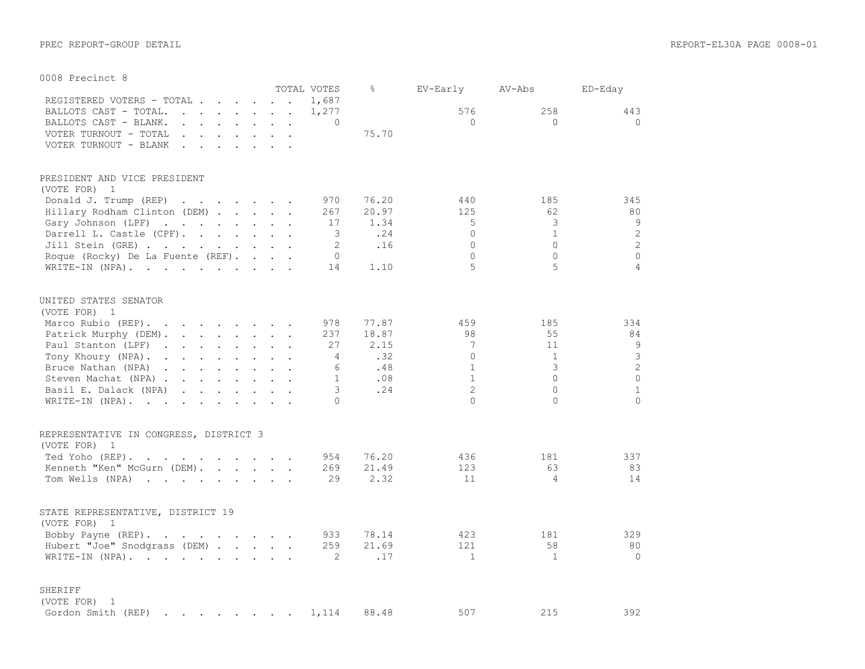| UUU8 Precinct 8                                                                                                                                                                                                                                            |                         |                      | TOTAL VOTES    | $\frac{6}{10}$ | EV-Early        | AV-Abs         | ED-Eday        |
|------------------------------------------------------------------------------------------------------------------------------------------------------------------------------------------------------------------------------------------------------------|-------------------------|----------------------|----------------|----------------|-----------------|----------------|----------------|
| REGISTERED VOTERS - TOTAL                                                                                                                                                                                                                                  |                         |                      | 1,687          |                |                 |                |                |
| BALLOTS CAST - TOTAL.<br>$\mathbf{r}$ . The set of the set of the set of the set of the set of the set of the set of the set of the set of the set of the set of the set of the set of the set of the set of the set of the set of the set of the set of t |                         |                      | 1,277          |                | 576             | 258            | 443            |
|                                                                                                                                                                                                                                                            |                         |                      |                |                |                 |                |                |
| BALLOTS CAST - BLANK.<br>and the contract of the contract of the contract of the contract of the contract of the contract of the contract of the contract of the contract of the contract of the contract of the contract of the contract of the contra    |                         |                      | $\Omega$       |                | $\Omega$        | $\Omega$       | $\Omega$       |
| VOTER TURNOUT - TOTAL<br>$\mathbf{r}$ , $\mathbf{r}$ , $\mathbf{r}$ , $\mathbf{r}$ , $\mathbf{r}$ , $\mathbf{r}$                                                                                                                                           |                         | $\ddot{\phantom{a}}$ |                | 75.70          |                 |                |                |
| VOTER TURNOUT - BLANK<br>$\mathbf{r}$ , $\mathbf{r}$ , $\mathbf{r}$ , $\mathbf{r}$ , $\mathbf{r}$                                                                                                                                                          | $\cdot$ $\cdot$ $\cdot$ | $\ddot{\phantom{a}}$ |                |                |                 |                |                |
| PRESIDENT AND VICE PRESIDENT<br>(VOTE FOR)<br>$\mathbf{1}$                                                                                                                                                                                                 |                         |                      |                |                |                 |                |                |
| Donald J. Trump (REP)<br>$\mathbf{r}$ . The set of the set of the set of the set of the set of the set of the set of the set of the set of the set of the set of the set of the set of the set of the set of the set of the set of the set of the set of t |                         |                      | 970            | 76.20          | 440             | 185            | 345            |
| Hillary Rodham Clinton (DEM)                                                                                                                                                                                                                               |                         |                      | 267            | 20.97          | 125             | 62             | 80             |
| Gary Johnson (LPF)                                                                                                                                                                                                                                         |                         |                      | 17             | 1.34           | 5               | 3              | 9              |
| Darrell L. Castle (CPF).                                                                                                                                                                                                                                   |                         |                      | 3              | .24            | $\Omega$        | $\mathbf{1}$   | 2              |
|                                                                                                                                                                                                                                                            |                         |                      |                |                |                 | $\Omega$       | 2              |
| Jill Stein (GRE)                                                                                                                                                                                                                                           |                         |                      | 2              | .16            | $\circ$         |                |                |
| Roque (Rocky) De La Fuente (REF).                                                                                                                                                                                                                          |                         |                      | $\Omega$       |                | $\Omega$        | $\Omega$       | $\Omega$       |
| WRITE-IN (NPA).                                                                                                                                                                                                                                            |                         |                      | 14             | 1.10           | 5               | 5              | $\overline{4}$ |
| UNITED STATES SENATOR<br>(VOTE FOR)<br>$\overline{1}$                                                                                                                                                                                                      |                         |                      |                |                |                 |                |                |
| Marco Rubio (REP).                                                                                                                                                                                                                                         |                         |                      | 978            | 77.87          | 459             | 185            | 334            |
|                                                                                                                                                                                                                                                            |                         |                      |                |                |                 |                |                |
| Patrick Murphy (DEM).<br>the contract of the contract of the                                                                                                                                                                                               |                         |                      | 237            | 18.87          | 98              | 55             | 84             |
| Paul Stanton (LPF)<br>and the contract of the contract of the contract of the contract of the contract of the contract of the contract of the contract of the contract of the contract of the contract of the contract of the contract of the contra       |                         |                      | 27             | 2.15           | $7\phantom{.0}$ | 11             | 9              |
| Tony Khoury (NPA).<br>$\mathbf{r}$ , $\mathbf{r}$ , $\mathbf{r}$ , $\mathbf{r}$ , $\mathbf{r}$ , $\mathbf{r}$                                                                                                                                              |                         |                      | $\overline{4}$ | .32            | $\Omega$        | $\mathbf{1}$   | $\mathfrak{Z}$ |
| Bruce Nathan (NPA)<br>$\mathbf{r}$ , $\mathbf{r}$ , $\mathbf{r}$ , $\mathbf{r}$ , $\mathbf{r}$ , $\mathbf{r}$<br>$\ddot{\phantom{a}}$                                                                                                                      |                         |                      | 6              | .48            | $\mathbf{1}$    | 3              | $\mathbf{2}$   |
| Steven Machat (NPA) .<br>and the contract of the contract of the contract of the contract of the contract of                                                                                                                                               |                         |                      | $\mathbf{1}$   | .08            | $\mathbf{1}$    | $\Omega$       | $\Omega$       |
| Basil E. Dalack (NPA)<br>the contract of the contract of the contract of the contract of the contract of the contract of the contract of                                                                                                                   |                         |                      | 3              | .24            | $\overline{c}$  | $\circ$        | $\mathbf{1}$   |
| WRITE-IN (NPA).                                                                                                                                                                                                                                            |                         |                      | $\cap$         |                | $\Omega$        | $\Omega$       | $\Omega$       |
| REPRESENTATIVE IN CONGRESS, DISTRICT 3                                                                                                                                                                                                                     |                         |                      |                |                |                 |                |                |
| (VOTE FOR)<br>1                                                                                                                                                                                                                                            |                         |                      |                |                |                 |                |                |
| Ted Yoho (REP).                                                                                                                                                                                                                                            |                         |                      | 954            | 76.20          | 436             | 181            | 337            |
| Kenneth "Ken" McGurn (DEM).                                                                                                                                                                                                                                |                         |                      | 269            | 21.49          | 123             | 63             | 83             |
| Tom Wells (NPA)                                                                                                                                                                                                                                            |                         |                      | 29             | 2.32           | 11              | $\overline{4}$ | 14             |
| STATE REPRESENTATIVE, DISTRICT 19<br>(VOTE FOR)<br>$\overline{1}$                                                                                                                                                                                          |                         |                      |                |                |                 |                |                |
| Bobby Payne (REP).                                                                                                                                                                                                                                         |                         |                      | 933            | 78.14          | 423             | 181            | 329            |
| Hubert "Joe" Snodgrass (DEM)                                                                                                                                                                                                                               |                         |                      | 259            | 21.69          | 121             | 58             | 80             |
| WRITE-IN (NPA).                                                                                                                                                                                                                                            |                         |                      | $\overline{2}$ | .17            | $\mathbf{1}$    | 1              | $\Omega$       |
| SHERIFF<br>(VOTE FOR)<br>1                                                                                                                                                                                                                                 |                         |                      |                |                |                 |                |                |
| Gordon Smith (REP)                                                                                                                                                                                                                                         |                         |                      | 1,114          | 88.48          | 507             | 215            | 392            |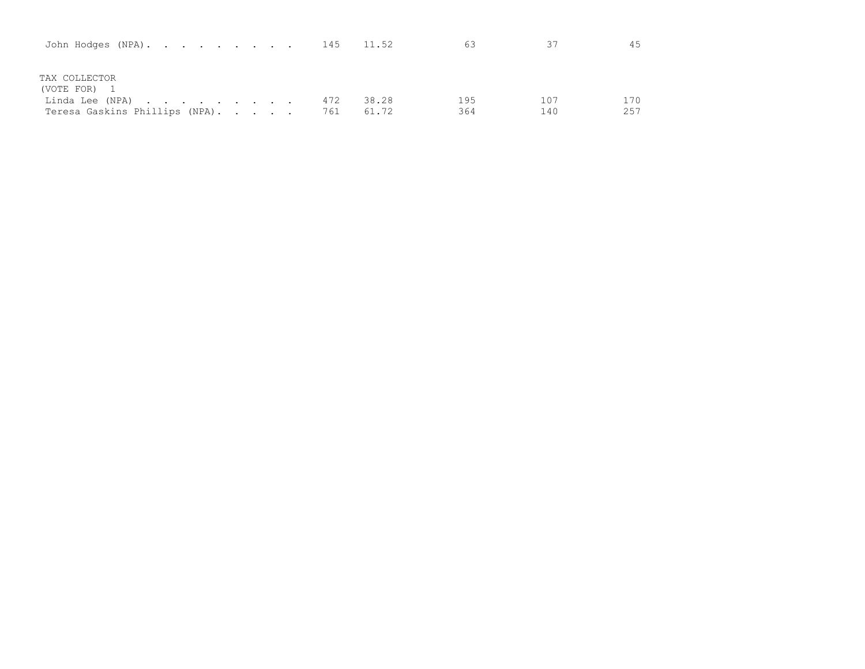| John Hodges (NPA). 145 11.52                      |  |  |            |                | 63         | ヌフ         | 45         |
|---------------------------------------------------|--|--|------------|----------------|------------|------------|------------|
| TAX COLLECTOR<br>(VOTE FOR) 1                     |  |  |            |                |            |            |            |
| Linda Lee (NPA)<br>Teresa Gaskins Phillips (NPA). |  |  | 472<br>761 | 38.28<br>61.72 | 195<br>364 | 107<br>140 | 170<br>257 |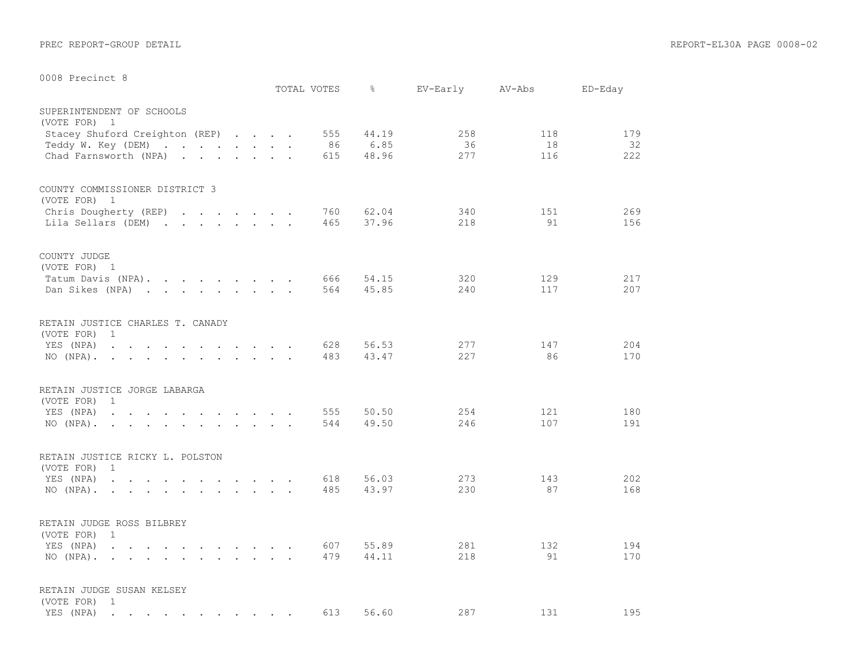|                                                                                                                                                                                                                                  | TOTAL VOTES |                  | &                      | EV-Early         | AV-Abs           | ED-Eday          |
|----------------------------------------------------------------------------------------------------------------------------------------------------------------------------------------------------------------------------------|-------------|------------------|------------------------|------------------|------------------|------------------|
| SUPERINTENDENT OF SCHOOLS<br>(VOTE FOR) 1<br>Stacey Shuford Creighton (REP)<br>Teddy W. Key (DEM)<br>Chad Farnsworth (NPA)                                                                                                       |             | 555<br>86<br>615 | 44.19<br>6.85<br>48.96 | 258<br>36<br>277 | 118<br>18<br>116 | 179<br>32<br>222 |
| COUNTY COMMISSIONER DISTRICT 3<br>(VOTE FOR) 1<br>Chris Dougherty (REP)<br>Lila Sellars (DEM)                                                                                                                                    |             | 760<br>465       | 62.04<br>37.96         | 340<br>218       | 151<br>91        | 269<br>156       |
| COUNTY JUDGE<br>(VOTE FOR) 1<br>Tatum Davis (NPA).<br>Dan Sikes (NPA)                                                                                                                                                            |             | 666<br>564       | 54.15<br>45.85         | 320<br>240       | 129<br>117       | 217<br>207       |
| RETAIN JUSTICE CHARLES T. CANADY<br>(VOTE FOR)<br>$\mathbf{1}$<br>YES (NPA)<br>the contract of the contract of the contract of the contract of the contract of the contract of the contract of<br>NO (NPA).                      |             | 628<br>483       | 56.53<br>43.47         | 277<br>227       | 147<br>86        | 204<br>170       |
| RETAIN JUSTICE JORGE LABARGA<br>(VOTE FOR)<br>$\mathbf{1}$<br>YES (NPA)<br>the contract of the contract of the contract of the contract of the contract of the contract of the contract of<br>$NO (NPA)$ , , , , , , , , , , , , |             | 555<br>544       | 50.50<br>49.50         | 254<br>246       | 121<br>107       | 180<br>191       |
| RETAIN JUSTICE RICKY L. POLSTON<br>(VOTE FOR)<br>$\overline{1}$<br>YES (NPA)<br>the contract of the contract of the contract of the contract of the contract of the contract of the contract of<br>NO $(NPA)$ .                  |             | 618<br>485       | 56.03<br>43.97         | 273<br>230       | 143<br>87        | 202<br>168       |
| RETAIN JUDGE ROSS BILBREY<br>(VOTE FOR)<br>$\mathbf{1}$<br>YES (NPA)<br>$\mathbf{r}$ , $\mathbf{r}$ , $\mathbf{r}$ , $\mathbf{r}$ , $\mathbf{r}$ , $\mathbf{r}$ , $\mathbf{r}$ , $\mathbf{r}$<br>NO $(NPA)$                      |             | 607<br>479       | 55.89<br>44.11         | 281<br>218       | 132<br>91        | 194<br>170       |
| RETAIN JUDGE SUSAN KELSEY<br>(VOTE FOR) 1<br>YES (NPA)<br>the contract of the contract of the contract of the contract of the contract of the contract of the contract of                                                        |             | 613              | 56.60                  | 287              | 131              | 195              |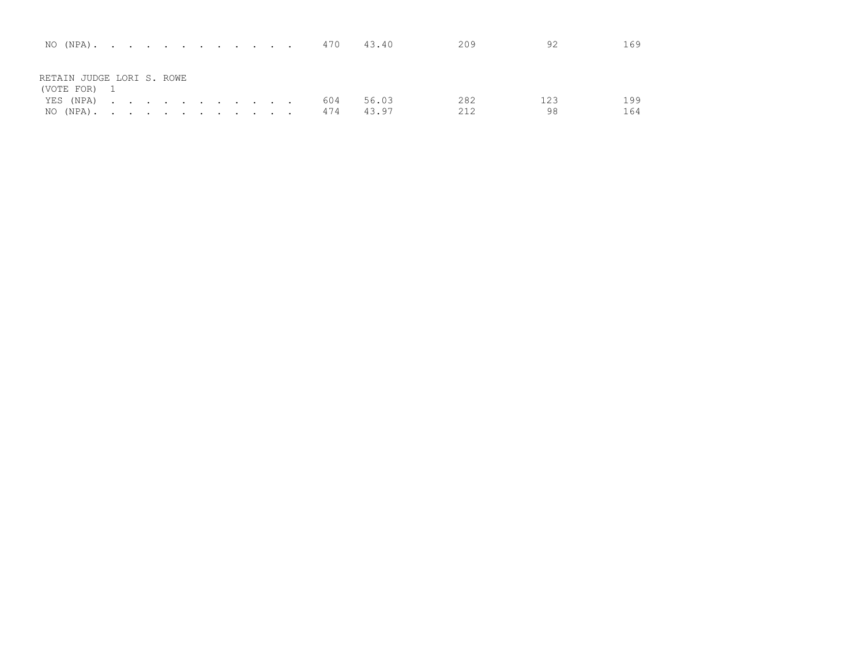| NO (NPA). 470 43.40       |  |  |  |  |  |     |       | 209 |     | 169 |
|---------------------------|--|--|--|--|--|-----|-------|-----|-----|-----|
|                           |  |  |  |  |  |     |       |     |     |     |
| RETAIN JUDGE LORI S. ROWE |  |  |  |  |  |     |       |     |     |     |
| (VOTE FOR) 1<br>YES (NPA) |  |  |  |  |  | 604 | 56.03 | 282 | 123 | 199 |
|                           |  |  |  |  |  | 474 | 43.97 | 212 | 98  | 164 |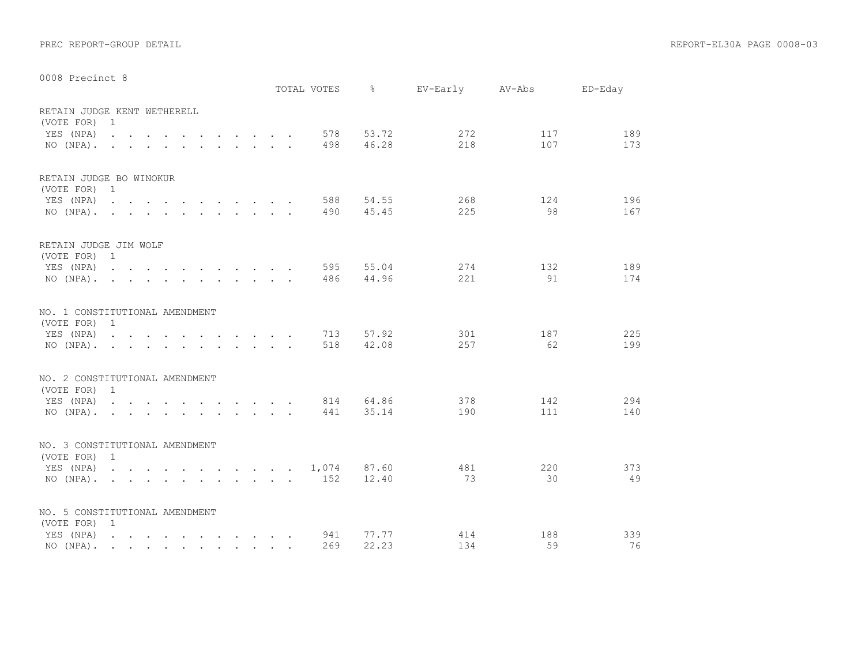|                                                                       |                                       |  |  |  |  |  | TOTAL VOTES | $\approx$      | EV-Early AV-Abs |           | ED-Eday    |
|-----------------------------------------------------------------------|---------------------------------------|--|--|--|--|--|-------------|----------------|-----------------|-----------|------------|
| RETAIN JUDGE KENT WETHERELL<br>(VOTE FOR)                             | $\mathbf{1}$                          |  |  |  |  |  |             |                |                 |           |            |
| YES (NPA)                                                             |                                       |  |  |  |  |  | 578         | 53.72          | 272             | 117       | 189        |
| NO $(NPA)$ , , , , , , , , , , , ,                                    |                                       |  |  |  |  |  | 498         | 46.28          | 218             | 107       | 173        |
|                                                                       |                                       |  |  |  |  |  |             |                |                 |           |            |
| RETAIN JUDGE BO WINOKUR<br>(VOTE FOR)                                 | $\overline{1}$                        |  |  |  |  |  |             |                |                 |           |            |
| YES (NPA)                                                             |                                       |  |  |  |  |  | 588         | 54.55          | 268             | 124       | 196        |
| $NO (NPA)$ .                                                          |                                       |  |  |  |  |  | 490         | 45.45          | 225             | 98        | 167        |
|                                                                       |                                       |  |  |  |  |  |             |                |                 |           |            |
| RETAIN JUDGE JIM WOLF<br>(VOTE FOR) 1                                 |                                       |  |  |  |  |  |             |                |                 |           |            |
| YES (NPA)                                                             |                                       |  |  |  |  |  | 595         | 55.04          | 274             | 132       | 189        |
| $NO (NPA)$ , , , , , , , , , , , ,                                    |                                       |  |  |  |  |  | 486         | 44.96          | 221             | 91        | 174        |
| NO. 1 CONSTITUTIONAL AMENDMENT<br>(VOTE FOR)<br>YES (NPA)<br>NO (NPA) | 1                                     |  |  |  |  |  | 713<br>518  | 57.92<br>42.08 | 301<br>257      | 187<br>62 | 225<br>199 |
| NO. 2 CONSTITUTIONAL AMENDMENT                                        |                                       |  |  |  |  |  |             |                |                 |           |            |
| (VOTE FOR) 1                                                          |                                       |  |  |  |  |  |             |                |                 |           |            |
| YES (NPA)                                                             | <u>na kama sa sana sa sa sa sa sa</u> |  |  |  |  |  | 814         | 64.86          | 378             | 142       | 294        |
| $NO (NPA)$ , , , , , , , , , , , ,                                    |                                       |  |  |  |  |  | 441         | 35.14          | 190             | 111       | 140        |
| NO. 3 CONSTITUTIONAL AMENDMENT<br>(VOTE FOR) 1                        |                                       |  |  |  |  |  |             |                |                 |           |            |
| YES (NPA) 1,074                                                       |                                       |  |  |  |  |  |             | 87.60          | 481             | 220       | 373        |
| NO (NPA). 152                                                         |                                       |  |  |  |  |  |             | 12.40          | 73              | 30        | 49         |
| NO. 5 CONSTITUTIONAL AMENDMENT                                        |                                       |  |  |  |  |  |             |                |                 |           |            |
| (VOTE FOR) 1                                                          |                                       |  |  |  |  |  |             |                |                 |           |            |
| YES (NPA)                                                             |                                       |  |  |  |  |  | 941         | 77.77          | 414             | 188       | 339        |
| $NO (NPA)$ .                                                          |                                       |  |  |  |  |  | 269         | 22.23          | 134             | 59        | 76         |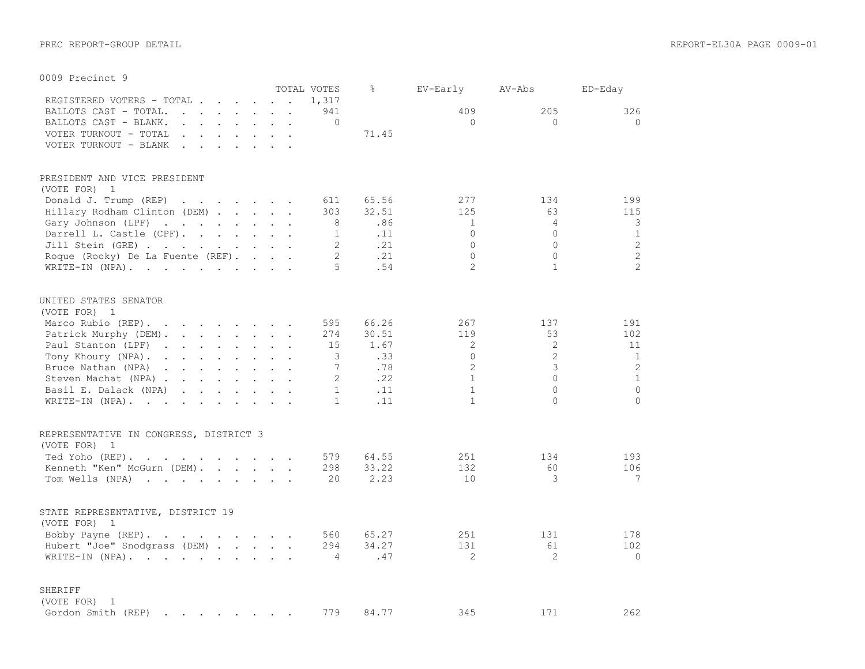|                                                                                                                                                                                                                                                            |                      | TOTAL VOTES           | $\approx$    | EV-Early       | AV-Abs         | ED-Eday         |
|------------------------------------------------------------------------------------------------------------------------------------------------------------------------------------------------------------------------------------------------------------|----------------------|-----------------------|--------------|----------------|----------------|-----------------|
| REGISTERED VOTERS - TOTAL                                                                                                                                                                                                                                  |                      | 1,317                 |              |                |                |                 |
| BALLOTS CAST - TOTAL.<br>$\mathbf{r}$ . The set of the set of the set of the set of the set of the set of the set of the set of the set of the set of the set of the set of the set of the set of the set of the set of the set of the set of the set of t | $\ddot{\phantom{a}}$ | 941                   |              | 409            | 205            | 326             |
| BALLOTS CAST - BLANK.<br>$\mathbf{r}$ , and $\mathbf{r}$ , and $\mathbf{r}$ , and $\mathbf{r}$                                                                                                                                                             | $\ddot{\phantom{a}}$ | $\circ$               |              | $\Omega$       | $\Omega$       | $\Omega$        |
| VOTER TURNOUT - TOTAL<br>$\cdot$ $\cdot$ $\cdot$                                                                                                                                                                                                           |                      |                       | 71.45        |                |                |                 |
| VOTER TURNOUT - BLANK<br>$\mathbf{r}$<br>$\sim$                                                                                                                                                                                                            |                      |                       |              |                |                |                 |
| PRESIDENT AND VICE PRESIDENT<br>(VOTE FOR)                                                                                                                                                                                                                 |                      |                       |              |                |                |                 |
| 1                                                                                                                                                                                                                                                          |                      |                       | 65.56        | 277            | 134            | 199             |
| Donald J. Trump (REP)<br>and the contract of the contract of the contract of the contract of the contract of the contract of the contract of the contract of the contract of the contract of the contract of the contract of the contract of the contra    |                      | 611<br>303            |              | 125            | 63             | 115             |
| Hillary Rodham Clinton (DEM)                                                                                                                                                                                                                               |                      | 8                     | 32.51<br>.86 | $\mathbf{1}$   | $\overline{4}$ | 3               |
| Gary Johnson (LPF)                                                                                                                                                                                                                                         |                      | $\mathbf{1}$          | .11          | $\Omega$       | $\Omega$       | $\mathbf{1}$    |
| Darrell L. Castle (CPF).                                                                                                                                                                                                                                   |                      |                       |              | $\Omega$       | $\cap$         |                 |
| Jill Stein (GRE)                                                                                                                                                                                                                                           |                      | $\mathbf{2}^{\prime}$ | .21          |                |                | $\overline{c}$  |
| Roque (Rocky) De La Fuente (REF).                                                                                                                                                                                                                          |                      | $\overline{2}$        | .21          | $\Omega$       | $\circ$        | $\overline{c}$  |
| WRITE-IN (NPA).                                                                                                                                                                                                                                            |                      | 5                     | .54          | $\overline{2}$ | $\mathbf{1}$   | $\overline{2}$  |
| UNITED STATES SENATOR                                                                                                                                                                                                                                      |                      |                       |              |                |                |                 |
| (VOTE FOR) 1                                                                                                                                                                                                                                               |                      |                       |              |                |                |                 |
| Marco Rubio (REP).                                                                                                                                                                                                                                         |                      | 595                   | 66.26        | 267            | 137            | 191             |
| Patrick Murphy (DEM).<br>$\mathbf{r}$ , $\mathbf{r}$ , $\mathbf{r}$ , $\mathbf{r}$ , $\mathbf{r}$ , $\mathbf{r}$                                                                                                                                           |                      | 274                   | 30.51        | 119            | 53             | 102             |
| Paul Stanton (LPF)<br>$\mathbf{r}$ , and $\mathbf{r}$ , and $\mathbf{r}$ , and $\mathbf{r}$                                                                                                                                                                |                      | 15                    | 1.67         | 2              | 2              | 11              |
| Tony Khoury (NPA).                                                                                                                                                                                                                                         |                      | 3                     | .33          | $\Omega$       | $\overline{2}$ | $\mathbf{1}$    |
| Bruce Nathan (NPA)<br>$\mathbf{r}$ , $\mathbf{r}$ , $\mathbf{r}$ , $\mathbf{r}$ , $\mathbf{r}$ , $\mathbf{r}$                                                                                                                                              |                      | $7\phantom{.0}$       | .78          | $\overline{c}$ | 3              | 2               |
| Steven Machat (NPA)                                                                                                                                                                                                                                        |                      | $\overline{2}$        | .22          | $\mathbf{1}$   | $\cap$         | $1\,$           |
| Basil E. Dalack (NPA)<br>$\mathbf{r}$ , $\mathbf{r}$ , $\mathbf{r}$ , $\mathbf{r}$ , $\mathbf{r}$ , $\mathbf{r}$                                                                                                                                           |                      | $\mathbf{1}$          | .11          | $\mathbf{1}$   | $\Omega$       | $\circ$         |
| WRITE-IN (NPA).                                                                                                                                                                                                                                            |                      | $\mathbf{1}$          | .11          | $\mathbf{1}$   | $\Omega$       | $\Omega$        |
| REPRESENTATIVE IN CONGRESS, DISTRICT 3                                                                                                                                                                                                                     |                      |                       |              |                |                |                 |
| (VOTE FOR)<br>$\overline{1}$                                                                                                                                                                                                                               |                      |                       |              |                |                |                 |
| Ted Yoho (REP).<br>$\mathcal{A}$ . The second contribution of the second contribution $\mathcal{A}$                                                                                                                                                        |                      | 579                   | 64.55        | 251            | 134            | 193             |
| Kenneth "Ken" McGurn (DEM).                                                                                                                                                                                                                                |                      | 298                   | 33.22        | 132            | 60             | 106             |
| Tom Wells (NPA)                                                                                                                                                                                                                                            |                      | 20                    | 2.23         | 10             | 3              | $7\phantom{.0}$ |
|                                                                                                                                                                                                                                                            |                      |                       |              |                |                |                 |
| STATE REPRESENTATIVE, DISTRICT 19<br>(VOTE FOR) 1                                                                                                                                                                                                          |                      |                       |              |                |                |                 |
| Bobby Payne (REP).                                                                                                                                                                                                                                         |                      | 560                   | 65.27        | 251            | 131            | 178             |
| Hubert "Joe" Snodgrass (DEM)                                                                                                                                                                                                                               |                      | 294                   | 34.27        | 131            | 61             | 102             |
| WRITE-IN (NPA).                                                                                                                                                                                                                                            |                      | 4                     | .47          | $\mathfrak{D}$ | 2              | $\Omega$        |
| SHERIFF                                                                                                                                                                                                                                                    |                      |                       |              |                |                |                 |
| (VOTE FOR)<br>1                                                                                                                                                                                                                                            |                      |                       |              |                |                |                 |
| Gordon Smith (REP)                                                                                                                                                                                                                                         |                      | 779                   | 84.77        | 345            | 171            | 262             |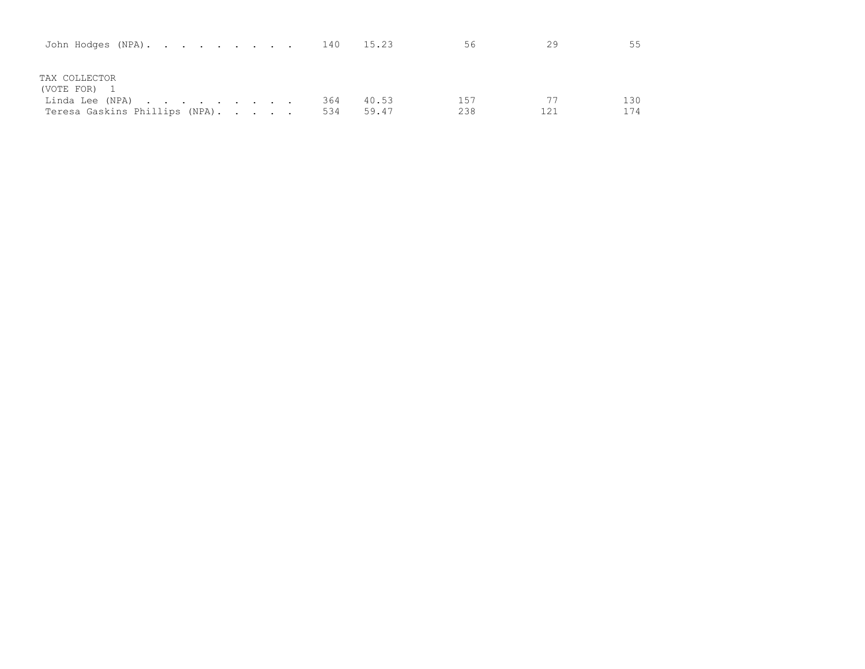| John Hodges (NPA). 140         |  |  |     | 15.23 | 56  | 29  | 55  |
|--------------------------------|--|--|-----|-------|-----|-----|-----|
| TAX COLLECTOR<br>(VOTE FOR) 1  |  |  |     |       |     |     |     |
| Linda Lee (NPA)                |  |  | 364 | 40.53 | 157 |     | 130 |
| Teresa Gaskins Phillips (NPA). |  |  | 534 | 59.47 | 238 | 121 | 174 |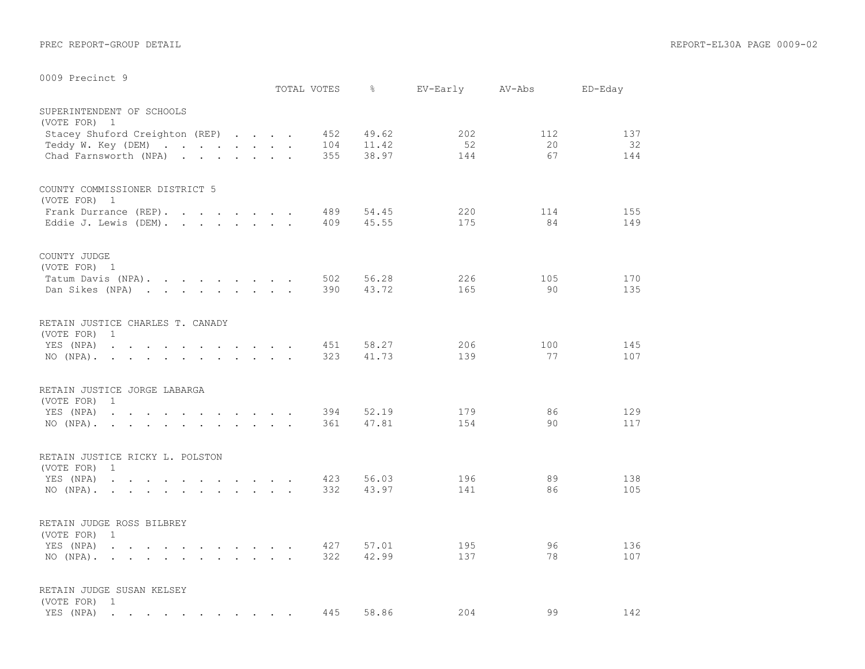|                                                                                                                                                                                                                                                                                                                               | TOTAL VOTES       | ိင                      | EV-Early         | AV-Abs          | ED-Eday          |
|-------------------------------------------------------------------------------------------------------------------------------------------------------------------------------------------------------------------------------------------------------------------------------------------------------------------------------|-------------------|-------------------------|------------------|-----------------|------------------|
| SUPERINTENDENT OF SCHOOLS<br>(VOTE FOR) 1<br>Stacey Shuford Creighton (REP)<br>Teddy W. Key (DEM)<br>Chad Farnsworth (NPA)                                                                                                                                                                                                    | 452<br>104<br>355 | 49.62<br>11.42<br>38.97 | 202<br>52<br>144 | 112<br>20<br>67 | 137<br>32<br>144 |
| COUNTY COMMISSIONER DISTRICT 5<br>(VOTE FOR) 1<br>Frank Durrance (REP).<br>Eddie J. Lewis (DEM).                                                                                                                                                                                                                              | 489<br>409        | 54.45<br>45.55          | 220<br>175       | 114<br>84       | 155<br>149       |
| COUNTY JUDGE<br>(VOTE FOR) 1<br>Tatum Davis (NPA).<br>Dan Sikes (NPA)                                                                                                                                                                                                                                                         | 502<br>390        | 56.28<br>43.72          | 226<br>165       | 105<br>90       | 170<br>135       |
| RETAIN JUSTICE CHARLES T. CANADY<br>(VOTE FOR)<br>$\mathbf{1}$<br>YES (NPA)<br>NO (NPA).                                                                                                                                                                                                                                      | 451<br>323        | 58.27<br>41.73          | 206<br>139       | 100<br>77       | 145<br>107       |
| RETAIN JUSTICE JORGE LABARGA<br>(VOTE FOR) 1<br>YES (NPA)<br>the contract of the contract of the contract of the contract of the contract of the contract of the contract of<br>$NO (NPA)$ , , , , , , , , , , , ,                                                                                                            | 394<br>361        | 52.19<br>47.81          | 179<br>154       | 86<br>90        | 129<br>117       |
| RETAIN JUSTICE RICKY L. POLSTON<br>(VOTE FOR)<br>$\overline{1}$<br>YES (NPA)<br>the contract of the contract of the contract of the contract of the contract of the contract of the contract of<br>NO (NPA).<br>the contract of the contract of the contract of                                                               | 423<br>332        | 56.03<br>43.97          | 196<br>141       | 89<br>86        | 138<br>105       |
| RETAIN JUDGE ROSS BILBREY<br>(VOTE FOR)<br>$\mathbf{1}$<br>YES (NPA)<br>$\mathbf{r}$ , $\mathbf{r}$ , $\mathbf{r}$ , $\mathbf{r}$ , $\mathbf{r}$ , $\mathbf{r}$ , $\mathbf{r}$ , $\mathbf{r}$<br>NO (NPA).<br>the contract of the contract of the contract of the contract of the contract of the contract of the contract of | 427<br>322        | 57.01<br>42.99          | 195<br>137       | 96<br>78        | 136<br>107       |
| RETAIN JUDGE SUSAN KELSEY<br>(VOTE FOR)<br>1<br>YES (NPA)<br>$\bullet$<br>. The contribution of the contribution of the contribution of the contribution of the $\mathcal{A}$                                                                                                                                                 | 445               | 58.86                   | 204              | 99              | 142              |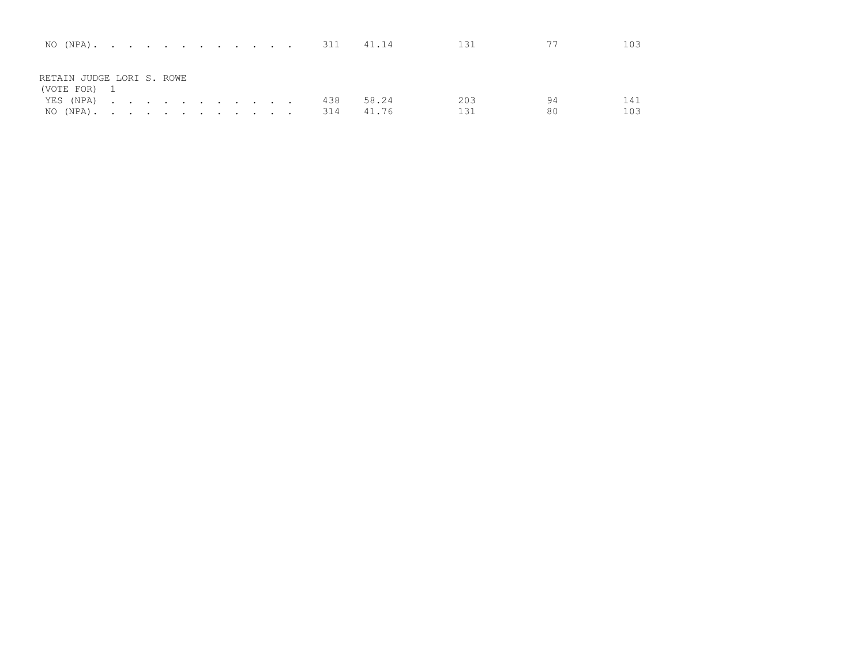| NO (NPA). 311 41.14                            |  |  |  |                | 131        |          | 103        |
|------------------------------------------------|--|--|--|----------------|------------|----------|------------|
| RETAIN JUDGE LORI S. ROWE                      |  |  |  |                |            |          |            |
| (VOTE FOR) 1<br>YES (NPA) 438<br>NO (NPA). 314 |  |  |  | 58.24<br>41.76 | 203<br>131 | 94<br>80 | 141<br>103 |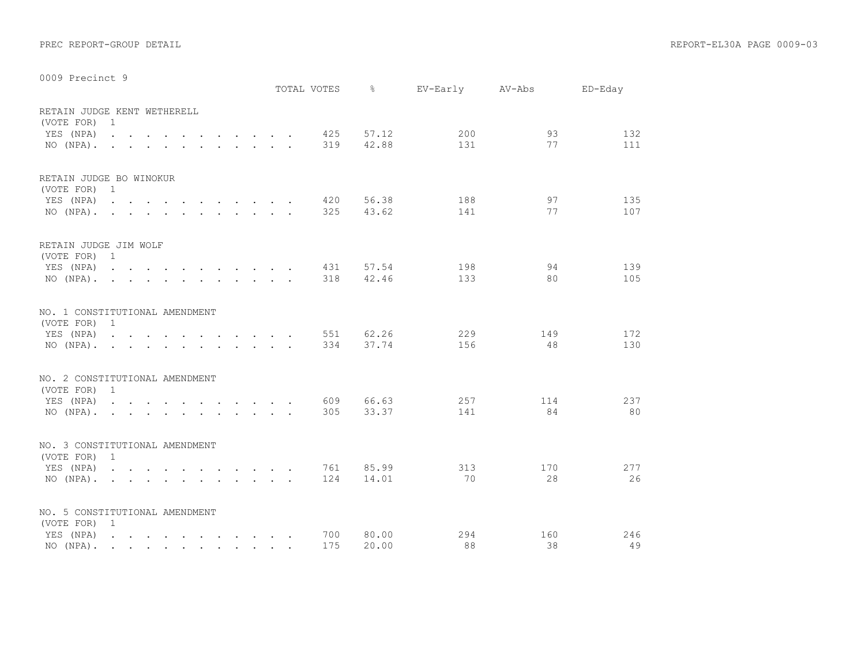|                                                 |                                                                                                                 |  |  |  |  |  | TOTAL VOTES | $\approx$      | EV-Early   | AV-Abs    | ED-Eday    |
|-------------------------------------------------|-----------------------------------------------------------------------------------------------------------------|--|--|--|--|--|-------------|----------------|------------|-----------|------------|
| RETAIN JUDGE KENT WETHERELL<br>(VOTE FOR)       | $\overline{1}$                                                                                                  |  |  |  |  |  |             |                |            |           |            |
| YES (NPA)<br>NO $(NPA)$ , , , , , , , , , , , , |                                                                                                                 |  |  |  |  |  | 425<br>319  | 57.12<br>42.88 | 200<br>131 | 93<br>77  | 132<br>111 |
| RETAIN JUDGE BO WINOKUR<br>(VOTE FOR)           | $\overline{1}$                                                                                                  |  |  |  |  |  |             |                |            |           |            |
| YES (NPA)<br>$NO (NPA)$ .                       |                                                                                                                 |  |  |  |  |  | 420<br>325  | 56.38<br>43.62 | 188<br>141 | 97<br>77  | 135<br>107 |
| RETAIN JUDGE JIM WOLF<br>(VOTE FOR) 1           |                                                                                                                 |  |  |  |  |  |             |                |            |           |            |
| YES (NPA)<br>NO $(NPA)$ .                       |                                                                                                                 |  |  |  |  |  | 431<br>318  | 57.54<br>42.46 | 198<br>133 | 94<br>80  | 139<br>105 |
| NO. 1 CONSTITUTIONAL AMENDMENT<br>(VOTE FOR)    | $\overline{1}$                                                                                                  |  |  |  |  |  |             |                |            |           |            |
| YES (NPA)<br>NO (NPA).                          |                                                                                                                 |  |  |  |  |  | 551<br>334  | 62.26<br>37.74 | 229<br>156 | 149<br>48 | 172<br>130 |
| NO. 2 CONSTITUTIONAL AMENDMENT<br>(VOTE FOR) 1  |                                                                                                                 |  |  |  |  |  |             |                |            |           |            |
| YES (NPA)<br>$NO (NPA)$ .                       | the contract of the contract of the contract of the contract of the contract of the contract of the contract of |  |  |  |  |  | 609<br>305  | 66.63<br>33.37 | 257<br>141 | 114<br>84 | 237<br>80  |
| NO. 3 CONSTITUTIONAL AMENDMENT<br>(VOTE FOR) 1  |                                                                                                                 |  |  |  |  |  |             |                |            |           |            |
| YES (NPA)<br>$NO (NPA)$ , , , , , , , , , , , , |                                                                                                                 |  |  |  |  |  | 761<br>124  | 85.99<br>14.01 | 313<br>70  | 170<br>28 | 277<br>26  |
| NO. 5 CONSTITUTIONAL AMENDMENT<br>(VOTE FOR)    | $\overline{1}$                                                                                                  |  |  |  |  |  |             |                |            |           |            |
| YES (NPA)<br>NO (NPA)                           |                                                                                                                 |  |  |  |  |  | 700<br>175  | 80.00<br>20.00 | 294<br>88  | 160<br>38 | 246<br>49  |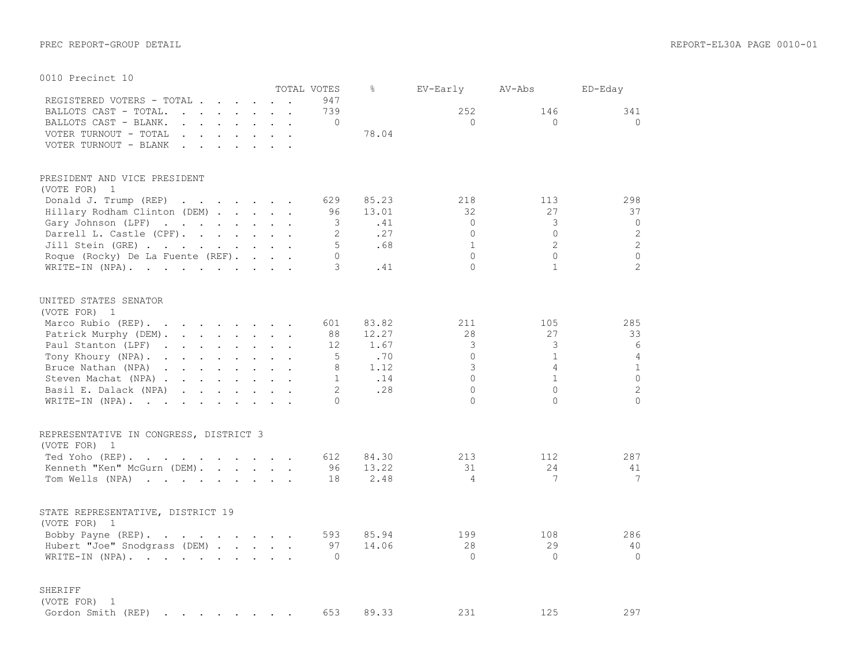|                                                                                                                                                                                                                                                                  |                      | TOTAL VOTES    | ⊱     | EV-Early       | AV-Abs         | ED-Eday         |
|------------------------------------------------------------------------------------------------------------------------------------------------------------------------------------------------------------------------------------------------------------------|----------------------|----------------|-------|----------------|----------------|-----------------|
| REGISTERED VOTERS - TOTAL .<br>$\mathbf{r}$ . The set of the set of the set of the set of the set of the set of the set of the set of the set of the set of the set of the set of the set of the set of the set of the set of the set of the set of the set of t |                      | 947            |       |                |                |                 |
| BALLOTS CAST - TOTAL.<br>$\mathbf{r}$ , $\mathbf{r}$ , $\mathbf{r}$ , $\mathbf{r}$ , $\mathbf{r}$ , $\mathbf{r}$ , $\mathbf{r}$                                                                                                                                  | $\mathbf{r}$         | 739            |       | 252            | 146            | 341             |
| BALLOTS CAST - BLANK.<br>$\mathbf{r}$ , and $\mathbf{r}$ , and $\mathbf{r}$ , and $\mathbf{r}$                                                                                                                                                                   | $\ddot{\phantom{a}}$ | $\mathbf{0}$   |       | $\Omega$       | $\Omega$       | $\Omega$        |
| VOTER TURNOUT - TOTAL<br>$\sim$ $\sim$ $\sim$<br>and a strategic con-<br>$\ddot{\phantom{a}}$                                                                                                                                                                    |                      |                | 78.04 |                |                |                 |
| VOTER TURNOUT - BLANK<br><b>Contract</b><br>$\sim$<br>$\mathbf{r}$ and $\mathbf{r}$ and $\mathbf{r}$<br>$\sim$                                                                                                                                                   |                      |                |       |                |                |                 |
|                                                                                                                                                                                                                                                                  |                      |                |       |                |                |                 |
| PRESIDENT AND VICE PRESIDENT<br>(VOTE FOR)<br>1                                                                                                                                                                                                                  |                      |                |       |                |                |                 |
|                                                                                                                                                                                                                                                                  |                      |                | 85.23 |                |                |                 |
| Donald J. Trump (REP)                                                                                                                                                                                                                                            |                      | 629            |       | 218            | 113            | 298             |
| Hillary Rodham Clinton (DEM)                                                                                                                                                                                                                                     |                      | 96             | 13.01 | 32             | 27             | 37              |
| Gary Johnson (LPF)                                                                                                                                                                                                                                               |                      | 3              | .41   | $\Omega$       | 3              | $\circ$         |
| Darrell L. Castle (CPF).                                                                                                                                                                                                                                         |                      | $\overline{2}$ | .27   | $\Omega$       | $\Omega$       | 2               |
| Jill Stein (GRE)                                                                                                                                                                                                                                                 |                      | 5              | .68   | $\mathbf{1}$   | $\overline{2}$ | $\overline{2}$  |
| Roque (Rocky) De La Fuente (REF).                                                                                                                                                                                                                                |                      | $\Omega$       |       | $\Omega$       | $\Omega$       | $\circ$         |
| WRITE-IN (NPA).                                                                                                                                                                                                                                                  |                      | 3              | .41   | $\Omega$       | $\mathbf{1}$   | $\overline{2}$  |
| UNITED STATES SENATOR                                                                                                                                                                                                                                            |                      |                |       |                |                |                 |
| (VOTE FOR) 1                                                                                                                                                                                                                                                     |                      |                |       |                |                |                 |
| Marco Rubio (REP).<br>$\mathbf{r}$ , and $\mathbf{r}$ , and $\mathbf{r}$ , and $\mathbf{r}$                                                                                                                                                                      |                      | 601            | 83.82 | 211            | 105            | 285             |
| Patrick Murphy (DEM).                                                                                                                                                                                                                                            |                      | 88             | 12.27 | 28             | 27             | 33              |
| Paul Stanton (LPF)<br>the contract of the contract of the contract of                                                                                                                                                                                            |                      | 12             | 1.67  | 3              | 3              | 6               |
| Tony Khoury (NPA).                                                                                                                                                                                                                                               |                      | 5              | .70   | $\Omega$       | $\mathbf{1}$   | $\overline{4}$  |
| Bruce Nathan (NPA)<br>$\mathbf{r}$ , $\mathbf{r}$ , $\mathbf{r}$ , $\mathbf{r}$ , $\mathbf{r}$ , $\mathbf{r}$ , $\mathbf{r}$                                                                                                                                     |                      | 8              | 1.12  | 3              | $\overline{4}$ | $\mathbf{1}$    |
| Steven Machat (NPA)                                                                                                                                                                                                                                              |                      | $\mathbf{1}$   | .14   | $\Omega$       | $\mathbf{1}$   | $\Omega$        |
| Basil E. Dalack (NPA)                                                                                                                                                                                                                                            |                      | $\overline{2}$ | .28   | $\Omega$       | $\Omega$       | $\mathbf{2}$    |
| WRITE-IN (NPA).                                                                                                                                                                                                                                                  |                      | $\Omega$       |       | $\Omega$       | $\Omega$       | $\Omega$        |
|                                                                                                                                                                                                                                                                  |                      |                |       |                |                |                 |
| REPRESENTATIVE IN CONGRESS, DISTRICT 3                                                                                                                                                                                                                           |                      |                |       |                |                |                 |
| (VOTE FOR)<br>1                                                                                                                                                                                                                                                  |                      |                |       |                |                |                 |
| $\mathcal{A}$ . The set of the set of the set of the set of $\mathcal{A}$<br>Ted Yoho (REP).                                                                                                                                                                     |                      | 612            | 84.30 | 213            | 112            | 287             |
| Kenneth "Ken" McGurn (DEM).                                                                                                                                                                                                                                      |                      | 96             | 13.22 | 31             | 24             | 41              |
| Tom Wells (NPA)                                                                                                                                                                                                                                                  |                      | 18             | 2.48  | $\overline{4}$ | 7              | $7\phantom{.0}$ |
|                                                                                                                                                                                                                                                                  |                      |                |       |                |                |                 |
| STATE REPRESENTATIVE, DISTRICT 19                                                                                                                                                                                                                                |                      |                |       |                |                |                 |
| (VOTE FOR) 1                                                                                                                                                                                                                                                     |                      |                |       |                |                |                 |
| Bobby Payne (REP).                                                                                                                                                                                                                                               |                      | 593            | 85.94 | 199            | 108            | 286             |
| Hubert "Joe" Snodgrass (DEM)                                                                                                                                                                                                                                     |                      | 97             | 14.06 | 28             | 29             | 40              |
| WRITE-IN (NPA).                                                                                                                                                                                                                                                  |                      | $\Omega$       |       | $\Omega$       | $\Omega$       | $\Omega$        |
| <b>SHERIFF</b>                                                                                                                                                                                                                                                   |                      |                |       |                |                |                 |
| (VOTE FOR)<br>1                                                                                                                                                                                                                                                  |                      |                |       |                |                |                 |
| Gordon Smith (REP)<br>the contract of the contract of the contract of the contract of the contract of the contract of the contract of                                                                                                                            |                      | 653            | 89.33 | 231            | 125            | 297             |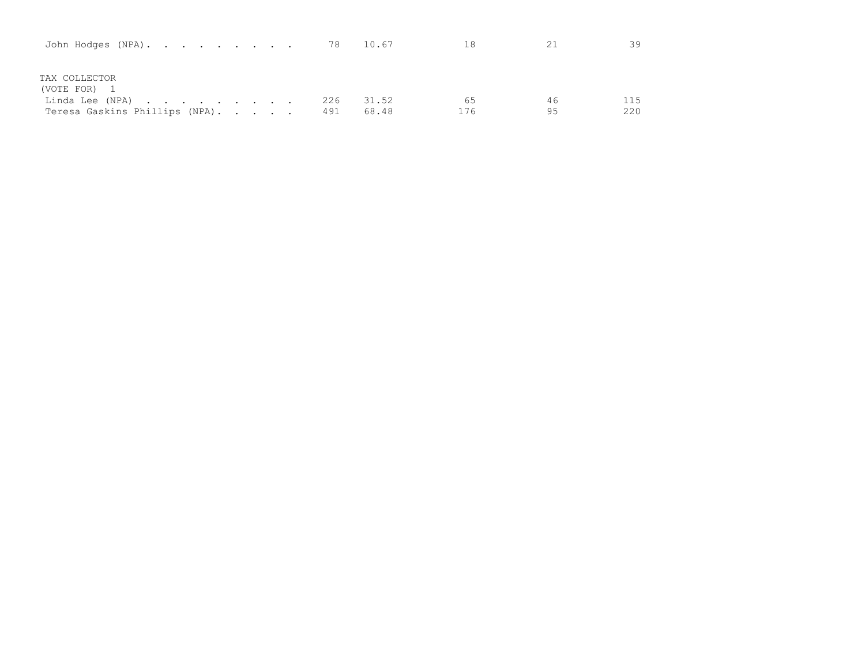| John Hodges (NPA). 78 10.67    |  |  |     |       | 18  |    | 39  |
|--------------------------------|--|--|-----|-------|-----|----|-----|
| TAX COLLECTOR<br>(VOTE FOR) 1  |  |  |     |       |     |    |     |
| Linda Lee (NPA)                |  |  | 226 | 31.52 | 65  | 46 | 115 |
| Teresa Gaskins Phillips (NPA). |  |  | 491 | 68.48 | 176 | 95 | 220 |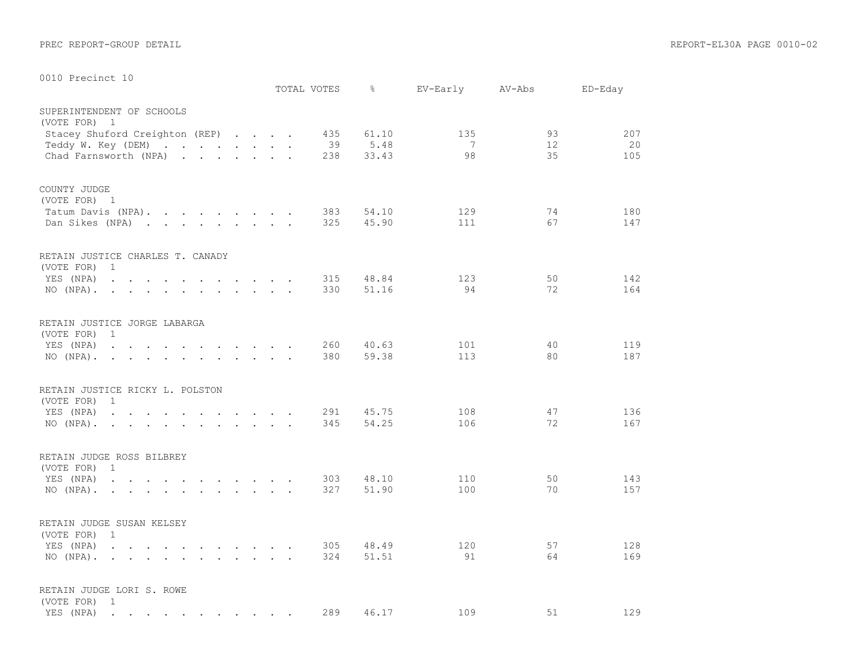| ANTA LIECTHCL TA                                                                                                                                                                                                   | TOTAL VOTES |                  | $\frac{6}{6}$          | EV-Early                                  | AV-Abs                      | ED-Eday          |
|--------------------------------------------------------------------------------------------------------------------------------------------------------------------------------------------------------------------|-------------|------------------|------------------------|-------------------------------------------|-----------------------------|------------------|
| SUPERINTENDENT OF SCHOOLS<br>(VOTE FOR) 1<br>Stacey Shuford Creighton (REP)<br>Teddy W. Key (DEM)<br>Chad Farnsworth (NPA)                                                                                         |             | 435<br>39<br>238 | 61.10<br>5.48<br>33.43 | 135<br>$7\phantom{.0}\phantom{.0}7$<br>98 | 93<br>12 <sup>°</sup><br>35 | 207<br>20<br>105 |
| COUNTY JUDGE<br>(VOTE FOR) 1<br>Tatum Davis (NPA).<br>Dan Sikes (NPA)                                                                                                                                              |             | 383<br>325       | 54.10<br>45.90         | 129<br>111                                | 74<br>67                    | 180<br>147       |
| RETAIN JUSTICE CHARLES T. CANADY<br>(VOTE FOR)<br>1<br>YES (NPA)<br>$\mathbf{r}$ , and $\mathbf{r}$ , and $\mathbf{r}$ , and $\mathbf{r}$ , and $\mathbf{r}$<br>$NO (NPA)$ .                                       |             | 315<br>330       | 48.84<br>51.16         | 123<br>94                                 | 50<br>72                    | 142<br>164       |
| RETAIN JUSTICE JORGE LABARGA<br>(VOTE FOR)<br>$\overline{1}$<br>YES (NPA)<br>the contract of the contract of the contract of<br>$NO (NPA)$ , , , , , , , , , , , ,                                                 |             | 260<br>380       | 40.63<br>59.38         | 101<br>113                                | 40<br>80                    | 119<br>187       |
| RETAIN JUSTICE RICKY L. POLSTON<br>(VOTE FOR)<br>$\overline{1}$<br>YES (NPA)<br><b>Contract Contract Contract</b><br>$\mathbf{r}$ and $\mathbf{r}$ and $\mathbf{r}$ and $\mathbf{r}$ and $\mathbf{r}$<br>NO (NPA). |             | 291<br>345       | 45.75<br>54.25         | 108<br>106                                | 47<br>72                    | 136<br>167       |
| RETAIN JUDGE ROSS BILBREY<br>(VOTE FOR) 1<br>YES (NPA)<br>the contract of the contract of the contract of the contract of the contract of the contract of the contract of<br>NO $(NPA)$                            |             | 303<br>327       | 48.10<br>51.90         | 110<br>100                                | 50<br>70                    | 143<br>157       |
| RETAIN JUDGE SUSAN KELSEY<br>(VOTE FOR)<br>$\mathbf{1}$<br>YES (NPA)<br>NO (NPA).                                                                                                                                  |             | 305<br>324       | 48.49<br>51.51         | 120<br>91                                 | 57<br>64                    | 128<br>169       |
| RETAIN JUDGE LORI S. ROWE<br>(VOTE FOR) 1<br>YES (NPA)<br>the contract of the contract of the contract of the contract of the contract of the contract of the contract of                                          |             | 289              | 46.17                  | 109                                       | 51                          | 129              |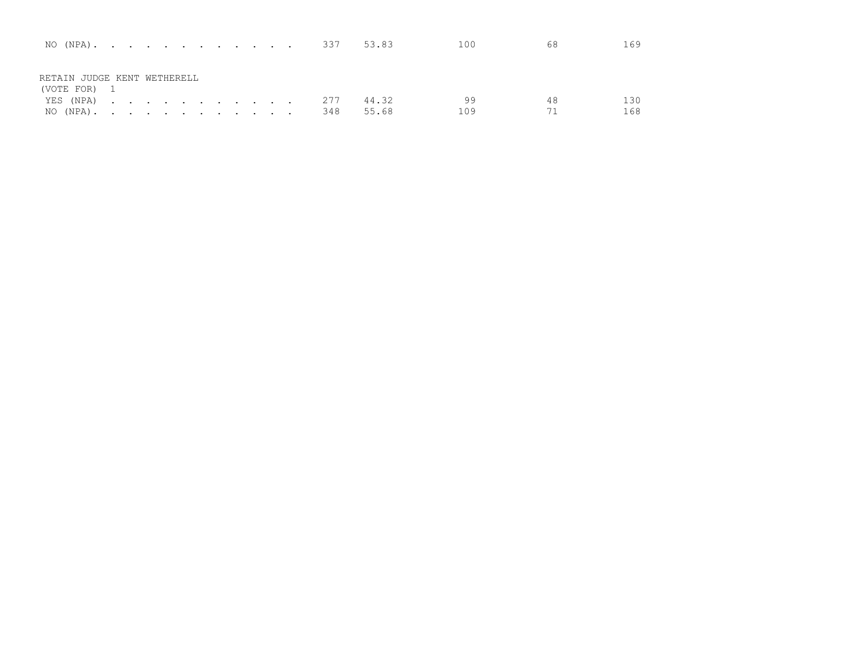| NO (NPA). 337                 |  |  |  |  |  |  | 53.83 | 100 | 68 | 169 |
|-------------------------------|--|--|--|--|--|--|-------|-----|----|-----|
| RETAIN JUDGE KENT WETHERELL   |  |  |  |  |  |  |       |     |    |     |
| (VOTE FOR) 1<br>YES (NPA) 277 |  |  |  |  |  |  | 44.32 | 99  | 48 | 130 |
| NO (NPA). 348                 |  |  |  |  |  |  | 55.68 | 109 |    | 168 |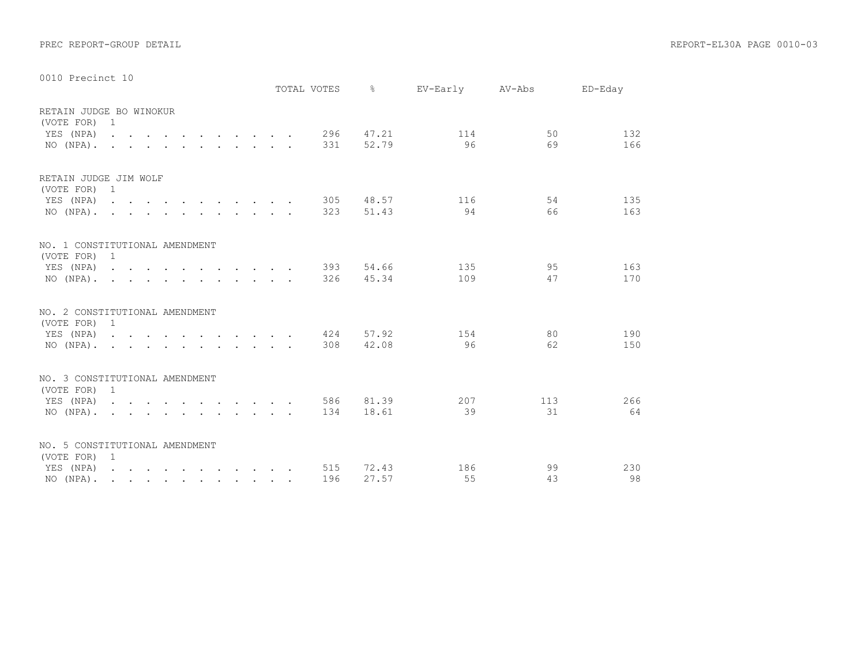|                                                                                                   |  |  |  |                                                                                                                          |  | TOTAL VOTES | $\frac{6}{6}$  | EV-Early AV-Abs |                       | ED-Eday    |
|---------------------------------------------------------------------------------------------------|--|--|--|--------------------------------------------------------------------------------------------------------------------------|--|-------------|----------------|-----------------|-----------------------|------------|
| RETAIN JUDGE BO WINOKUR<br>(VOTE FOR) 1<br>YES (NPA)<br>$NO (NPA)$ , , , , , , , , , , ,          |  |  |  |                                                                                                                          |  | 296<br>331  | 47.21<br>52.79 | 114<br>96       | 50 <sup>°</sup><br>69 | 132<br>166 |
| RETAIN JUDGE JIM WOLF<br>(VOTE FOR) 1<br>YES (NPA)<br>NO (NPA). .                                 |  |  |  | $\mathbf{r}$ , $\mathbf{r}$ , $\mathbf{r}$ , $\mathbf{r}$ , $\mathbf{r}$ , $\mathbf{r}$ , $\mathbf{r}$ , $\mathbf{r}$    |  | 305<br>323  | 48.57<br>51.43 | 116<br>94       | 54<br>66              | 135<br>163 |
| NO. 1 CONSTITUTIONAL AMENDMENT<br>(VOTE FOR) 1<br>YES (NPA)<br>$NO (NPA)$ , , , , , , , , , , , , |  |  |  |                                                                                                                          |  | 393<br>326  | 54.66<br>45.34 | 135<br>109      | 95<br>47              | 163<br>170 |
| NO. 2 CONSTITUTIONAL AMENDMENT<br>(VOTE FOR) 1<br>YES (NPA)<br>NO (NPA). .                        |  |  |  | $\mathbf{r} = \mathbf{r} - \mathbf{r}$ , $\mathbf{r} = \mathbf{r} - \mathbf{r}$ , $\mathbf{r} = \mathbf{r} - \mathbf{r}$ |  | 424<br>308  | 57.92<br>42.08 | 154<br>96       | 80<br>62              | 190<br>150 |
| NO. 3 CONSTITUTIONAL AMENDMENT<br>(VOTE FOR) 1<br>YES (NPA)<br>$NO (NPA)$ , , , , , , , , , , , , |  |  |  |                                                                                                                          |  | 586<br>134  | 81.39<br>18.61 | 207<br>39       | 113<br>31             | 266<br>64  |
| NO. 5 CONSTITUTIONAL AMENDMENT<br>(VOTE FOR) 1<br>YES (NPA)<br>NO (NPA).                          |  |  |  |                                                                                                                          |  | 515<br>196  | 72.43<br>27.57 | 186<br>55       | 99<br>43              | 230<br>98  |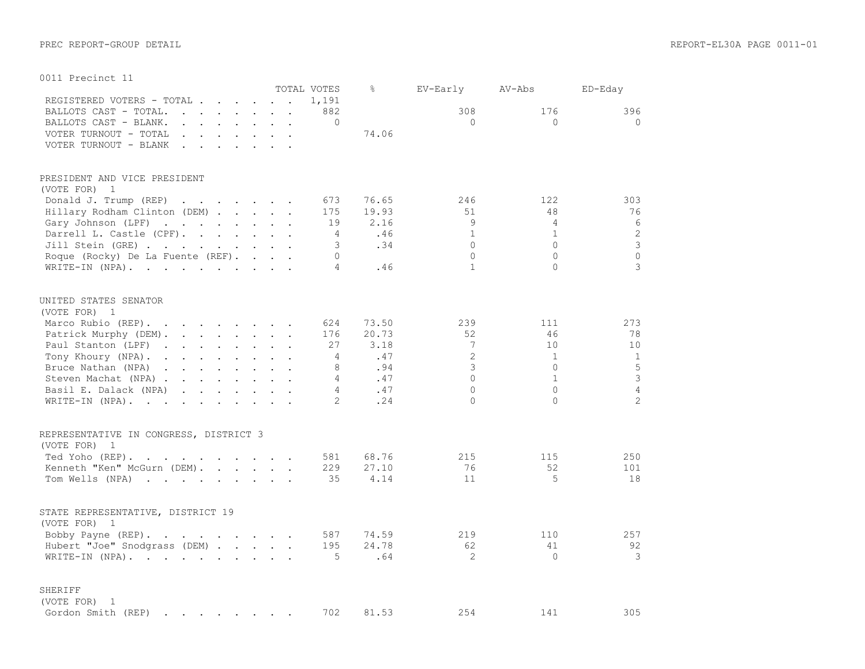|                                                                                                                                       |                                                                                                                                                                                                                                   |                                            |                                                                          | TOTAL VOTES    | ⊱     | EV-Early        | AV-Abs         | ED-Eday        |
|---------------------------------------------------------------------------------------------------------------------------------------|-----------------------------------------------------------------------------------------------------------------------------------------------------------------------------------------------------------------------------------|--------------------------------------------|--------------------------------------------------------------------------|----------------|-------|-----------------|----------------|----------------|
| REGISTERED VOTERS - TOTAL .                                                                                                           |                                                                                                                                                                                                                                   |                                            | $\mathbf{r}$ , $\mathbf{r}$ , $\mathbf{r}$ , $\mathbf{r}$ , $\mathbf{r}$ | 1,191          |       |                 |                |                |
| BALLOTS CAST - TOTAL.                                                                                                                 | $\mathbf{r}$ . The set of the set of the set of the set of the set of the set of the set of the set of the set of the set of the set of the set of the set of the set of the set of the set of the set of the set of the set of t |                                            |                                                                          | 882            |       | 308             | 176            | 396            |
| BALLOTS CAST - BLANK.                                                                                                                 | $\mathbf{r} = \mathbf{r} + \mathbf{r} + \mathbf{r} + \mathbf{r} + \mathbf{r} + \mathbf{r}$                                                                                                                                        |                                            | $\ddot{\phantom{a}}$                                                     | $\mathbf{0}$   |       | $\Omega$        | $\Omega$       | $\Omega$       |
| VOTER TURNOUT - TOTAL<br>$\ddot{\phantom{a}}$                                                                                         | <b>Contract Contract</b>                                                                                                                                                                                                          | $\mathbf{r}$ , $\mathbf{r}$ , $\mathbf{r}$ |                                                                          |                | 74.06 |                 |                |                |
| VOTER TURNOUT - BLANK<br>$\sim$<br>$\sim$                                                                                             | $\sim$ $\sim$ $\sim$ $\sim$ $\sim$ $\sim$                                                                                                                                                                                         |                                            |                                                                          |                |       |                 |                |                |
|                                                                                                                                       |                                                                                                                                                                                                                                   |                                            |                                                                          |                |       |                 |                |                |
| PRESIDENT AND VICE PRESIDENT                                                                                                          |                                                                                                                                                                                                                                   |                                            |                                                                          |                |       |                 |                |                |
| (VOTE FOR)<br>1                                                                                                                       |                                                                                                                                                                                                                                   |                                            |                                                                          |                |       |                 |                |                |
| Donald J. Trump (REP)                                                                                                                 |                                                                                                                                                                                                                                   |                                            |                                                                          | 673            | 76.65 | 246             | 122            | 303            |
| Hillary Rodham Clinton (DEM)                                                                                                          |                                                                                                                                                                                                                                   |                                            |                                                                          | 175            | 19.93 | 51              | 48             | 76             |
| Gary Johnson (LPF)                                                                                                                    |                                                                                                                                                                                                                                   |                                            |                                                                          | 19             | 2.16  | 9               | $\overline{4}$ | 6              |
| Darrell L. Castle (CPF).                                                                                                              |                                                                                                                                                                                                                                   |                                            |                                                                          | $\overline{4}$ | .46   | $\mathbf{1}$    | $\mathbf{1}$   | 2              |
| Jill Stein (GRE)                                                                                                                      |                                                                                                                                                                                                                                   |                                            |                                                                          | 3              | .34   | $\Omega$        | $\bigcap$      | 3              |
| Roque (Rocky) De La Fuente (REF).                                                                                                     |                                                                                                                                                                                                                                   |                                            |                                                                          | $\Omega$       |       | $\Omega$        | $\Omega$       | $\Omega$       |
| WRITE-IN (NPA).                                                                                                                       |                                                                                                                                                                                                                                   |                                            |                                                                          | $\overline{4}$ | .46   | $\mathbf{1}$    | $\Omega$       | 3              |
| UNITED STATES SENATOR                                                                                                                 |                                                                                                                                                                                                                                   |                                            |                                                                          |                |       |                 |                |                |
| (VOTE FOR) 1                                                                                                                          |                                                                                                                                                                                                                                   |                                            |                                                                          |                |       |                 |                |                |
| Marco Rubio (REP).                                                                                                                    |                                                                                                                                                                                                                                   |                                            |                                                                          | 624            | 73.50 | 239             | 111            | 273            |
| Patrick Murphy (DEM).                                                                                                                 |                                                                                                                                                                                                                                   |                                            |                                                                          | 176            | 20.73 | 52              | 46             | 78             |
| Paul Stanton (LPF)<br>and the contract of the contract of the                                                                         |                                                                                                                                                                                                                                   |                                            |                                                                          | 27             | 3.18  | $7\phantom{.0}$ | 10             | 10             |
| Tony Khoury (NPA).                                                                                                                    |                                                                                                                                                                                                                                   |                                            |                                                                          | $\overline{4}$ | .47   | $\overline{2}$  | $\mathbf{1}$   | $\mathbf{1}$   |
| Bruce Nathan (NPA)<br>$\mathbf{r}$ , and $\mathbf{r}$ , and $\mathbf{r}$ , and $\mathbf{r}$                                           |                                                                                                                                                                                                                                   |                                            |                                                                          | 8              | .94   | 3               | $\bigcap$      | 5              |
| Steven Machat (NPA)                                                                                                                   |                                                                                                                                                                                                                                   |                                            |                                                                          | $\overline{4}$ | .47   | $\Omega$        | $\mathbf{1}$   | 3              |
| Basil E. Dalack (NPA)                                                                                                                 | and the contract of the contract of the                                                                                                                                                                                           |                                            |                                                                          | $\overline{4}$ | .47   | $\Omega$        | $\Omega$       | $\overline{4}$ |
| WRITE-IN $(NPA)$ .                                                                                                                    |                                                                                                                                                                                                                                   |                                            |                                                                          | $\overline{2}$ | .24   | $\Omega$        | $\Omega$       | $\mathfrak{D}$ |
|                                                                                                                                       |                                                                                                                                                                                                                                   |                                            |                                                                          |                |       |                 |                |                |
| REPRESENTATIVE IN CONGRESS, DISTRICT 3                                                                                                |                                                                                                                                                                                                                                   |                                            |                                                                          |                |       |                 |                |                |
| (VOTE FOR)<br>1                                                                                                                       |                                                                                                                                                                                                                                   |                                            |                                                                          |                |       |                 |                |                |
| $\mathcal{A}$ . The set of the set of the set of the set of $\mathcal{A}$<br>Ted Yoho (REP).                                          |                                                                                                                                                                                                                                   |                                            |                                                                          | 581            | 68.76 | 215             | 115            | 250            |
| Kenneth "Ken" McGurn (DEM).                                                                                                           |                                                                                                                                                                                                                                   |                                            |                                                                          | 229            | 27.10 | 76              | 52             | 101            |
| Tom Wells (NPA)                                                                                                                       |                                                                                                                                                                                                                                   |                                            |                                                                          | 35             | 4.14  | 11              | 5              | 18             |
| STATE REPRESENTATIVE, DISTRICT 19                                                                                                     |                                                                                                                                                                                                                                   |                                            |                                                                          |                |       |                 |                |                |
| (VOTE FOR) 1                                                                                                                          |                                                                                                                                                                                                                                   |                                            |                                                                          |                |       |                 |                |                |
| Bobby Payne (REP).                                                                                                                    |                                                                                                                                                                                                                                   |                                            |                                                                          | 587            | 74.59 | 219             | 110            | 257            |
| Hubert "Joe" Snodgrass (DEM)                                                                                                          |                                                                                                                                                                                                                                   |                                            |                                                                          | 195            | 24.78 | 62              | 41             | 92             |
| WRITE-IN (NPA).                                                                                                                       |                                                                                                                                                                                                                                   |                                            |                                                                          | 5              | .64   | $\mathfrak{D}$  | $\Omega$       | 3              |
|                                                                                                                                       |                                                                                                                                                                                                                                   |                                            |                                                                          |                |       |                 |                |                |
| <b>SHERIFF</b>                                                                                                                        |                                                                                                                                                                                                                                   |                                            |                                                                          |                |       |                 |                |                |
| (VOTE FOR)<br>1                                                                                                                       |                                                                                                                                                                                                                                   |                                            |                                                                          |                |       |                 |                |                |
| Gordon Smith (REP)<br>the contract of the contract of the contract of the contract of the contract of the contract of the contract of |                                                                                                                                                                                                                                   |                                            |                                                                          | 702            | 81.53 | 254             | 141            | 305            |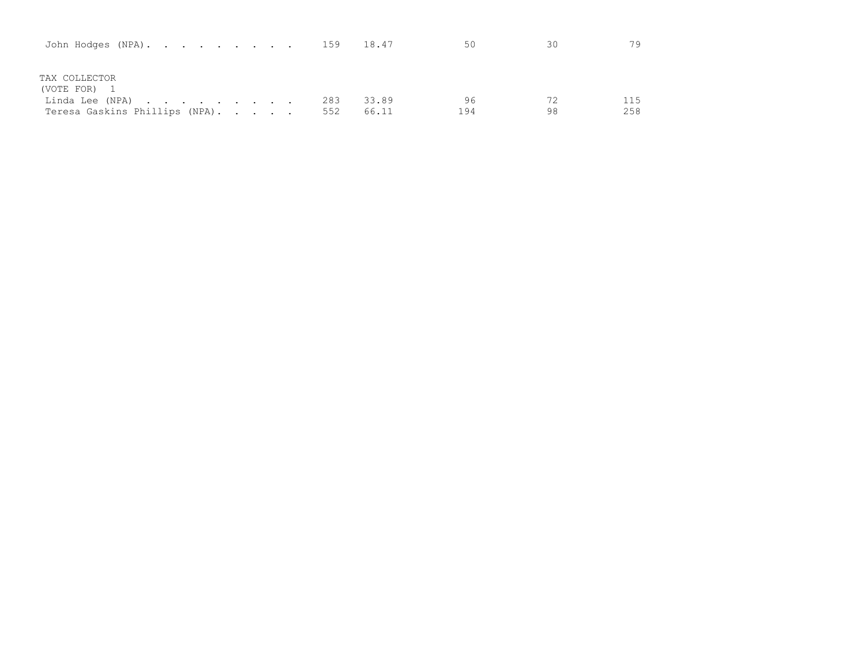| John Hodges (NPA). 159         |  |  |     | 18.47 | 50  | 30 | 79  |
|--------------------------------|--|--|-----|-------|-----|----|-----|
| TAX COLLECTOR<br>(VOTE FOR) 1  |  |  |     |       |     |    |     |
| Linda Lee (NPA)                |  |  | 283 | 33.89 | 96  |    | 115 |
| Teresa Gaskins Phillips (NPA). |  |  | 552 | 66.11 | 194 | 98 | 258 |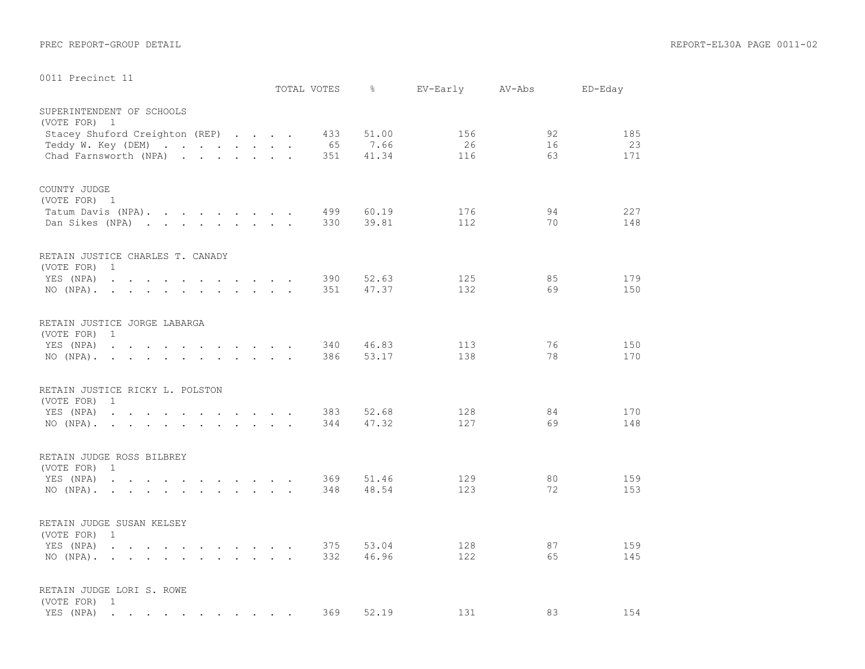| OOTT REGIUGE IT                                                                                                                                                                                                                                                                                                                                                                                                                                                                      | TOTAL VOTES | $\frac{6}{6}$  | EV-Early   | AV-Abs   | ED-Eday    |
|--------------------------------------------------------------------------------------------------------------------------------------------------------------------------------------------------------------------------------------------------------------------------------------------------------------------------------------------------------------------------------------------------------------------------------------------------------------------------------------|-------------|----------------|------------|----------|------------|
| SUPERINTENDENT OF SCHOOLS<br>(VOTE FOR) 1<br>Stacey Shuford Creighton (REP)<br>Teddy W. Key (DEM)                                                                                                                                                                                                                                                                                                                                                                                    | 433<br>65   | 51.00<br>7.66  | 156<br>26  | 92<br>16 | 185<br>23  |
| Chad Farnsworth (NPA)                                                                                                                                                                                                                                                                                                                                                                                                                                                                | 351         | 41.34          | 116        | 63       | 171        |
| COUNTY JUDGE<br>(VOTE FOR) 1<br>Tatum Davis (NPA).                                                                                                                                                                                                                                                                                                                                                                                                                                   | 499         | 60.19          | 176        | 94       | 227        |
| Dan Sikes (NPA)                                                                                                                                                                                                                                                                                                                                                                                                                                                                      | 330         | 39.81          | 112        | 70       | 148        |
| RETAIN JUSTICE CHARLES T. CANADY<br>(VOTE FOR)<br>$\mathbf{1}$<br>YES (NPA)<br>$\mathbf{r}$ , and $\mathbf{r}$ , and $\mathbf{r}$ , and $\mathbf{r}$ , and $\mathbf{r}$                                                                                                                                                                                                                                                                                                              | 390         | 52.63          | 125        | 85       | 179        |
| NO $(NPA)$ .                                                                                                                                                                                                                                                                                                                                                                                                                                                                         | 351         | 47.37          | 132        | 69       | 150        |
| RETAIN JUSTICE JORGE LABARGA<br>(VOTE FOR)<br>$\overline{1}$                                                                                                                                                                                                                                                                                                                                                                                                                         |             |                |            |          |            |
| YES (NPA)<br>. The contract of the contract of the contract of the contract of the contract of the contract of the contract of the contract of the contract of the contract of the contract of the contract of the contract of the contrac<br>$NO (NPA)$ , , , , , , , , , , , ,                                                                                                                                                                                                     | 340<br>386  | 46.83<br>53.17 | 113<br>138 | 76<br>78 | 150<br>170 |
| RETAIN JUSTICE RICKY L. POLSTON<br>(VOTE FOR)<br>$\mathbf{1}$                                                                                                                                                                                                                                                                                                                                                                                                                        |             |                |            |          |            |
| YES (NPA)<br>$\mathbf{r}$ . The set of the set of the set of the set of the set of the set of the set of the set of the set of the set of the set of the set of the set of the set of the set of the set of the set of the set of the set of t<br>$\mathcal{L}^{\text{max}}$ , and $\mathcal{L}^{\text{max}}$ , and $\mathcal{L}^{\text{max}}$<br>NO $(NPA)$ .                                                                                                                       | 383<br>344  | 52.68<br>47.32 | 128<br>127 | 84<br>69 | 170<br>148 |
| RETAIN JUDGE ROSS BILBREY<br>(VOTE FOR)<br>$\mathbf{1}$                                                                                                                                                                                                                                                                                                                                                                                                                              |             |                |            |          |            |
| YES (NPA)<br>$\mathbf{1} \qquad \mathbf{1} \qquad \mathbf{1} \qquad \mathbf{1} \qquad \mathbf{1} \qquad \mathbf{1} \qquad \mathbf{1} \qquad \mathbf{1} \qquad \mathbf{1} \qquad \mathbf{1} \qquad \mathbf{1} \qquad \mathbf{1} \qquad \mathbf{1} \qquad \mathbf{1} \qquad \mathbf{1} \qquad \mathbf{1} \qquad \mathbf{1} \qquad \mathbf{1} \qquad \mathbf{1} \qquad \mathbf{1} \qquad \mathbf{1} \qquad \mathbf{1} \qquad \mathbf{1} \qquad \mathbf{1} \qquad \mathbf{$<br>NO (NPA). | 369<br>348  | 51.46<br>48.54 | 129<br>123 | 80<br>72 | 159<br>153 |
| RETAIN JUDGE SUSAN KELSEY<br>(VOTE FOR)<br>$\mathbf{1}$                                                                                                                                                                                                                                                                                                                                                                                                                              |             |                |            |          |            |
| YES (NPA)<br>$\mathbf{r}$ , $\mathbf{r}$ , $\mathbf{r}$ , $\mathbf{r}$ , $\mathbf{r}$ , $\mathbf{r}$ , $\mathbf{r}$ , $\mathbf{r}$<br>and the contract of the contract of the<br>NO (NPA).                                                                                                                                                                                                                                                                                           | 375<br>332  | 53.04<br>46.96 | 128<br>122 | 87<br>65 | 159<br>145 |
| RETAIN JUDGE LORI S. ROWE<br>(VOTE FOR)<br>$\mathbf{1}$                                                                                                                                                                                                                                                                                                                                                                                                                              |             |                |            |          |            |
| YES (NPA)<br>and a series of the series of the series of the series of the series of the series of the series of the series                                                                                                                                                                                                                                                                                                                                                          | 369         | 52.19          | 131        | 83       | 154        |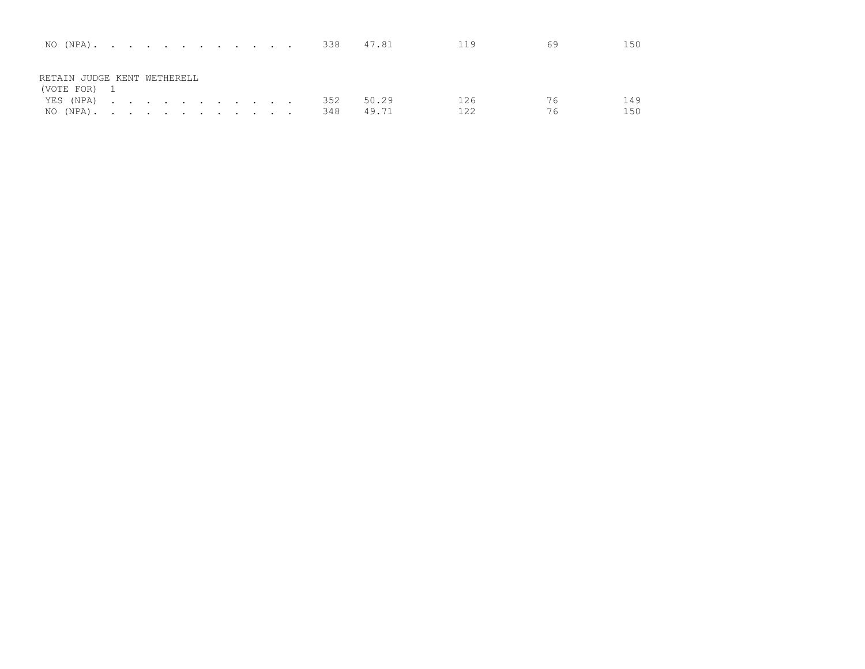| NO (NPA). 338 47.81         |  |  |  |  |  |     |       | 119 |    | 150 |
|-----------------------------|--|--|--|--|--|-----|-------|-----|----|-----|
| RETAIN JUDGE KENT WETHERELL |  |  |  |  |  |     |       |     |    |     |
| (VOTE FOR) 1                |  |  |  |  |  |     |       |     |    |     |
| YES (NPA)                   |  |  |  |  |  | 352 | 50.29 | 126 | 76 | 149 |
|                             |  |  |  |  |  | 348 | 49.71 | 122 | 76 | 150 |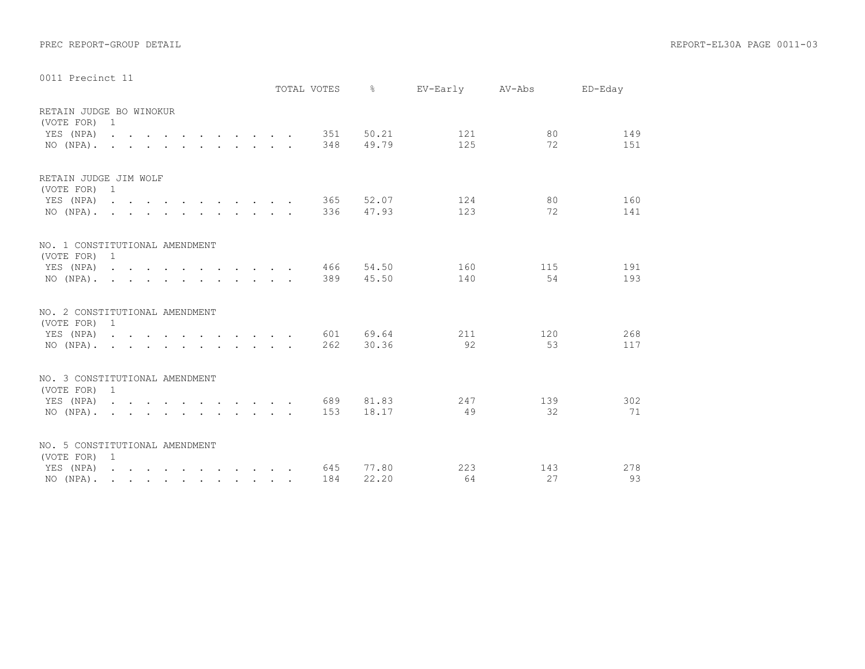|                                                      |  |  |  |                                                                                                                          |  | TOTAL VOTES | $\frac{6}{6}$  | EV-Early   | AV-Abs    | ED-Eday    |
|------------------------------------------------------|--|--|--|--------------------------------------------------------------------------------------------------------------------------|--|-------------|----------------|------------|-----------|------------|
| RETAIN JUDGE BO WINOKUR<br>(VOTE FOR) 1<br>YES (NPA) |  |  |  |                                                                                                                          |  | 351         | 50.21          | 121        | 80        | 149        |
| $NO (NPA)$ , , , , , , , , , , , ,                   |  |  |  |                                                                                                                          |  | 348         | 49.79          | 125        | 72        | 151        |
| RETAIN JUDGE JIM WOLF<br>(VOTE FOR) 1                |  |  |  |                                                                                                                          |  |             |                |            |           |            |
| YES (NPA)<br>NO (NPA). .                             |  |  |  | $\mathbf{r}$ , $\mathbf{r}$ , $\mathbf{r}$ , $\mathbf{r}$ , $\mathbf{r}$ , $\mathbf{r}$ , $\mathbf{r}$ , $\mathbf{r}$    |  | 365<br>336  | 52.07<br>47.93 | 124<br>123 | 80<br>72  | 160<br>141 |
| NO. 1 CONSTITUTIONAL AMENDMENT<br>(VOTE FOR) 1       |  |  |  |                                                                                                                          |  |             |                |            |           |            |
| YES (NPA)<br>$NO (NPA)$ , , , , , , , , , , , ,      |  |  |  |                                                                                                                          |  | 466<br>389  | 54.50<br>45.50 | 160<br>140 | 115<br>54 | 191<br>193 |
| NO. 2 CONSTITUTIONAL AMENDMENT<br>(VOTE FOR) 1       |  |  |  |                                                                                                                          |  |             |                |            |           |            |
| YES (NPA)<br>NO (NPA). .                             |  |  |  | $\mathbf{r} = \mathbf{r} - \mathbf{r}$ , $\mathbf{r} = \mathbf{r} - \mathbf{r}$ , $\mathbf{r} = \mathbf{r} - \mathbf{r}$ |  | 601<br>262  | 69.64<br>30.36 | 211<br>92  | 120<br>53 | 268<br>117 |
| NO. 3 CONSTITUTIONAL AMENDMENT<br>(VOTE FOR) 1       |  |  |  |                                                                                                                          |  |             |                |            |           |            |
| YES (NPA)<br>$NO (NPA)$ , , , , , , , , , , , ,      |  |  |  |                                                                                                                          |  | 689<br>153  | 81.83<br>18.17 | 247<br>49  | 139<br>32 | 302<br>71  |
| NO. 5 CONSTITUTIONAL AMENDMENT<br>(VOTE FOR) 1       |  |  |  |                                                                                                                          |  |             |                |            |           |            |
| YES (NPA)<br>NO (NPA).                               |  |  |  |                                                                                                                          |  | 645<br>184  | 77.80<br>22.20 | 223<br>64  | 143<br>27 | 278<br>93  |
|                                                      |  |  |  |                                                                                                                          |  |             |                |            |           |            |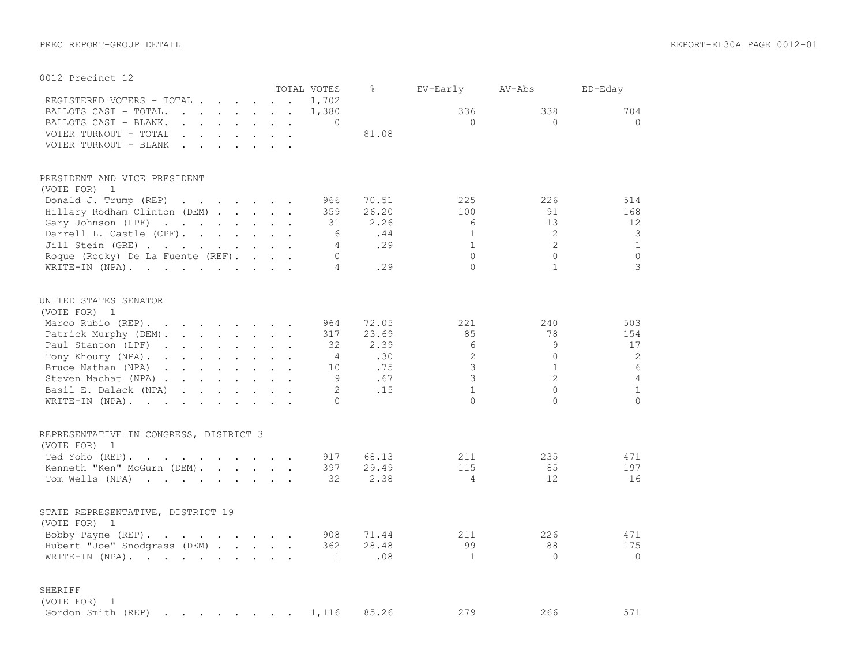|                                                                                                     |                                                                                                                                                                                                                                |                                                                                                                                                                                                                                   |  | TOTAL VOTES    | $\approx$ | EV-Early       | AV-Abs         | ED-Eday        |
|-----------------------------------------------------------------------------------------------------|--------------------------------------------------------------------------------------------------------------------------------------------------------------------------------------------------------------------------------|-----------------------------------------------------------------------------------------------------------------------------------------------------------------------------------------------------------------------------------|--|----------------|-----------|----------------|----------------|----------------|
| REGISTERED VOTERS - TOTAL .                                                                         |                                                                                                                                                                                                                                | $\mathbf{r}$ . The contract of the contract of the contract of the contract of the contract of the contract of the contract of the contract of the contract of the contract of the contract of the contract of the contract of th |  | 1,702          |           |                |                |                |
| BALLOTS CAST - TOTAL.                                                                               | $\mathbf{r}$ , $\mathbf{r}$ , $\mathbf{r}$ , $\mathbf{r}$ , $\mathbf{r}$ , $\mathbf{r}$                                                                                                                                        |                                                                                                                                                                                                                                   |  | 1,380          |           | 336            | 338            | 704            |
| BALLOTS CAST - BLANK.                                                                               | $\ddot{\phantom{a}}$                                                                                                                                                                                                           | $\mathbf{r}$ . The contract of the contract of the contract of the contract of the contract of the contract of the contract of the contract of the contract of the contract of the contract of the contract of the contract of th |  | $\Omega$       |           | $\Omega$       | $\Omega$       | $\Omega$       |
| VOTER TURNOUT - TOTAL                                                                               | $\mathbf{r}$ , $\mathbf{r}$ , $\mathbf{r}$<br>$\sim$                                                                                                                                                                           |                                                                                                                                                                                                                                   |  |                | 81.08     |                |                |                |
| VOTER TURNOUT - BLANK                                                                               | $\sim$<br>$\sim 10$                                                                                                                                                                                                            | and the contract of the contract of                                                                                                                                                                                               |  |                |           |                |                |                |
| PRESIDENT AND VICE PRESIDENT<br>(VOTE FOR)<br>$\overline{1}$                                        |                                                                                                                                                                                                                                |                                                                                                                                                                                                                                   |  |                |           |                |                |                |
| Donald J. Trump (REP)                                                                               | and the contract of the contract of the contract of the contract of the contract of the contract of the contract of the contract of the contract of the contract of the contract of the contract of the contract of the contra |                                                                                                                                                                                                                                   |  | 966            | 70.51     | 225            | 226            | 514            |
| Hillary Rodham Clinton (DEM)                                                                        |                                                                                                                                                                                                                                |                                                                                                                                                                                                                                   |  | 359            | 26.20     | 100            | 91             | 168            |
| Gary Johnson (LPF)                                                                                  |                                                                                                                                                                                                                                |                                                                                                                                                                                                                                   |  | 31             | 2.26      | 6              | 13             | 12             |
| Darrell L. Castle (CPF).                                                                            |                                                                                                                                                                                                                                |                                                                                                                                                                                                                                   |  | 6              | .44       | $\mathbf{1}$   | 2              | 3              |
| Jill Stein (GRE)                                                                                    |                                                                                                                                                                                                                                |                                                                                                                                                                                                                                   |  | $\overline{4}$ | .29       | $\mathbf{1}$   | $\overline{2}$ | $\mathbf{1}$   |
| Roque (Rocky) De La Fuente (REF).                                                                   |                                                                                                                                                                                                                                |                                                                                                                                                                                                                                   |  | $\circ$        |           | $\Omega$       | $\mathbf{0}$   | $\circ$        |
|                                                                                                     |                                                                                                                                                                                                                                |                                                                                                                                                                                                                                   |  | $\overline{4}$ |           | $\Omega$       | $\mathbf{1}$   | 3              |
| WRITE-IN (NPA).                                                                                     |                                                                                                                                                                                                                                |                                                                                                                                                                                                                                   |  |                | .29       |                |                |                |
| UNITED STATES SENATOR                                                                               |                                                                                                                                                                                                                                |                                                                                                                                                                                                                                   |  |                |           |                |                |                |
| (VOTE FOR) 1                                                                                        |                                                                                                                                                                                                                                |                                                                                                                                                                                                                                   |  |                |           |                |                |                |
| Marco Rubio (REP).                                                                                  | $\mathbf{r}$ , and $\mathbf{r}$ , and $\mathbf{r}$ , and $\mathbf{r}$                                                                                                                                                          |                                                                                                                                                                                                                                   |  | 964            | 72.05     | 221            | 240            | 503            |
| Patrick Murphy (DEM).                                                                               | $\mathbf{r}$ , and $\mathbf{r}$ , and $\mathbf{r}$ , and $\mathbf{r}$                                                                                                                                                          |                                                                                                                                                                                                                                   |  | 317            | 23.69     | 85             | 78             | 154            |
| Paul Stanton (LPF)                                                                                  | the contract of the contract of the contract of                                                                                                                                                                                |                                                                                                                                                                                                                                   |  | 32             | 2.39      | 6              | 9              | 17             |
| Tony Khoury (NPA).                                                                                  | the contract of the contract of the contract of the contract of the contract of the contract of the contract of                                                                                                                |                                                                                                                                                                                                                                   |  | 4              | .30       | $\mathbf{2}$   | $\Omega$       | $\sqrt{2}$     |
| Bruce Nathan (NPA)                                                                                  | $\mathbf{r}$ , $\mathbf{r}$ , $\mathbf{r}$ , $\mathbf{r}$ , $\mathbf{r}$ , $\mathbf{r}$                                                                                                                                        |                                                                                                                                                                                                                                   |  | 10             | .75       | 3              | $\mathbf{1}$   | $\epsilon$     |
| Steven Machat (NPA)                                                                                 |                                                                                                                                                                                                                                |                                                                                                                                                                                                                                   |  | 9              | .67       | 3              | $\overline{2}$ | $\overline{4}$ |
| Basil E. Dalack (NPA)                                                                               | and the contract of the contract of the contract of the contract of the contract of the contract of the contract of the contract of the contract of the contract of the contract of the contract of the contract of the contra |                                                                                                                                                                                                                                   |  | $\overline{2}$ | .15       | $\mathbf{1}$   | $\Omega$       | $\mathbf{1}$   |
| WRITE-IN (NPA).                                                                                     |                                                                                                                                                                                                                                |                                                                                                                                                                                                                                   |  | $\cap$         |           | $\cap$         | $\cap$         | $\Omega$       |
| REPRESENTATIVE IN CONGRESS, DISTRICT 3                                                              |                                                                                                                                                                                                                                |                                                                                                                                                                                                                                   |  |                |           |                |                |                |
| (VOTE FOR)<br>$\overline{\phantom{0}}$                                                              |                                                                                                                                                                                                                                |                                                                                                                                                                                                                                   |  |                |           |                |                |                |
| $\mathcal{A}$ . The second contribution of the second contribution $\mathcal{A}$<br>Ted Yoho (REP). |                                                                                                                                                                                                                                |                                                                                                                                                                                                                                   |  | 917            | 68.13     | 211            | 235            | 471            |
| Kenneth "Ken" McGurn (DEM).                                                                         |                                                                                                                                                                                                                                |                                                                                                                                                                                                                                   |  | 397            | 29.49     | 115            | 85             | 197            |
| Tom Wells (NPA)                                                                                     |                                                                                                                                                                                                                                |                                                                                                                                                                                                                                   |  | 32             | 2.38      | $\overline{4}$ | 12             | 16             |
| STATE REPRESENTATIVE, DISTRICT 19                                                                   |                                                                                                                                                                                                                                |                                                                                                                                                                                                                                   |  |                |           |                |                |                |
| (VOTE FOR) 1                                                                                        |                                                                                                                                                                                                                                |                                                                                                                                                                                                                                   |  |                |           |                |                |                |
| Bobby Payne (REP).                                                                                  |                                                                                                                                                                                                                                |                                                                                                                                                                                                                                   |  | 908            | 71.44     | 211            | 226            | 471            |
| Hubert "Joe" Snodgrass (DEM)                                                                        |                                                                                                                                                                                                                                |                                                                                                                                                                                                                                   |  | 362            | 28.48     | 99             | 88             | 175            |
| WRITE-IN (NPA).                                                                                     |                                                                                                                                                                                                                                |                                                                                                                                                                                                                                   |  | $\mathbf{1}$   | .08       | $\mathbf{1}$   | $\Omega$       | $\Omega$       |
|                                                                                                     |                                                                                                                                                                                                                                |                                                                                                                                                                                                                                   |  |                |           |                |                |                |
| SHERIFF                                                                                             |                                                                                                                                                                                                                                |                                                                                                                                                                                                                                   |  |                |           |                |                |                |
| (VOTE FOR)<br>$\overline{1}$                                                                        |                                                                                                                                                                                                                                |                                                                                                                                                                                                                                   |  |                |           |                |                |                |
| Gordon Smith (REP)                                                                                  | $\mathcal{A}=\mathcal{A}=\mathcal{A}=\mathcal{A}=\mathcal{A}=\mathcal{A}=\mathcal{A}=\mathcal{A}=\mathcal{A}$                                                                                                                  |                                                                                                                                                                                                                                   |  | 1,116          | 85.26     | 279            | 266            | 571            |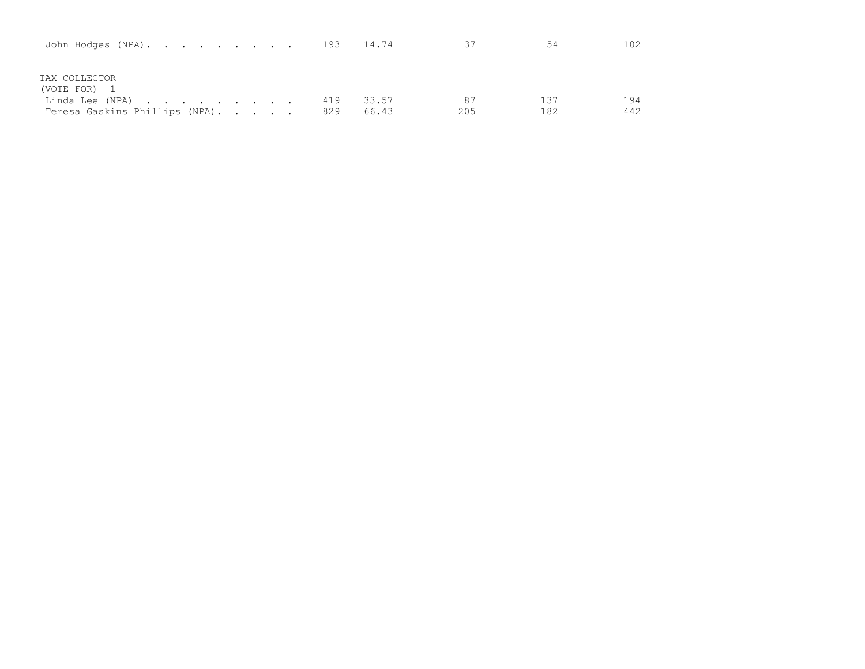| John Hodges (NPA). 193 14.74   |  |  |     |       | 37  | 54  | 102 |
|--------------------------------|--|--|-----|-------|-----|-----|-----|
| TAX COLLECTOR<br>(VOTE FOR) 1  |  |  |     |       |     |     |     |
| Linda Lee (NPA)                |  |  | 419 | 33.57 | 87  | 137 | 194 |
| Teresa Gaskins Phillips (NPA). |  |  | 829 | 66.43 | 205 | 182 | 442 |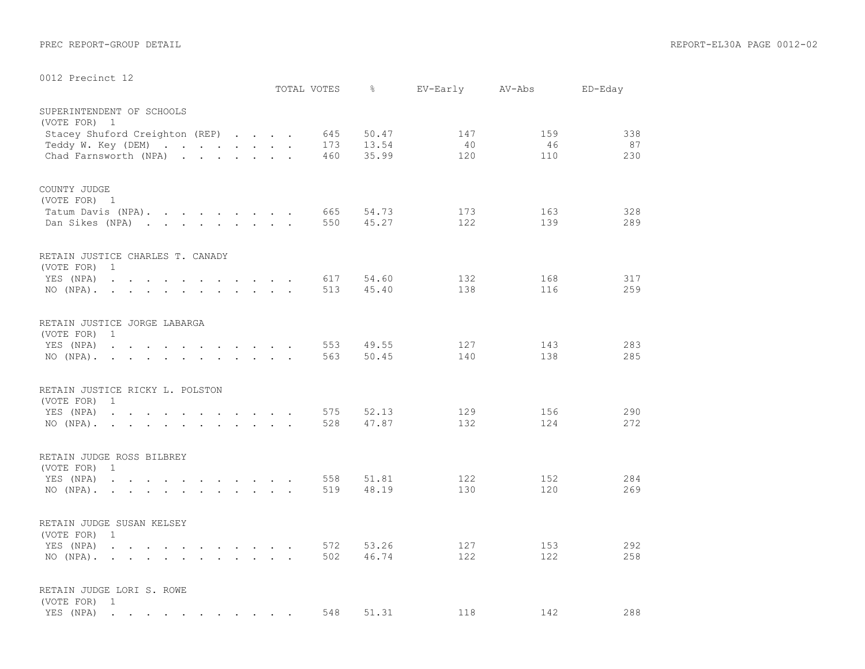| UUIZ Precinct IZ                                                                                                                                                                                                                                                                                                                                                               | TOTAL VOTES | $\frac{6}{6}$                                | EV-Early         | AV-Abs           | ED-Eday          |
|--------------------------------------------------------------------------------------------------------------------------------------------------------------------------------------------------------------------------------------------------------------------------------------------------------------------------------------------------------------------------------|-------------|----------------------------------------------|------------------|------------------|------------------|
| SUPERINTENDENT OF SCHOOLS<br>(VOTE FOR) 1<br>Stacey Shuford Creighton (REP)<br>Teddy W. Key (DEM)<br>Chad Farnsworth (NPA)                                                                                                                                                                                                                                                     |             | 50.47<br>645<br>13.54<br>173<br>460<br>35.99 | 147<br>40<br>120 | 159<br>46<br>110 | 338<br>87<br>230 |
| COUNTY JUDGE<br>(VOTE FOR) 1<br>Tatum Davis (NPA).<br>Dan Sikes (NPA)                                                                                                                                                                                                                                                                                                          |             | 665<br>54.73<br>45.27<br>550                 | 173<br>122       | 163<br>139       | 328<br>289       |
| RETAIN JUSTICE CHARLES T. CANADY<br>(VOTE FOR)<br>$\mathbf{1}$<br>YES (NPA)<br>$\mathbf{r}$ , and $\mathbf{r}$ , and $\mathbf{r}$ , and $\mathbf{r}$ , and $\mathbf{r}$<br>NO $(NPA)$                                                                                                                                                                                          |             | 54.60<br>617<br>45.40<br>513                 | 132<br>138       | 168<br>116       | 317<br>259       |
| RETAIN JUSTICE JORGE LABARGA<br>(VOTE FOR) 1<br>YES (NPA)<br>$NO (NPA)$ , , , , , , , , , , , ,                                                                                                                                                                                                                                                                                |             | 49.55<br>553<br>50.45<br>563                 | 127<br>140       | 143<br>138       | 283<br>285       |
| RETAIN JUSTICE RICKY L. POLSTON<br>(VOTE FOR)<br>$\mathbf{1}$<br>YES (NPA)<br>$\mathbf{r}$ and $\mathbf{r}$ and $\mathbf{r}$<br>$\mathbf{r}$ . The set of the set of the set of the set of the set of the set of the set of the set of the set of the set of the set of the set of the set of the set of the set of the set of the set of the set of the set of t<br>NO (NPA). |             | 575<br>52.13<br>47.87<br>528                 | 129<br>132       | 156<br>124       | 290<br>272       |
| RETAIN JUDGE ROSS BILBREY<br>(VOTE FOR) 1<br>YES (NPA)<br>$\mathbf{r}$ , $\mathbf{r}$ , $\mathbf{r}$ , $\mathbf{r}$<br>and the contract of the contract of the<br>$\sim$<br>NO (NPA).                                                                                                                                                                                          |             | 558<br>51.81<br>48.19<br>519                 | 122<br>130       | 152<br>120       | 284<br>269       |
| RETAIN JUDGE SUSAN KELSEY<br>$\mathbf{1}$<br>(VOTE FOR)<br>YES (NPA)<br>$\mathbf{r}$ , and $\mathbf{r}$ , and $\mathbf{r}$ , and $\mathbf{r}$ , and $\mathbf{r}$<br>NO (NPA).                                                                                                                                                                                                  |             | 53.26<br>572<br>46.74<br>502                 | 127<br>122       | 153<br>122       | 292<br>258       |
| RETAIN JUDGE LORI S. ROWE<br>(VOTE FOR) 1<br>YES (NPA)<br>and a series of the contract of the contract of the contract of the contract of the contract of the contract of                                                                                                                                                                                                      |             | 548<br>51.31                                 | 118              | 142              | 288              |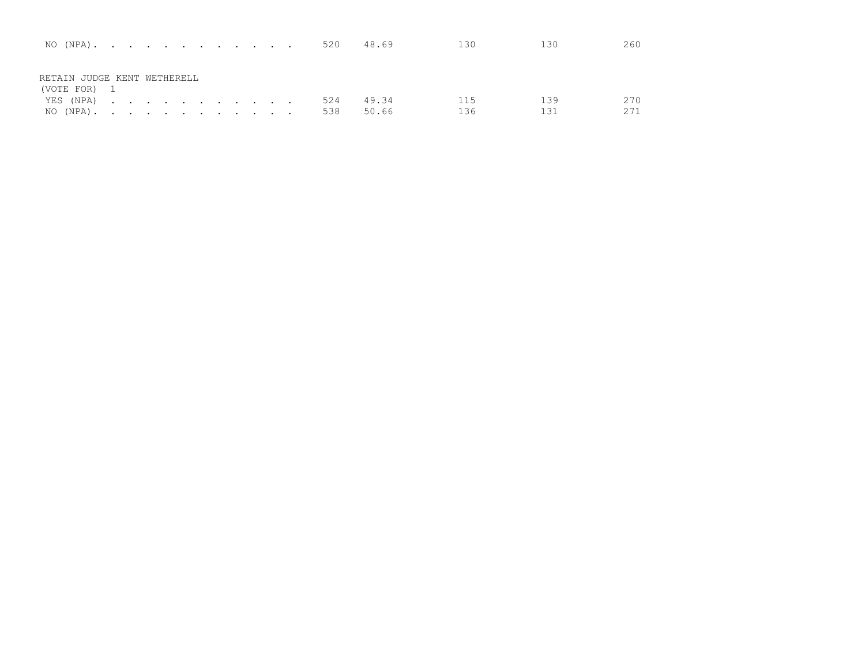| NO (NPA). 520 48.69                        |  |  |  |  |  |     |                | 130        | 130        | 260        |
|--------------------------------------------|--|--|--|--|--|-----|----------------|------------|------------|------------|
| RETAIN JUDGE KENT WETHERELL                |  |  |  |  |  |     |                |            |            |            |
| (VOTE FOR) 1<br>YES (NPA)<br>NO (NPA). 538 |  |  |  |  |  | 524 | 49.34<br>50.66 | 115<br>136 | 139<br>131 | 270<br>271 |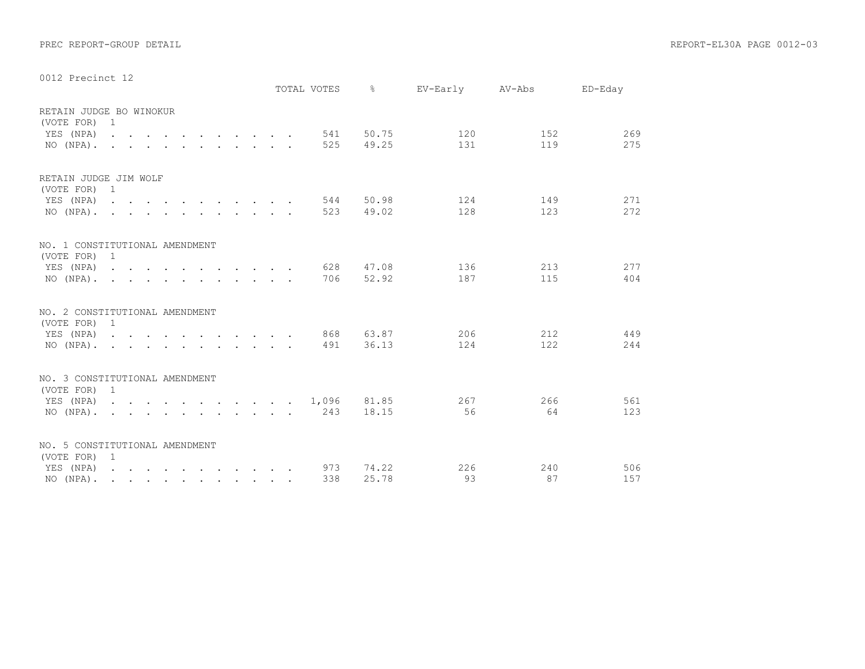|                                                |  |  |                                                                                                                                                 |  |  | TOTAL VOTES | $\approx$ | EV-Early AV-Abs |     | ED-Eday |
|------------------------------------------------|--|--|-------------------------------------------------------------------------------------------------------------------------------------------------|--|--|-------------|-----------|-----------------|-----|---------|
| RETAIN JUDGE BO WINOKUR<br>(VOTE FOR) 1        |  |  |                                                                                                                                                 |  |  |             |           |                 |     |         |
| YES (NPA)                                      |  |  |                                                                                                                                                 |  |  | 541         | 50.75     | 120             | 152 | 269     |
| $NO (NPA)$ , , , , , , , , , , , ,             |  |  |                                                                                                                                                 |  |  | 525         | 49.25     | 131             | 119 | 275     |
| RETAIN JUDGE JIM WOLF<br>(VOTE FOR) 1          |  |  |                                                                                                                                                 |  |  |             |           |                 |     |         |
| YES (NPA)                                      |  |  |                                                                                                                                                 |  |  | 544         | 50.98     | 124             | 149 | 271     |
| NO (NPA). .                                    |  |  | $\mathbf{r} = \mathbf{r} - \mathbf{r}$ , $\mathbf{r} = \mathbf{r} - \mathbf{r}$ , $\mathbf{r} = \mathbf{r} - \mathbf{r}$                        |  |  | 523         | 49.02     | 128             | 123 | 272     |
| NO. 1 CONSTITUTIONAL AMENDMENT<br>(VOTE FOR) 1 |  |  |                                                                                                                                                 |  |  |             |           |                 |     |         |
| YES (NPA)                                      |  |  |                                                                                                                                                 |  |  | 628         | 47.08     | 136             | 213 | 277     |
| $NO (NPA)$ , , , , , , , , , , , ,             |  |  |                                                                                                                                                 |  |  | 706         | 52.92     | 187             | 115 | 404     |
| NO. 2 CONSTITUTIONAL AMENDMENT<br>(VOTE FOR) 1 |  |  |                                                                                                                                                 |  |  |             |           |                 |     |         |
| YES (NPA)                                      |  |  |                                                                                                                                                 |  |  | 868         | 63.87     | 206             | 212 | 449     |
| NO (NPA). .                                    |  |  | $\mathbf{r} = \mathbf{r} \times \mathbf{r}$ , and $\mathbf{r} = \mathbf{r} \times \mathbf{r}$ , and $\mathbf{r} = \mathbf{r} \times \mathbf{r}$ |  |  | 491         | 36.13     | 124             | 122 | 244     |
| NO. 3 CONSTITUTIONAL AMENDMENT                 |  |  |                                                                                                                                                 |  |  |             |           |                 |     |         |
| (VOTE FOR) 1<br>YES (NPA) 1,096                |  |  |                                                                                                                                                 |  |  |             | 81.85     | 267             | 266 | 561     |
| NO $(NPA)$                                     |  |  |                                                                                                                                                 |  |  | 243         | 18.15     | 56              | 64  | 123     |
| NO. 5 CONSTITUTIONAL AMENDMENT                 |  |  |                                                                                                                                                 |  |  |             |           |                 |     |         |
| (VOTE FOR) 1<br>YES (NPA)                      |  |  |                                                                                                                                                 |  |  | 973         | 74.22     | 226             | 240 | 506     |
| NO $(NPA)$ .                                   |  |  |                                                                                                                                                 |  |  | 338         | 25.78     | 93              | 87  | 157     |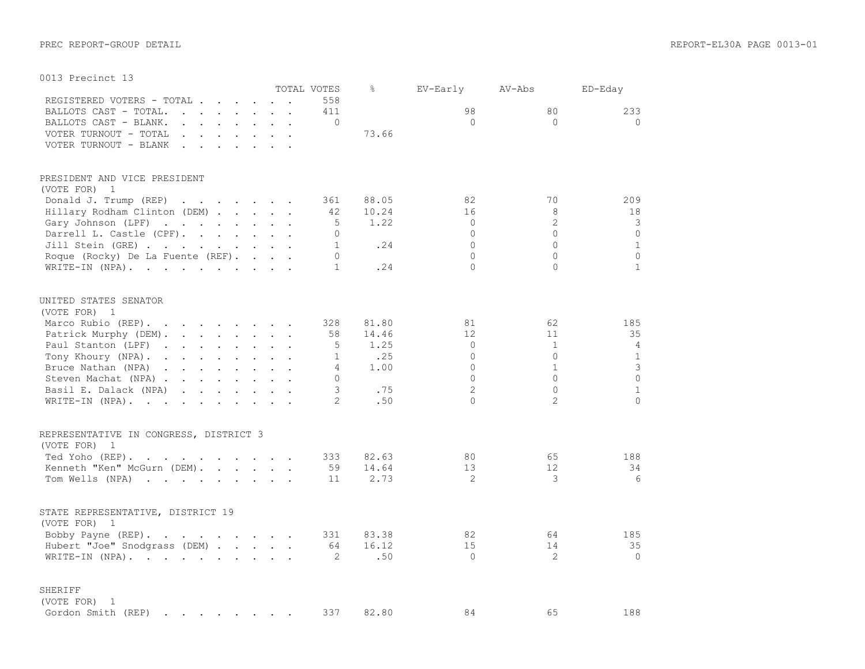|                                                                                                                                                                                                                                                                      |                |                      | TOTAL VOTES    | ⊱     | EV-Early       | AV-Abs         | ED-Eday      |
|----------------------------------------------------------------------------------------------------------------------------------------------------------------------------------------------------------------------------------------------------------------------|----------------|----------------------|----------------|-------|----------------|----------------|--------------|
| REGISTERED VOTERS - TOTAL                                                                                                                                                                                                                                            |                |                      | 558            |       |                |                |              |
| BALLOTS CAST - TOTAL.<br>$\mathbf{r}$ , $\mathbf{r}$ , $\mathbf{r}$ , $\mathbf{r}$ , $\mathbf{r}$ , $\mathbf{r}$                                                                                                                                                     |                | $\mathbf{r}$         | 411            |       | 98             | 80             | 233          |
| BALLOTS CAST - BLANK.<br>$\mathbf{r}$ , and $\mathbf{r}$ , and $\mathbf{r}$ , and $\mathbf{r}$                                                                                                                                                                       |                | $\ddot{\phantom{a}}$ | $\Omega$       |       | $\Omega$       | $\Omega$       | $\Omega$     |
| VOTER TURNOUT - TOTAL<br>$\mathbf{L} = \mathbf{L} \mathbf{L} + \mathbf{L} \mathbf{L}$                                                                                                                                                                                | and a state of |                      |                | 73.66 |                |                |              |
| VOTER TURNOUT - BLANK<br>$\mathbf{r}$ . The set of the set of the set of the set of the set of the set of the set of the set of the set of the set of the set of the set of the set of the set of the set of the set of the set of the set of the set of t<br>$\sim$ |                |                      |                |       |                |                |              |
|                                                                                                                                                                                                                                                                      |                |                      |                |       |                |                |              |
| PRESIDENT AND VICE PRESIDENT<br>(VOTE FOR)<br>1                                                                                                                                                                                                                      |                |                      |                |       |                |                |              |
| Donald J. Trump (REP)                                                                                                                                                                                                                                                |                |                      | 361            | 88.05 | 82             | 70             | 209          |
| Hillary Rodham Clinton (DEM)                                                                                                                                                                                                                                         |                |                      | 42             | 10.24 | 16             | 8              | 18           |
| Gary Johnson (LPF)                                                                                                                                                                                                                                                   |                |                      | 5              | 1.22  | $\circ$        | $\overline{2}$ | 3            |
| Darrell L. Castle (CPF).                                                                                                                                                                                                                                             |                |                      | $\Omega$       |       | $\Omega$       | $\Omega$       | $\Omega$     |
| Jill Stein (GRE)                                                                                                                                                                                                                                                     |                |                      | $\mathbf{1}$   | .24   | $\Omega$       | $\Omega$       | $\mathbf{1}$ |
| Roque (Rocky) De La Fuente (REF).                                                                                                                                                                                                                                    |                |                      | $\circ$        |       | $\Omega$       | $\Omega$       | $\circ$      |
| WRITE-IN (NPA).                                                                                                                                                                                                                                                      |                |                      | $\mathbf{1}$   | .24   | $\Omega$       | $\Omega$       | $\mathbf{1}$ |
|                                                                                                                                                                                                                                                                      |                |                      |                |       |                |                |              |
| UNITED STATES SENATOR                                                                                                                                                                                                                                                |                |                      |                |       |                |                |              |
| (VOTE FOR) 1                                                                                                                                                                                                                                                         |                |                      |                |       |                |                |              |
| Marco Rubio (REP).<br>and the contract of the contract of the contract of the contract of the contract of the contract of the contract of the contract of the contract of the contract of the contract of the contract of the contract of the contra                 |                |                      | 328            | 81.80 | 81             | 62             | 185          |
| Patrick Murphy (DEM).<br>$\mathbf{r}$ . The set of the set of the set of the set of the set of the set of the set of the set of the set of the set of the set of the set of the set of the set of the set of the set of the set of the set of the set of t           |                |                      | 58             | 14.46 | 12             | 11             | 35           |
| Paul Stanton (LPF)<br>and the contract of the contract of the contract of the contract of the contract of the contract of the contract of the contract of the contract of the contract of the contract of the contract of the contract of the contra                 |                |                      | 5              | 1.25  | 0              | $\mathbf{1}$   | 4            |
| Tony Khoury (NPA).                                                                                                                                                                                                                                                   |                |                      | $\mathbf{1}$   | .25   | $\Omega$       | $\Omega$       | $\mathbf{1}$ |
| Bruce Nathan (NPA)                                                                                                                                                                                                                                                   |                |                      | $\overline{4}$ | 1.00  | $\Omega$       | $\mathbf{1}$   | 3            |
| Steven Machat (NPA)                                                                                                                                                                                                                                                  |                |                      | $\Omega$       |       | $\Omega$       | $\Omega$       | $\Omega$     |
| Basil E. Dalack (NPA)<br>$\mathbf{r}$ , $\mathbf{r}$ , $\mathbf{r}$ , $\mathbf{r}$ , $\mathbf{r}$ , $\mathbf{r}$                                                                                                                                                     |                |                      | 3              | .75   | $\overline{2}$ | $\Omega$       | $\mathbf{1}$ |
| WRITE-IN (NPA).                                                                                                                                                                                                                                                      |                |                      | $\overline{2}$ | .50   | $\Omega$       | $\overline{2}$ | $\Omega$     |
| REPRESENTATIVE IN CONGRESS, DISTRICT 3                                                                                                                                                                                                                               |                |                      |                |       |                |                |              |
| (VOTE FOR) 1                                                                                                                                                                                                                                                         |                |                      |                |       |                |                |              |
| the contract of the contract of the contract of the contract of the contract of the contract of the contract of<br>Ted Yoho (REP).                                                                                                                                   |                |                      | 333            | 82.63 | 80             | 65             | 188          |
| Kenneth "Ken" McGurn (DEM).                                                                                                                                                                                                                                          |                |                      | 59             | 14.64 | 13             | 12             | 34           |
| Tom Wells (NPA)                                                                                                                                                                                                                                                      |                |                      | 11             | 2.73  | $\mathfrak{D}$ | 3              | 6            |
|                                                                                                                                                                                                                                                                      |                |                      |                |       |                |                |              |
| STATE REPRESENTATIVE, DISTRICT 19                                                                                                                                                                                                                                    |                |                      |                |       |                |                |              |
| (VOTE FOR) 1                                                                                                                                                                                                                                                         |                |                      |                |       |                |                |              |
| Bobby Payne (REP).<br>$\mathcal{A}$ . The set of the set of the set of the set of $\mathcal{A}$                                                                                                                                                                      |                |                      | 331            | 83.38 | 82             | 64             | 185          |
| Hubert "Joe" Snodgrass (DEM)                                                                                                                                                                                                                                         |                |                      | 64             | 16.12 | 15             | 14             | 35           |
| WRITE-IN (NPA).                                                                                                                                                                                                                                                      |                |                      | 2              | .50   | $\Omega$       | $\overline{2}$ | $\Omega$     |
| SHERIFF                                                                                                                                                                                                                                                              |                |                      |                |       |                |                |              |
| (VOTE FOR)<br>1                                                                                                                                                                                                                                                      |                |                      |                |       |                |                |              |
| Gordon Smith (REP)                                                                                                                                                                                                                                                   |                |                      | 337            | 82.80 | 84             | 65             | 188          |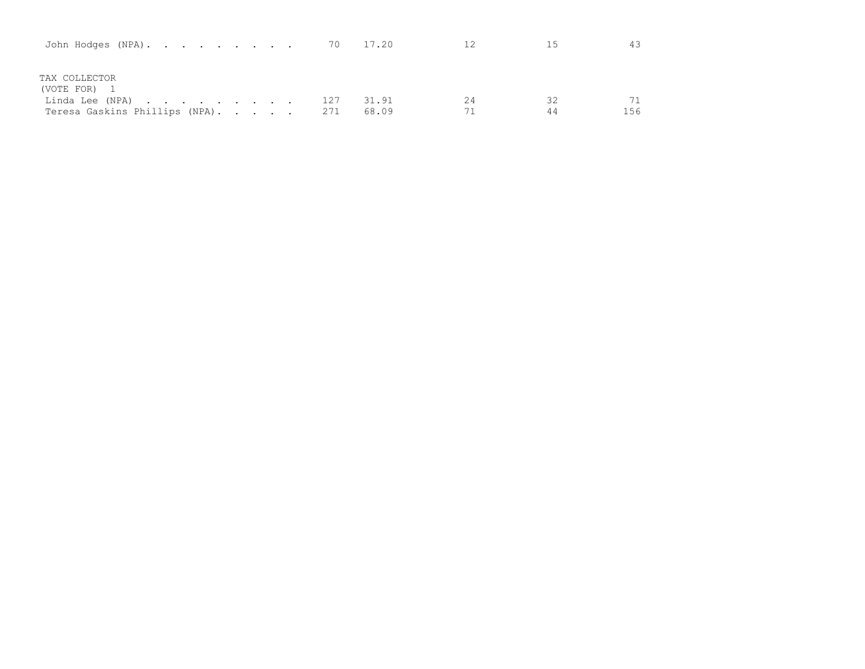| John Hodges (NPA). 70 17.20                                                           |  |  |     |                | 12 |          | 43        |
|---------------------------------------------------------------------------------------|--|--|-----|----------------|----|----------|-----------|
| TAX COLLECTOR<br>(VOTE FOR) 1<br>Linda Lee (NPA)<br>Teresa Gaskins Phillips (NPA) 271 |  |  | 127 | 31.91<br>68.09 | 24 | 32<br>44 | 71<br>156 |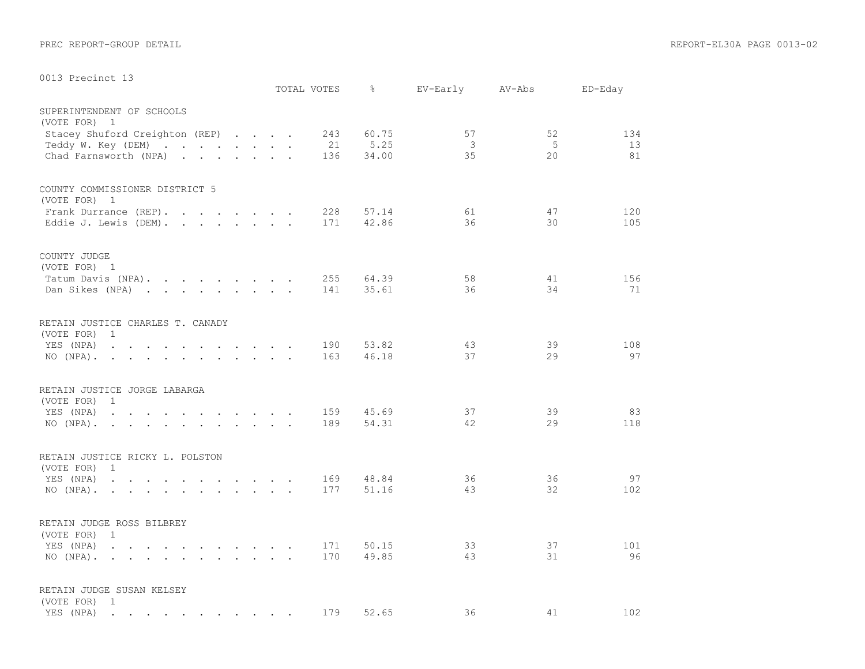| UULS Precinct 13                                                                                                                                                                                                                                  | TOTAL VOTES |     | $\frac{6}{6}$ | EV-Early | AV-Abs | ED-Eday |
|---------------------------------------------------------------------------------------------------------------------------------------------------------------------------------------------------------------------------------------------------|-------------|-----|---------------|----------|--------|---------|
| SUPERINTENDENT OF SCHOOLS<br>(VOTE FOR) 1                                                                                                                                                                                                         |             |     |               |          |        |         |
| Stacey Shuford Creighton (REP)                                                                                                                                                                                                                    |             | 243 | 60.75         | 57       | 52     | 134     |
| Teddy W. Key (DEM)                                                                                                                                                                                                                                |             | 21  | 5.25          | 3        | -5     | 13      |
| Chad Farnsworth (NPA)                                                                                                                                                                                                                             |             | 136 | 34.00         | 35       | 20     | 81      |
|                                                                                                                                                                                                                                                   |             |     |               |          |        |         |
| COUNTY COMMISSIONER DISTRICT 5<br>(VOTE FOR) 1                                                                                                                                                                                                    |             |     |               |          |        |         |
| Frank Durrance (REP).<br>$\mathbf{r}$ , $\mathbf{r}$ , $\mathbf{r}$ , $\mathbf{r}$ , $\mathbf{r}$ , $\mathbf{r}$                                                                                                                                  |             | 228 | 57.14         | 61       | 47     | 120     |
| Eddie J. Lewis (DEM).                                                                                                                                                                                                                             |             | 171 | 42.86         | 36       | 30     | 105     |
|                                                                                                                                                                                                                                                   |             |     |               |          |        |         |
| COUNTY JUDGE<br>(VOTE FOR) 1                                                                                                                                                                                                                      |             |     |               |          |        |         |
| Tatum Davis (NPA).                                                                                                                                                                                                                                |             | 255 | 64.39         | 58       | 41     | 156     |
| Dan Sikes (NPA)                                                                                                                                                                                                                                   |             | 141 | 35.61         | 36       | 34     | 71      |
|                                                                                                                                                                                                                                                   |             |     |               |          |        |         |
| RETAIN JUSTICE CHARLES T. CANADY<br>(VOTE FOR)<br>1                                                                                                                                                                                               |             |     |               |          |        |         |
| YES (NPA)<br>the contract of the contract of the contract of the contract of the contract of the contract of the contract of                                                                                                                      |             | 190 | 53.82         | 43       | 39     | 108     |
| $\mathbf{r}$ and $\mathbf{r}$ are the set of the set of the set of the set of the set of the set of the set of the set of the set of the set of the set of the set of the set of the set of the set of the set of the set of the set<br>NO (NPA). |             | 163 | 46.18         | 37       | 29     | 97      |
| RETAIN JUSTICE JORGE LABARGA                                                                                                                                                                                                                      |             |     |               |          |        |         |
| (VOTE FOR)<br>1                                                                                                                                                                                                                                   |             |     |               |          |        |         |
| YES (NPA)<br>$\mathbf{r} = \mathbf{r} + \mathbf{r} + \mathbf{r} + \mathbf{r}$<br>$\ddot{\phantom{a}}$<br>$\sim$                                                                                                                                   |             | 159 | 45.69         | 37       | 39     | 83      |
| NO (NPA).<br>the contract of the contract of the contract of the contract of the contract of the contract of the contract of                                                                                                                      |             | 189 | 54.31         | 42       | 29     | 118     |
| RETAIN JUSTICE RICKY L. POLSTON                                                                                                                                                                                                                   |             |     |               |          |        |         |
| (VOTE FOR)<br>1                                                                                                                                                                                                                                   |             | 169 | 48.84         | 36       | 36     | 97      |
| YES (NPA)<br>and a series of the contract of the contract of the contract of the contract of the contract of the contract of                                                                                                                      |             | 177 | 51.16         | 43       | 32     | 102     |
| NO (NPA).                                                                                                                                                                                                                                         |             |     |               |          |        |         |
| RETAIN JUDGE ROSS BILBREY<br>(VOTE FOR)<br>$\mathbf{1}$                                                                                                                                                                                           |             |     |               |          |        |         |
| YES (NPA)                                                                                                                                                                                                                                         |             | 171 | 50.15         | 33       | 37     | 101     |
| and the contract of the contract of the contract of the contract of the contract of the contract of the contract of the contract of the contract of the contract of the contract of the contract of the contract of the contra<br>NO (NPA).       |             | 170 | 49.85         | 43       | 31     | 96      |
|                                                                                                                                                                                                                                                   |             |     |               |          |        |         |
| RETAIN JUDGE SUSAN KELSEY<br>(VOTE FOR)<br>$\mathbf{1}$                                                                                                                                                                                           |             |     |               |          |        |         |
| YES (NPA)<br>and a series of the contract and a series of the contract of the contract of the contract of the contract of the contract of the contract of the contract of the contract of the contract of the contract of the contract of t       |             | 179 | 52.65         | 36       | 41     | 102     |
|                                                                                                                                                                                                                                                   |             |     |               |          |        |         |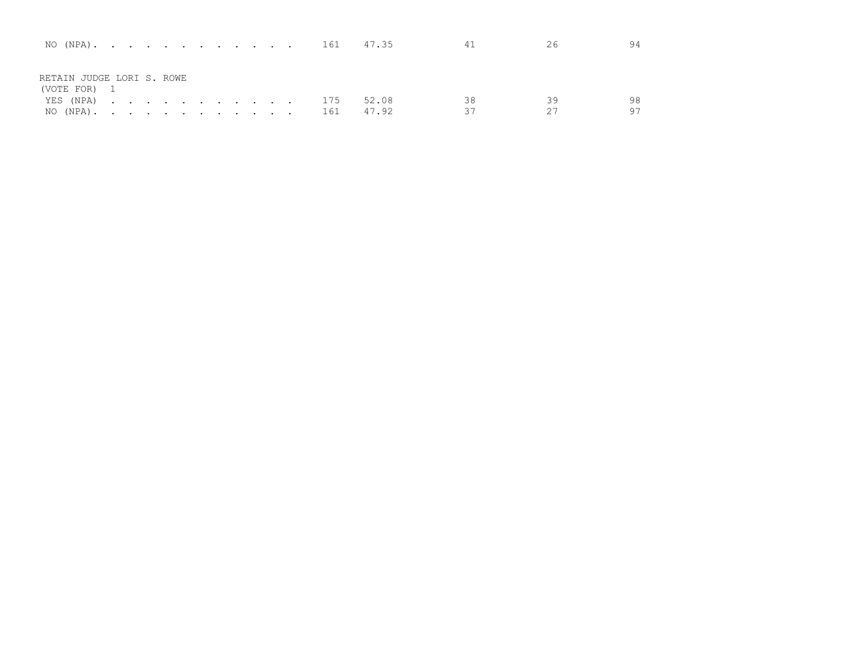|                           |  |  |  |  |  |               | NO (NPA). 161 47.35 | 41 | 26 |  |
|---------------------------|--|--|--|--|--|---------------|---------------------|----|----|--|
|                           |  |  |  |  |  |               |                     |    |    |  |
| RETAIN JUDGE LORI S. ROWE |  |  |  |  |  |               |                     |    |    |  |
| (VOTE FOR) 1              |  |  |  |  |  |               |                     |    |    |  |
|                           |  |  |  |  |  | YES (NPA) 175 | 52.08               | 38 | 39 |  |
| NO (NPA). 161             |  |  |  |  |  |               | 47.92               | スフ |    |  |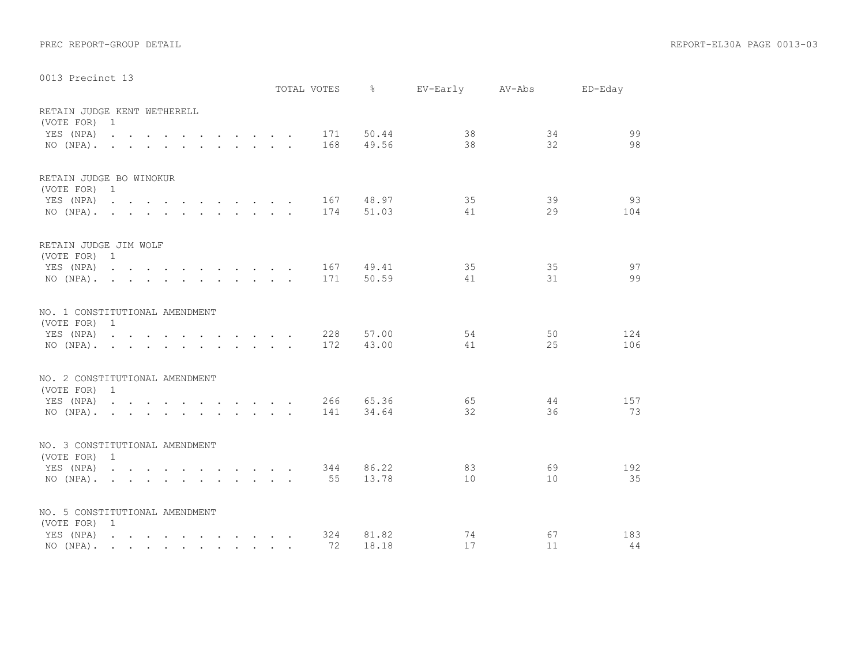| UUIS Precinct IS                               |                                                                                                                 |  |  |  |  |  | TOTAL VOTES | 아이는 아이들이 아이들이 아이들이 없었다. | EV-Early AV-Abs |          | $ED$ – $Eday$ |
|------------------------------------------------|-----------------------------------------------------------------------------------------------------------------|--|--|--|--|--|-------------|-------------------------|-----------------|----------|---------------|
| RETAIN JUDGE KENT WETHERELL<br>(VOTE FOR)      | $\overline{1}$                                                                                                  |  |  |  |  |  |             |                         |                 |          |               |
| YES (NPA)                                      | $\mathbf{r}$ , and $\mathbf{r}$ , and $\mathbf{r}$ , and $\mathbf{r}$ , and $\mathbf{r}$                        |  |  |  |  |  | 171         | 50.44                   | 38              | 34       | 99            |
| $NO (NPA)$ , , , , , , , , , , , ,             |                                                                                                                 |  |  |  |  |  | 168         | 49.56                   | 38              | 32       | 98            |
| RETAIN JUDGE BO WINOKUR                        |                                                                                                                 |  |  |  |  |  |             |                         |                 |          |               |
| (VOTE FOR)<br>YES (NPA)                        | $\overline{1}$                                                                                                  |  |  |  |  |  | 167         | 48.97                   | 35              | 39       | 93            |
| $NO (NPA)$ , , , , , , , , , , , ,             |                                                                                                                 |  |  |  |  |  | 174         | 51.03                   | 41              | 29       | 104           |
| RETAIN JUDGE JIM WOLF                          |                                                                                                                 |  |  |  |  |  |             |                         |                 |          |               |
| (VOTE FOR)<br>YES (NPA)                        | $\overline{1}$                                                                                                  |  |  |  |  |  | 167         | 49.41                   | 35              | 35       | 97            |
| $NO (NPA)$ , , , , , , , , , , ,               |                                                                                                                 |  |  |  |  |  | 171         | 50.59                   | 41              | 31       | 99            |
| NO. 1 CONSTITUTIONAL AMENDMENT                 |                                                                                                                 |  |  |  |  |  |             |                         |                 |          |               |
| (VOTE FOR) 1                                   |                                                                                                                 |  |  |  |  |  |             |                         |                 |          |               |
| YES (NPA)<br>NO (NPA).                         |                                                                                                                 |  |  |  |  |  | 228<br>172  | 57.00<br>43.00          | 54<br>41        | 50<br>25 | 124<br>106    |
| NO. 2 CONSTITUTIONAL AMENDMENT                 |                                                                                                                 |  |  |  |  |  |             |                         |                 |          |               |
| (VOTE FOR)                                     | $\overline{1}$                                                                                                  |  |  |  |  |  |             |                         |                 |          |               |
| YES (NPA)                                      | the contract of the contract of the contract of the contract of the contract of the contract of the contract of |  |  |  |  |  | 266         | 65.36                   | 65              | 44       | 157           |
| $NO (NPA)$ , , , , , , , , , ,                 |                                                                                                                 |  |  |  |  |  | 141         | 34.64                   | 32              | 36       | 73            |
| NO. 3 CONSTITUTIONAL AMENDMENT<br>(VOTE FOR) 1 |                                                                                                                 |  |  |  |  |  |             |                         |                 |          |               |
| YES (NPA)                                      |                                                                                                                 |  |  |  |  |  | 344         | 86.22                   | 83              | 69       | 192           |
|                                                |                                                                                                                 |  |  |  |  |  | 55          | 13.78                   | 10              | 10       | 35            |
| NO. 5 CONSTITUTIONAL AMENDMENT                 |                                                                                                                 |  |  |  |  |  |             |                         |                 |          |               |
| (VOTE FOR) 1                                   |                                                                                                                 |  |  |  |  |  |             |                         |                 |          |               |
| YES (NPA)<br>NO (NPA).                         | the contract of the contract of the contract of the contract of the contract of the contract of the contract of |  |  |  |  |  | 324<br>72   | 81.82<br>18.18          | 74<br>17        | 67<br>11 | 183<br>44     |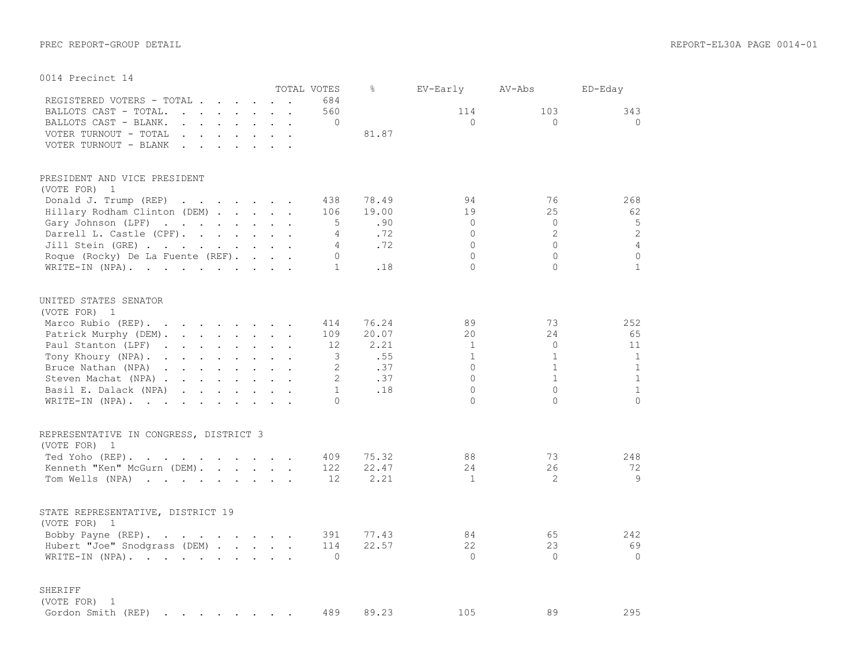|                                                                                                                                                                                                                                                      |  | TOTAL VOTES       | 옹     | EV-Early     | AV-Abs         | ED-Eday        |
|------------------------------------------------------------------------------------------------------------------------------------------------------------------------------------------------------------------------------------------------------|--|-------------------|-------|--------------|----------------|----------------|
| REGISTERED VOTERS - TOTAL .<br>$\sim$ $\sim$ $\sim$ $\sim$ $\sim$ $\sim$                                                                                                                                                                             |  | 684               |       |              |                |                |
| BALLOTS CAST - TOTAL.<br>$\mathbf{r}$ , and $\mathbf{r}$ , and $\mathbf{r}$ , and $\mathbf{r}$                                                                                                                                                       |  | 560               |       | 114          | 103            | 343            |
| BALLOTS CAST - BLANK.<br>$\mathbf{r}$ , and $\mathbf{r}$ , and $\mathbf{r}$ , and $\mathbf{r}$                                                                                                                                                       |  | $\circ$           |       | $\Omega$     | $\Omega$       | $\Omega$       |
| VOTER TURNOUT - TOTAL<br>$\cdot$ $\cdot$ $\cdot$ $\cdot$<br>$\mathbf{L} = \mathbf{L}$                                                                                                                                                                |  |                   | 81.87 |              |                |                |
| VOTER TURNOUT - BLANK<br>$\mathbf{r}$ , $\mathbf{r}$ , $\mathbf{r}$ , $\mathbf{r}$ , $\mathbf{r}$ , $\mathbf{r}$<br>$\sim$                                                                                                                           |  |                   |       |              |                |                |
|                                                                                                                                                                                                                                                      |  |                   |       |              |                |                |
| PRESIDENT AND VICE PRESIDENT<br>(VOTE FOR)<br>1                                                                                                                                                                                                      |  |                   |       |              |                |                |
| Donald J. Trump (REP)                                                                                                                                                                                                                                |  | 438               | 78.49 | 94           | 76             | 268            |
| Hillary Rodham Clinton (DEM)                                                                                                                                                                                                                         |  | 106               | 19.00 | 19           | 25             | 62             |
| Gary Johnson (LPF)                                                                                                                                                                                                                                   |  | 5                 | .90   | $\Omega$     | $\Omega$       | 5              |
|                                                                                                                                                                                                                                                      |  | 4                 | .72   | $\Omega$     | $\overline{2}$ | $\overline{c}$ |
| Darrell L. Castle (CPF).                                                                                                                                                                                                                             |  |                   |       | $\Omega$     | $\Omega$       | $\overline{4}$ |
| Jill Stein (GRE)                                                                                                                                                                                                                                     |  | $\overline{4}$    | .72   |              |                |                |
| Roque (Rocky) De La Fuente (REF).                                                                                                                                                                                                                    |  | $\circ$           |       | $\Omega$     | $\Omega$       | $\circ$        |
| WRITE-IN (NPA).                                                                                                                                                                                                                                      |  | $\mathbf{1}$      | .18   | $\Omega$     | $\Omega$       | $\mathbf{1}$   |
| UNITED STATES SENATOR                                                                                                                                                                                                                                |  |                   |       |              |                |                |
| (VOTE FOR) 1                                                                                                                                                                                                                                         |  |                   |       |              |                |                |
| Marco Rubio (REP).<br>and the contract of the contract of the contract of the contract of the contract of the contract of the contract of the contract of the contract of the contract of the contract of the contract of the contract of the contra |  | 414               | 76.24 | 89           | 73             | 252            |
| Patrick Murphy (DEM).                                                                                                                                                                                                                                |  | 109               | 20.07 | 20           | 24             | 65             |
| Paul Stanton (LPF)<br>the contract of the contract of                                                                                                                                                                                                |  | $12 \overline{ }$ | 2.21  | $\mathbf{1}$ | $\circ$        | 11             |
| Tony Khoury (NPA).                                                                                                                                                                                                                                   |  | 3                 | .55   | $\mathbf{1}$ | $\mathbf{1}$   | $\mathbf{1}$   |
| Bruce Nathan (NPA)<br>$\mathbf{r}$ , $\mathbf{r}$ , $\mathbf{r}$ , $\mathbf{r}$ , $\mathbf{r}$ , $\mathbf{r}$ , $\mathbf{r}$                                                                                                                         |  | 2                 | .37   | $\Omega$     | $\mathbf{1}$   | $\mathbf{1}$   |
| Steven Machat (NPA)                                                                                                                                                                                                                                  |  | $\overline{2}$    | .37   | $\Omega$     | $\mathbf{1}$   | $\mathbf{1}$   |
| Basil E. Dalack (NPA)<br>the contract of the contract of the                                                                                                                                                                                         |  | $\mathbf{1}$      | .18   | $\Omega$     | $\Omega$       | $\mathbf{1}$   |
| WRITE-IN (NPA).                                                                                                                                                                                                                                      |  | $\bigcap$         |       | $\Omega$     | $\Omega$       | $\Omega$       |
| REPRESENTATIVE IN CONGRESS, DISTRICT 3                                                                                                                                                                                                               |  |                   |       |              |                |                |
| (VOTE FOR)<br>$\overline{\phantom{0}}$                                                                                                                                                                                                               |  |                   |       |              |                |                |
| Ted Yoho (REP).<br>$\mathcal{A}$ . The second contribution of the second contribution $\mathcal{A}$                                                                                                                                                  |  | 409               | 75.32 | 88           | 73             | 248            |
| Kenneth "Ken" McGurn (DEM).                                                                                                                                                                                                                          |  | 122               | 22.47 | 24           | 26             | 72             |
|                                                                                                                                                                                                                                                      |  | 12                | 2.21  | $\mathbf{1}$ | 2              | 9              |
| Tom Wells (NPA)                                                                                                                                                                                                                                      |  |                   |       |              |                |                |
| STATE REPRESENTATIVE, DISTRICT 19                                                                                                                                                                                                                    |  |                   |       |              |                |                |
| (VOTE FOR) 1                                                                                                                                                                                                                                         |  |                   |       |              |                |                |
| Bobby Payne (REP).                                                                                                                                                                                                                                   |  | 391               | 77.43 | 84           | 65             | 242            |
| Hubert "Joe" Snodgrass (DEM)                                                                                                                                                                                                                         |  | 114               | 22.57 | 22           | 23             | 69             |
| WRITE-IN (NPA).                                                                                                                                                                                                                                      |  | $\Omega$          |       | $\bigcap$    | $\Omega$       | $\Omega$       |
| SHERIFF                                                                                                                                                                                                                                              |  |                   |       |              |                |                |
| (VOTE FOR)<br>1                                                                                                                                                                                                                                      |  |                   |       |              |                |                |
| Gordon Smith (REP)<br>the contract of the contract of the contract of                                                                                                                                                                                |  | 489               | 89.23 | 105          | 89             | 295            |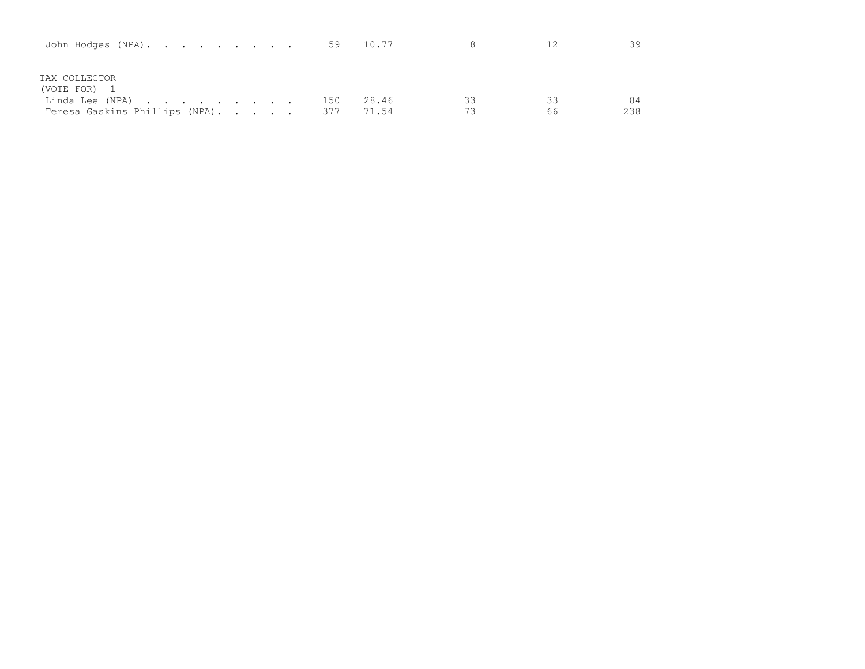| John Hodges (NPA). 59             |  |  |     | 10.77 |    |    | 30  |
|-----------------------------------|--|--|-----|-------|----|----|-----|
| TAX COLLECTOR<br>(VOTE FOR)       |  |  |     |       |    |    |     |
| Linda Lee (NPA)                   |  |  | 150 | 28.46 | 33 | 33 | 84  |
| Teresa Gaskins Phillips (NPA) 377 |  |  |     | 71.54 | 73 | 66 | 238 |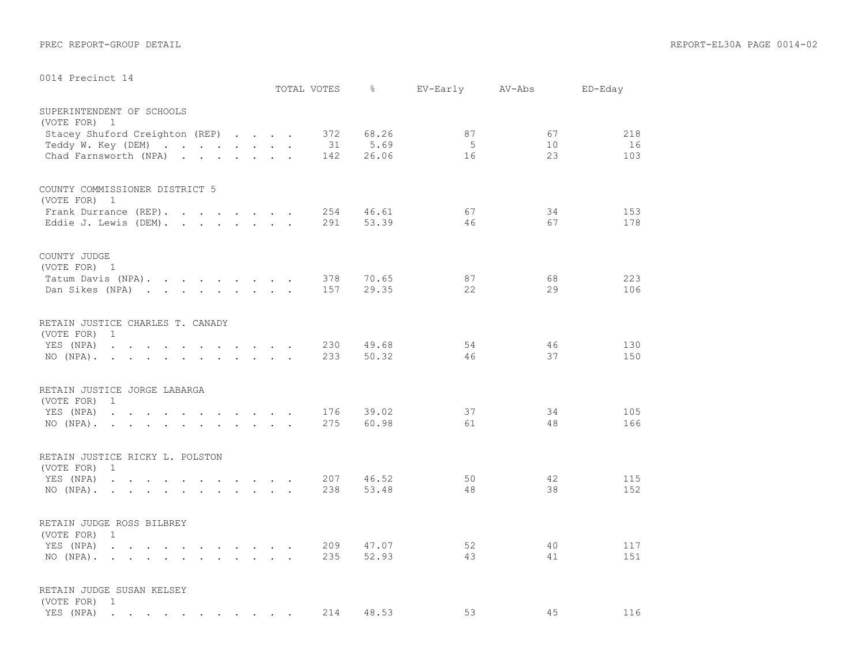| UUL4 Precinct 14                                                                                                                             | TOTAL VOTES |     | $\frac{1}{6}$ | EV-Early AV-Abs |    | ED-Eday |
|----------------------------------------------------------------------------------------------------------------------------------------------|-------------|-----|---------------|-----------------|----|---------|
| SUPERINTENDENT OF SCHOOLS<br>(VOTE FOR) 1                                                                                                    |             |     |               |                 |    |         |
| Stacey Shuford Creighton (REP)                                                                                                               |             | 372 | 68.26         | 87              | 67 | 218     |
| Teddy W. Key (DEM)                                                                                                                           |             | 31  | 5.69          | - 5             | 10 | 16      |
| Chad Farnsworth (NPA)                                                                                                                        |             | 142 | 26.06         | 16              | 23 | 103     |
| COUNTY COMMISSIONER DISTRICT 5<br>(VOTE FOR) 1                                                                                               |             |     |               |                 |    |         |
| Frank Durrance (REP).                                                                                                                        |             | 254 | 46.61         | 67              | 34 | 153     |
| Eddie J. Lewis (DEM).                                                                                                                        |             | 291 | 53.39         | 46              | 67 | 178     |
| COUNTY JUDGE<br>(VOTE FOR) 1                                                                                                                 |             |     |               |                 |    |         |
| Tatum Davis (NPA).                                                                                                                           |             | 378 | 70.65         | 87              | 68 | 223     |
| Dan Sikes (NPA)                                                                                                                              |             | 157 | 29.35         | 22              | 29 | 106     |
| RETAIN JUSTICE CHARLES T. CANADY<br>(VOTE FOR) 1                                                                                             |             |     |               |                 |    |         |
| YES (NPA)                                                                                                                                    |             | 230 | 49.68         | 54              | 46 | 130     |
| $NO (NPA)$ .                                                                                                                                 |             | 233 | 50.32         | 46              | 37 | 150     |
| RETAIN JUSTICE JORGE LABARGA<br>(VOTE FOR)<br>1                                                                                              |             |     |               |                 |    |         |
| YES (NPA)<br>the contract of the contract of the contract of the contract of the contract of the contract of the contract of                 |             | 176 | 39.02         | 37              | 34 | 105     |
| NO (NPA).                                                                                                                                    |             | 275 | 60.98         | 61              | 48 | 166     |
| RETAIN JUSTICE RICKY L. POLSTON<br>(VOTE FOR)<br>1                                                                                           |             |     |               |                 |    |         |
| YES (NPA)<br>the contract of the contract of the contract of the contract of the contract of the contract of the contract of                 |             | 207 | 46.52         | 50              | 42 | 115     |
| NO (NPA).                                                                                                                                    |             | 238 | 53.48         | 48              | 38 | 152     |
| RETAIN JUDGE ROSS BILBREY<br>$\mathbf{1}$<br>(VOTE FOR)                                                                                      |             |     |               |                 |    |         |
| YES (NPA)<br>$\mathbf{r}$ , and $\mathbf{r}$ , and $\mathbf{r}$ , and $\mathbf{r}$ , and $\mathbf{r}$                                        |             | 209 | 47.07         | 52              | 40 | 117     |
| NO (NPA).                                                                                                                                    |             | 235 | 52.93         | 43              | 41 | 151     |
| RETAIN JUDGE SUSAN KELSEY                                                                                                                    |             |     |               |                 |    |         |
| (VOTE FOR) 1<br>YES (NPA)<br>the contract of the contract of the contract of the contract of the contract of the contract of the contract of |             | 214 | 48.53         | 53              | 45 | 116     |
|                                                                                                                                              |             |     |               |                 |    |         |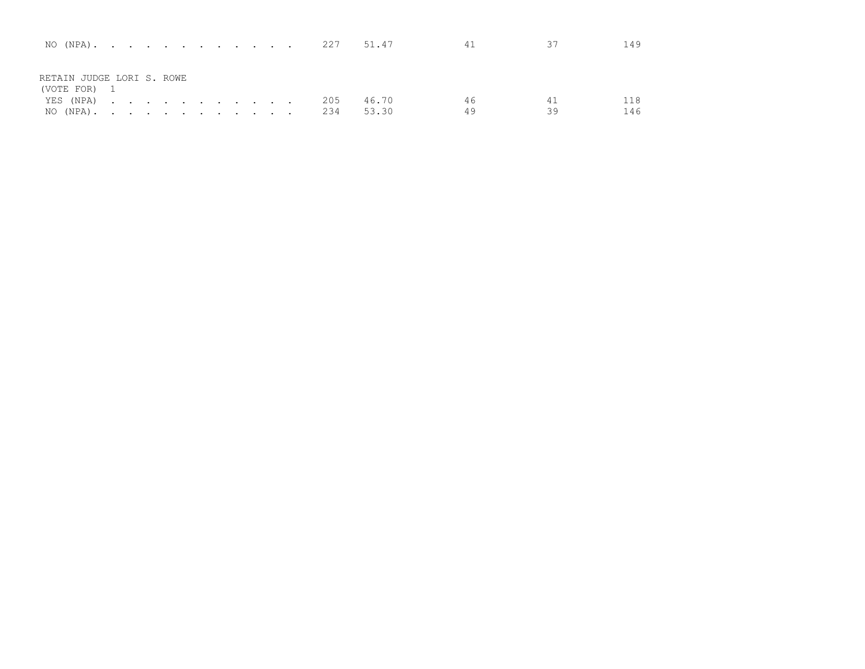| NO (NPA). 227             |  |  |  |  |  |     | 51.47 | 41 |    | 149 |
|---------------------------|--|--|--|--|--|-----|-------|----|----|-----|
|                           |  |  |  |  |  |     |       |    |    |     |
| RETAIN JUDGE LORI S. ROWE |  |  |  |  |  |     |       |    |    |     |
| (VOTE FOR) 1              |  |  |  |  |  |     |       |    |    |     |
| YES (NPA)                 |  |  |  |  |  | 205 | 46.70 | 46 | 41 | 118 |
| NO (NPA). 234             |  |  |  |  |  |     | 53.30 | 49 | 39 | 146 |